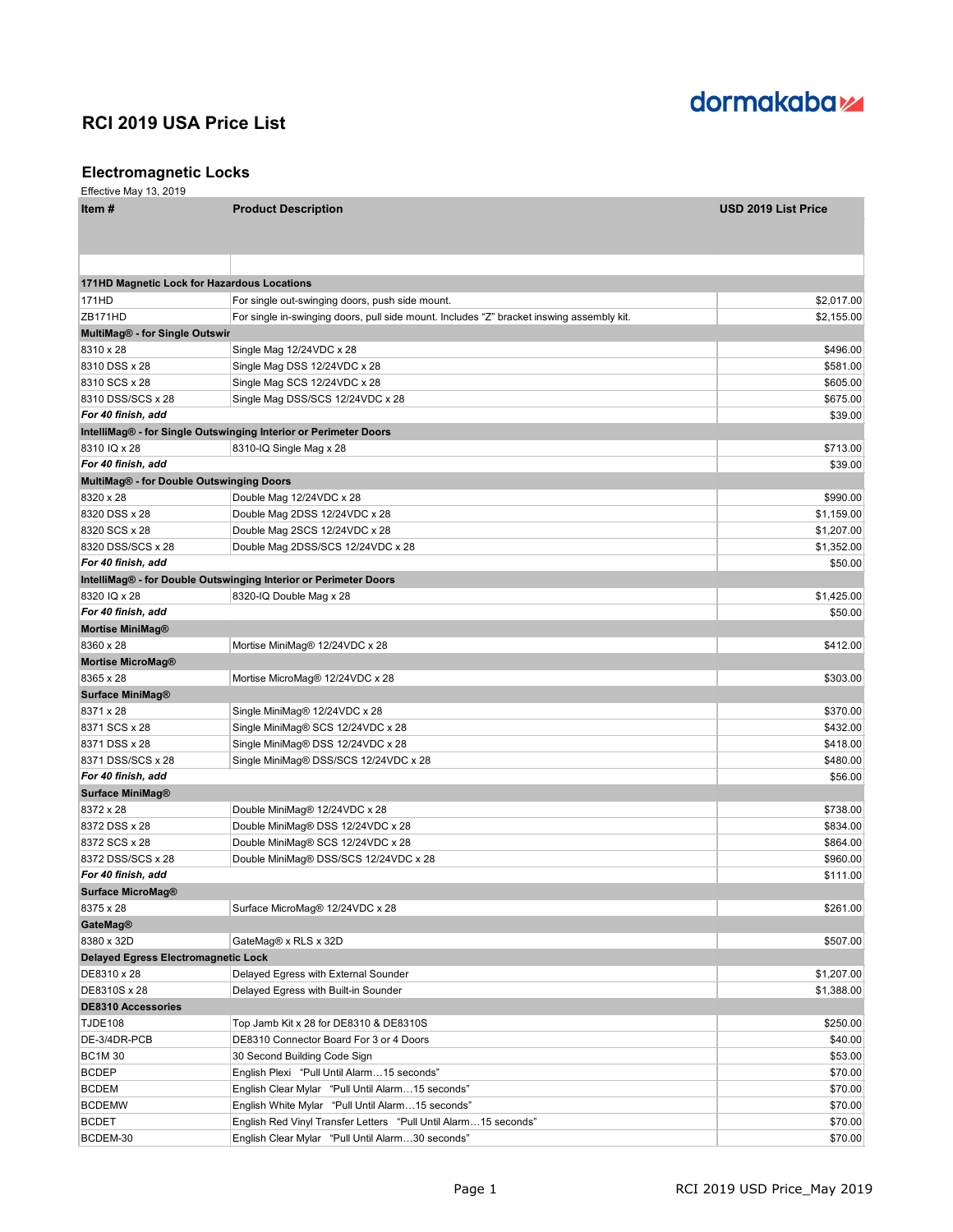

### **Electromagnetic Locks**

| Item#                                       | <b>Product Description</b>                                                                | <b>USD 2019 List Price</b> |
|---------------------------------------------|-------------------------------------------------------------------------------------------|----------------------------|
|                                             |                                                                                           |                            |
|                                             |                                                                                           |                            |
|                                             |                                                                                           |                            |
| 171HD Magnetic Lock for Hazardous Locations |                                                                                           |                            |
| 171HD                                       | For single out-swinging doors, push side mount.                                           | \$2,017.00                 |
| ZB171HD                                     | For single in-swinging doors, pull side mount. Includes "Z" bracket inswing assembly kit. | \$2,155.00                 |
| <b>MultiMag® - for Single Outswir</b>       |                                                                                           |                            |
| 8310 x 28                                   | Single Mag 12/24VDC x 28                                                                  | \$496.00                   |
| 8310 DSS x 28                               | Single Mag DSS 12/24VDC x 28                                                              | \$581.00                   |
| 8310 SCS x 28                               | Single Mag SCS 12/24VDC x 28                                                              | \$605.00                   |
| 8310 DSS/SCS x 28                           | Single Mag DSS/SCS 12/24VDC x 28                                                          | \$675.00                   |
| For 40 finish, add                          |                                                                                           | \$39.00                    |
| 8310 IQ x 28                                | IntelliMag® - for Single Outswinging Interior or Perimeter Doors                          | \$713.00                   |
| For 40 finish, add                          | 8310-IQ Single Mag x 28                                                                   | \$39.00                    |
| MultiMag® - for Double Outswinging Doors    |                                                                                           |                            |
| 8320 x 28                                   | Double Mag 12/24VDC x 28                                                                  | \$990.00                   |
| 8320 DSS x 28                               | Double Mag 2DSS 12/24VDC x 28                                                             | \$1,159.00                 |
| 8320 SCS x 28                               | Double Mag 2SCS 12/24VDC x 28                                                             | \$1,207.00                 |
| 8320 DSS/SCS x 28                           | Double Mag 2DSS/SCS 12/24VDC x 28                                                         | \$1,352.00                 |
| For 40 finish, add                          |                                                                                           | \$50.00                    |
|                                             | IntelliMag® - for Double Outswinging Interior or Perimeter Doors                          |                            |
| 8320 IQ x 28                                | 8320-IQ Double Mag x 28                                                                   | \$1,425.00                 |
| For 40 finish, add                          |                                                                                           | \$50.00                    |
| <b>Mortise MiniMag®</b>                     |                                                                                           |                            |
| 8360 x 28                                   | Mortise MiniMag® 12/24VDC x 28                                                            | \$412.00                   |
| <b>Mortise MicroMag®</b>                    |                                                                                           |                            |
| 8365 x 28                                   | Mortise MicroMag® 12/24VDC x 28                                                           | \$303.00                   |
| <b>Surface MiniMag®</b>                     |                                                                                           |                            |
| 8371 x 28                                   | Single MiniMag® 12/24VDC x 28                                                             | \$370.00                   |
| 8371 SCS x 28                               | Single MiniMag® SCS 12/24VDC x 28                                                         | \$432.00                   |
| 8371 DSS x 28                               | Single MiniMag® DSS 12/24VDC x 28                                                         | \$418.00                   |
| 8371 DSS/SCS x 28                           | Single MiniMag® DSS/SCS 12/24VDC x 28                                                     | \$480.00                   |
| For 40 finish, add                          |                                                                                           | \$56.00                    |
| <b>Surface MiniMag®</b>                     |                                                                                           |                            |
| 8372 x 28                                   | Double MiniMag® 12/24VDC x 28                                                             | \$738.00                   |
| 8372 DSS x 28                               | Double MiniMag® DSS 12/24VDC x 28                                                         | \$834.00                   |
| 8372 SCS x 28                               | Double MiniMag® SCS 12/24VDC x 28                                                         | \$864.00                   |
| 8372 DSS/SCS x 28                           | Double MiniMag® DSS/SCS 12/24VDC x 28                                                     | \$960.00                   |
| For 40 finish, add                          |                                                                                           | \$111.00                   |
| <b>Surface MicroMag®</b>                    |                                                                                           |                            |
| 8375 x 28                                   | Surface MicroMag® 12/24VDC x 28                                                           | \$261.00                   |
| <b>GateMag®</b>                             |                                                                                           |                            |
| 8380 x 32D                                  | GateMag® x RLS x 32D                                                                      | \$507.00                   |
| Delayed Egress Electromagnetic Lock         |                                                                                           |                            |
| DE8310 x 28                                 | Delayed Egress with External Sounder                                                      | \$1,207.00                 |
| DE8310S x 28                                | Delayed Egress with Built-in Sounder                                                      | \$1,388.00                 |
| <b>DE8310 Accessories</b>                   |                                                                                           |                            |
| <b>TJDE108</b>                              | Top Jamb Kit x 28 for DE8310 & DE8310S                                                    | \$250.00                   |
| DE-3/4DR-PCB                                | DE8310 Connector Board For 3 or 4 Doors                                                   | \$40.00                    |
| <b>BC1M30</b>                               | 30 Second Building Code Sign                                                              | \$53.00                    |
| <b>BCDEP</b>                                | English Plexi "Pull Until Alarm15 seconds"                                                | \$70.00                    |
| <b>BCDEM</b>                                | English Clear Mylar "Pull Until Alarm15 seconds"                                          | \$70.00                    |
| <b>BCDEMW</b>                               | English White Mylar "Pull Until Alarm15 seconds"                                          | \$70.00                    |
| <b>BCDET</b>                                | English Red Vinyl Transfer Letters "Pull Until Alarm15 seconds"                           | \$70.00                    |
| BCDEM-30                                    | English Clear Mylar "Pull Until Alarm30 seconds"                                          | \$70.00                    |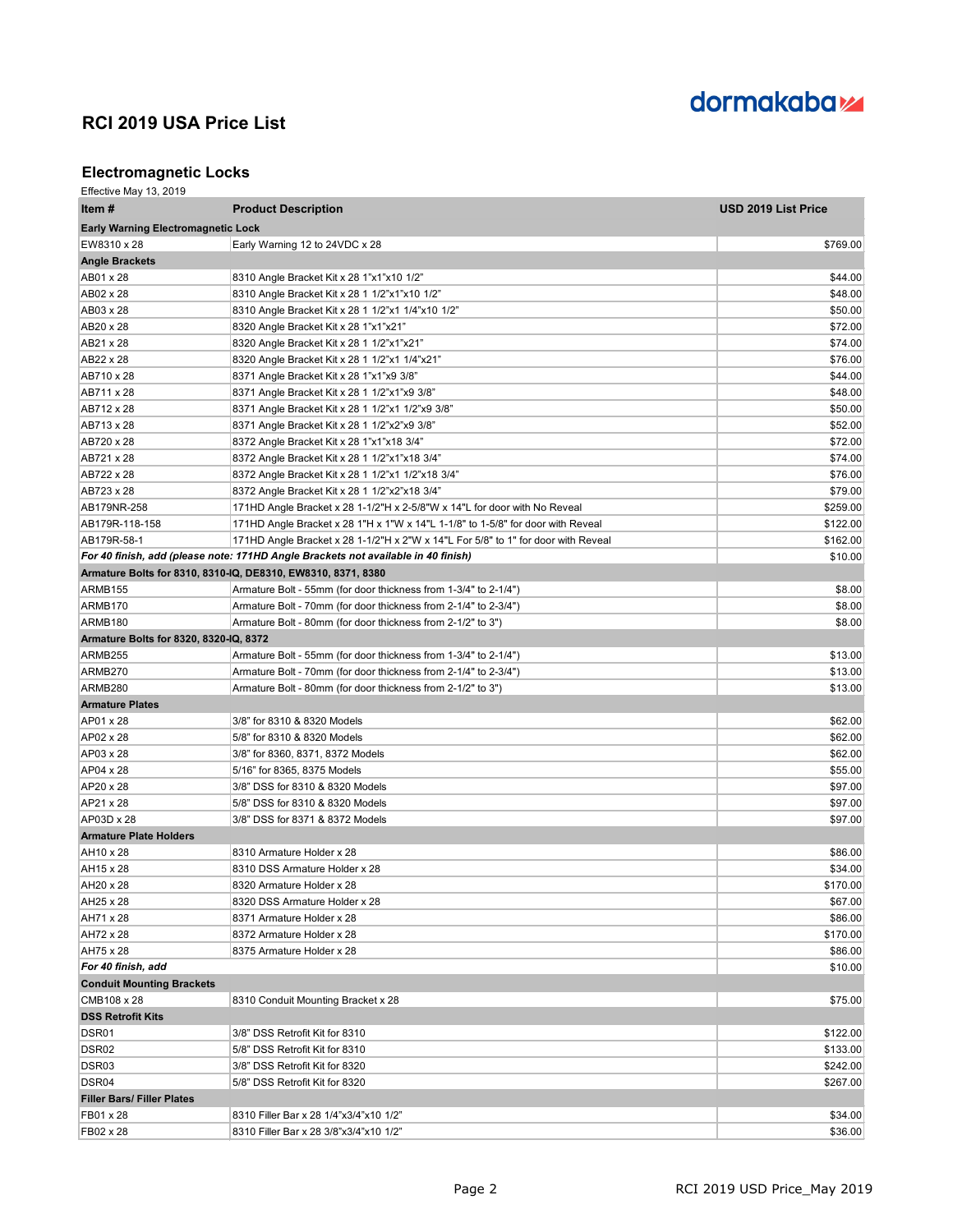

## **Electromagnetic Locks**

| Effective May 13, 2019                    |                                                                                   |                     |
|-------------------------------------------|-----------------------------------------------------------------------------------|---------------------|
| Item#                                     | <b>Product Description</b>                                                        | USD 2019 List Price |
| <b>Early Warning Electromagnetic Lock</b> |                                                                                   |                     |
| EW8310 x 28                               | Early Warning 12 to 24VDC x 28                                                    | \$769.00            |
| <b>Angle Brackets</b>                     |                                                                                   |                     |
| AB01 x 28                                 | 8310 Angle Bracket Kit x 28 1"x1"x10 1/2"                                         | \$44.00             |
| AB02 x 28                                 | 8310 Angle Bracket Kit x 28 1 1/2"x1"x10 1/2"                                     | \$48.00             |
| AB03 x 28                                 | 8310 Angle Bracket Kit x 28 1 1/2"x1 1/4"x10 1/2"                                 | \$50.00             |
| AB20 x 28                                 | 8320 Angle Bracket Kit x 28 1"x1"x21"                                             | \$72.00             |
| AB21 x 28                                 | 8320 Angle Bracket Kit x 28 1 1/2"x1"x21"                                         | \$74.00             |
| AB22 x 28                                 | 8320 Angle Bracket Kit x 28 1 1/2"x1 1/4"x21"                                     | \$76.00             |
| AB710 x 28                                | 8371 Angle Bracket Kit x 28 1"x1"x9 3/8"                                          | \$44.00             |
| AB711 x 28                                | 8371 Angle Bracket Kit x 28 1 1/2"x1"x9 3/8"                                      | \$48.00             |
| AB712 x 28                                | 8371 Angle Bracket Kit x 28 1 1/2"x1 1/2"x9 3/8"                                  | \$50.00             |
| AB713 x 28                                | 8371 Angle Bracket Kit x 28 1 1/2"x2"x9 3/8"                                      | \$52.00             |
| AB720 x 28                                | 8372 Angle Bracket Kit x 28 1"x1"x18 3/4"                                         | \$72.00             |
| AB721 x 28                                | 8372 Angle Bracket Kit x 28 1 1/2"x1"x18 3/4"                                     | \$74.00             |
| AB722 x 28                                | 8372 Angle Bracket Kit x 28 1 1/2"x1 1/2"x18 3/4"                                 | \$76.00             |
| AB723 x 28                                | 8372 Angle Bracket Kit x 28 1 1/2"x2"x18 3/4"                                     | \$79.00             |
| AB179NR-258                               | 171HD Angle Bracket x 28 1-1/2"H x 2-5/8"W x 14"L for door with No Reveal         | \$259.00            |
| AB179R-118-158                            | 171HD Angle Bracket x 28 1"H x 1"W x 14"L 1-1/8" to 1-5/8" for door with Reveal   | \$122.00            |
| AB179R-58-1                               | 171HD Angle Bracket x 28 1-1/2"H x 2"W x 14"L For 5/8" to 1" for door with Reveal | \$162.00            |
|                                           | For 40 finish, add (please note: 171HD Angle Brackets not available in 40 finish) | \$10.00             |
|                                           | Armature Bolts for 8310, 8310-IQ, DE8310, EW8310, 8371, 8380                      |                     |
| ARMB155                                   | Armature Bolt - 55mm (for door thickness from 1-3/4" to 2-1/4")                   | \$8.00              |
| ARMB170                                   | Armature Bolt - 70mm (for door thickness from 2-1/4" to 2-3/4")                   | \$8.00              |
| ARMB180                                   | Armature Bolt - 80mm (for door thickness from 2-1/2" to 3")                       | \$8.00              |
| Armature Bolts for 8320, 8320-IQ, 8372    |                                                                                   |                     |
| ARMB255                                   | Armature Bolt - 55mm (for door thickness from 1-3/4" to 2-1/4")                   | \$13.00             |
| ARMB270                                   | Armature Bolt - 70mm (for door thickness from 2-1/4" to 2-3/4")                   | \$13.00             |
| ARMB280                                   | Armature Bolt - 80mm (for door thickness from 2-1/2" to 3")                       | \$13.00             |
| <b>Armature Plates</b>                    |                                                                                   |                     |
| AP01 x 28                                 | 3/8" for 8310 & 8320 Models                                                       | \$62.00             |
| AP02 x 28                                 | 5/8" for 8310 & 8320 Models                                                       | \$62.00             |
| AP03 x 28                                 | 3/8" for 8360, 8371, 8372 Models                                                  | \$62.00             |
| AP04 x 28                                 | 5/16" for 8365, 8375 Models                                                       | \$55.00             |
| AP20 x 28                                 | 3/8" DSS for 8310 & 8320 Models                                                   | \$97.00             |
| AP21 x 28                                 | 5/8" DSS for 8310 & 8320 Models                                                   | \$97.00             |
| AP03D x 28                                | 3/8" DSS for 8371 & 8372 Models                                                   | \$97.00             |
| <b>Armature Plate Holders</b>             |                                                                                   |                     |
| AH10 x 28                                 | 8310 Armature Holder x 28                                                         | \$86.00             |
| AH15 x 28                                 | 8310 DSS Armature Holder x 28                                                     | \$34.00             |
| AH20 x 28                                 | 8320 Armature Holder x 28<br>8320 DSS Armature Holder x 28                        | \$170.00            |
| AH25 x 28                                 | 8371 Armature Holder x 28                                                         | \$67.00             |
| AH71 x 28<br>AH72 x 28                    | 8372 Armature Holder x 28                                                         | \$86.00<br>\$170.00 |
| AH75 x 28                                 | 8375 Armature Holder x 28                                                         | \$86.00             |
| For 40 finish, add                        |                                                                                   | \$10.00             |
| <b>Conduit Mounting Brackets</b>          |                                                                                   |                     |
| CMB108 x 28                               |                                                                                   | \$75.00             |
| <b>DSS Retrofit Kits</b>                  | 8310 Conduit Mounting Bracket x 28                                                |                     |
| DSR01                                     | 3/8" DSS Retrofit Kit for 8310                                                    | \$122.00            |
| DSR <sub>02</sub>                         | 5/8" DSS Retrofit Kit for 8310                                                    | \$133.00            |
| DSR03                                     | 3/8" DSS Retrofit Kit for 8320                                                    | \$242.00            |
| DSR04                                     | 5/8" DSS Retrofit Kit for 8320                                                    | \$267.00            |
| <b>Filler Bars/ Filler Plates</b>         |                                                                                   |                     |
| FB01 x 28                                 | 8310 Filler Bar x 28 1/4"x3/4"x10 1/2"                                            | \$34.00             |
| FB02 x 28                                 | 8310 Filler Bar x 28 3/8"x3/4"x10 1/2"                                            | \$36.00             |
|                                           |                                                                                   |                     |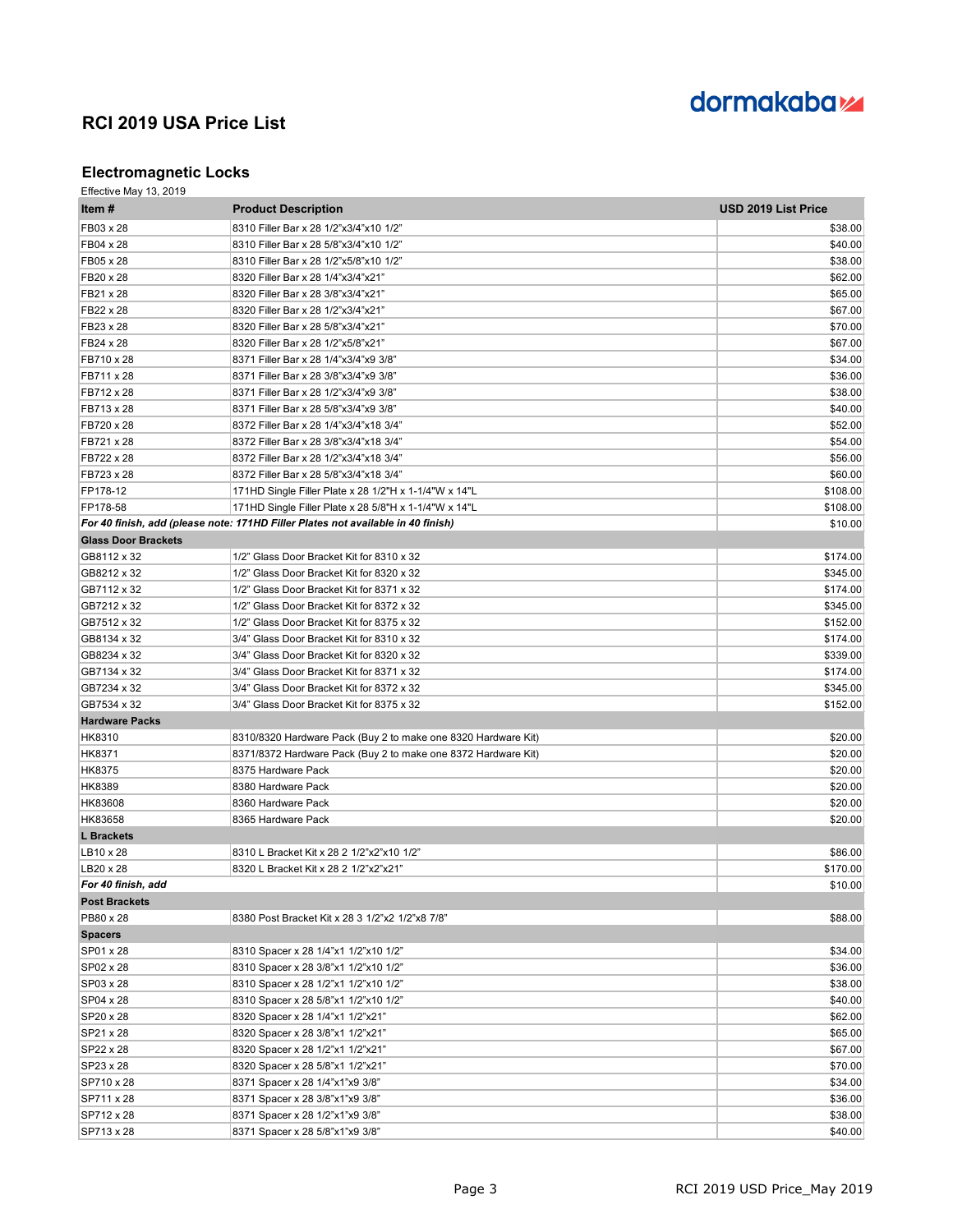

### **Electromagnetic Locks**

| Item #                     | <b>Product Description</b>                                                       | USD 2019 List Price |
|----------------------------|----------------------------------------------------------------------------------|---------------------|
| FB03 x 28                  | 8310 Filler Bar x 28 1/2"x3/4"x10 1/2"                                           | \$38.00             |
| FB04 x 28                  | 8310 Filler Bar x 28 5/8"x3/4"x10 1/2"                                           | \$40.00             |
| FB05 x 28                  | 8310 Filler Bar x 28 1/2"x5/8"x10 1/2"                                           | \$38.00             |
| FB20 x 28                  | 8320 Filler Bar x 28 1/4"x3/4"x21"                                               | \$62.00             |
| FB21 x 28                  | 8320 Filler Bar x 28 3/8"x3/4"x21"                                               | \$65.00             |
| FB22 x 28                  | 8320 Filler Bar x 28 1/2"x3/4"x21"                                               | \$67.00             |
| FB23 x 28                  | 8320 Filler Bar x 28 5/8"x3/4"x21"                                               | \$70.00             |
| FB24 x 28                  | 8320 Filler Bar x 28 1/2"x5/8"x21"                                               | \$67.00             |
| FB710 x 28                 | 8371 Filler Bar x 28 1/4"x3/4"x9 3/8"                                            | \$34.00             |
| FB711 x 28                 | 8371 Filler Bar x 28 3/8"x3/4"x9 3/8"                                            | \$36.00             |
| FB712 x 28                 | 8371 Filler Bar x 28 1/2"x3/4"x9 3/8"                                            | \$38.00             |
| FB713 x 28                 | 8371 Filler Bar x 28 5/8"x3/4"x9 3/8"                                            | \$40.00             |
| FB720 x 28                 | 8372 Filler Bar x 28 1/4"x3/4"x18 3/4"                                           | \$52.00             |
| FB721 x 28                 | 8372 Filler Bar x 28 3/8"x3/4"x18 3/4"                                           | \$54.00             |
| FB722 x 28                 | 8372 Filler Bar x 28 1/2"x3/4"x18 3/4"                                           | \$56.00             |
| FB723 x 28                 | 8372 Filler Bar x 28 5/8"x3/4"x18 3/4"                                           | \$60.00             |
| FP178-12                   | 171HD Single Filler Plate x 28 1/2"H x 1-1/4"W x 14"L                            | \$108.00            |
| FP178-58                   | 171HD Single Filler Plate x 28 5/8"H x 1-1/4"W x 14"L                            | \$108.00            |
|                            | For 40 finish, add (please note: 171HD Filler Plates not available in 40 finish) | \$10.00             |
| <b>Glass Door Brackets</b> |                                                                                  |                     |
| GB8112 x 32                | 1/2" Glass Door Bracket Kit for 8310 x 32                                        | \$174.00            |
| GB8212 x 32                | 1/2" Glass Door Bracket Kit for 8320 x 32                                        | \$345.00            |
| GB7112 x 32                | 1/2" Glass Door Bracket Kit for 8371 x 32                                        | \$174.00            |
| GB7212 x 32                | 1/2" Glass Door Bracket Kit for 8372 x 32                                        | \$345.00            |
| GB7512 x 32                | 1/2" Glass Door Bracket Kit for 8375 x 32                                        | \$152.00            |
| GB8134 x 32                | 3/4" Glass Door Bracket Kit for 8310 x 32                                        | \$174.00            |
| GB8234 x 32                | 3/4" Glass Door Bracket Kit for 8320 x 32                                        | \$339.00            |
| GB7134 x 32                | 3/4" Glass Door Bracket Kit for 8371 x 32                                        | \$174.00            |
| GB7234 x 32                | 3/4" Glass Door Bracket Kit for 8372 x 32                                        | \$345.00            |
| GB7534 x 32                | 3/4" Glass Door Bracket Kit for 8375 x 32                                        | \$152.00            |
| <b>Hardware Packs</b>      |                                                                                  |                     |
| <b>HK8310</b>              | 8310/8320 Hardware Pack (Buy 2 to make one 8320 Hardware Kit)                    | \$20.00             |
| HK8371                     | 8371/8372 Hardware Pack (Buy 2 to make one 8372 Hardware Kit)                    | \$20.00             |
| HK8375                     | 8375 Hardware Pack                                                               | \$20.00             |
| HK8389                     | 8380 Hardware Pack                                                               | \$20.00             |
| HK83608                    | 8360 Hardware Pack                                                               | \$20.00             |
| HK83658                    | 8365 Hardware Pack                                                               | \$20.00             |
| <b>L</b> Brackets          |                                                                                  |                     |
| LB10 x 28                  | 8310 L Bracket Kit x 28 2 1/2"x2"x10 1/2"                                        | \$86.00             |
| LB20 x 28                  | 8320 L Bracket Kit x 28 2 1/2"x2"x21"                                            | \$170.00            |
| For 40 finish, add         |                                                                                  | \$10.00             |
| <b>Post Brackets</b>       |                                                                                  |                     |
| PB80 x 28                  | 8380 Post Bracket Kit x 28 3 1/2"x2 1/2"x8 7/8"                                  | \$88.00             |
| <b>Spacers</b>             |                                                                                  |                     |
| SP01 x 28                  | 8310 Spacer x 28 1/4"x1 1/2"x10 1/2"                                             | \$34.00             |
| SP02 x 28                  | 8310 Spacer x 28 3/8"x1 1/2"x10 1/2"                                             | \$36.00             |
| SP03 x 28                  | 8310 Spacer x 28 1/2"x1 1/2"x10 1/2"                                             | \$38.00             |
| SP04 x 28                  | 8310 Spacer x 28 5/8"x1 1/2"x10 1/2"                                             | \$40.00             |
| SP20 x 28                  | 8320 Spacer x 28 1/4"x1 1/2"x21"                                                 | \$62.00             |
| SP21 x 28                  | 8320 Spacer x 28 3/8"x1 1/2"x21"                                                 | \$65.00             |
| SP22 x 28                  | 8320 Spacer x 28 1/2"x1 1/2"x21"                                                 | \$67.00             |
| SP23 x 28                  | 8320 Spacer x 28 5/8"x1 1/2"x21"                                                 | \$70.00             |
| SP710 x 28                 | 8371 Spacer x 28 1/4"x1"x9 3/8"                                                  | \$34.00             |
| SP711 x 28                 | 8371 Spacer x 28 3/8"x1"x9 3/8"                                                  | \$36.00             |
| SP712 x 28                 | 8371 Spacer x 28 1/2"x1"x9 3/8"                                                  | \$38.00             |
| SP713 x 28                 | 8371 Spacer x 28 5/8"x1"x9 3/8"                                                  | \$40.00             |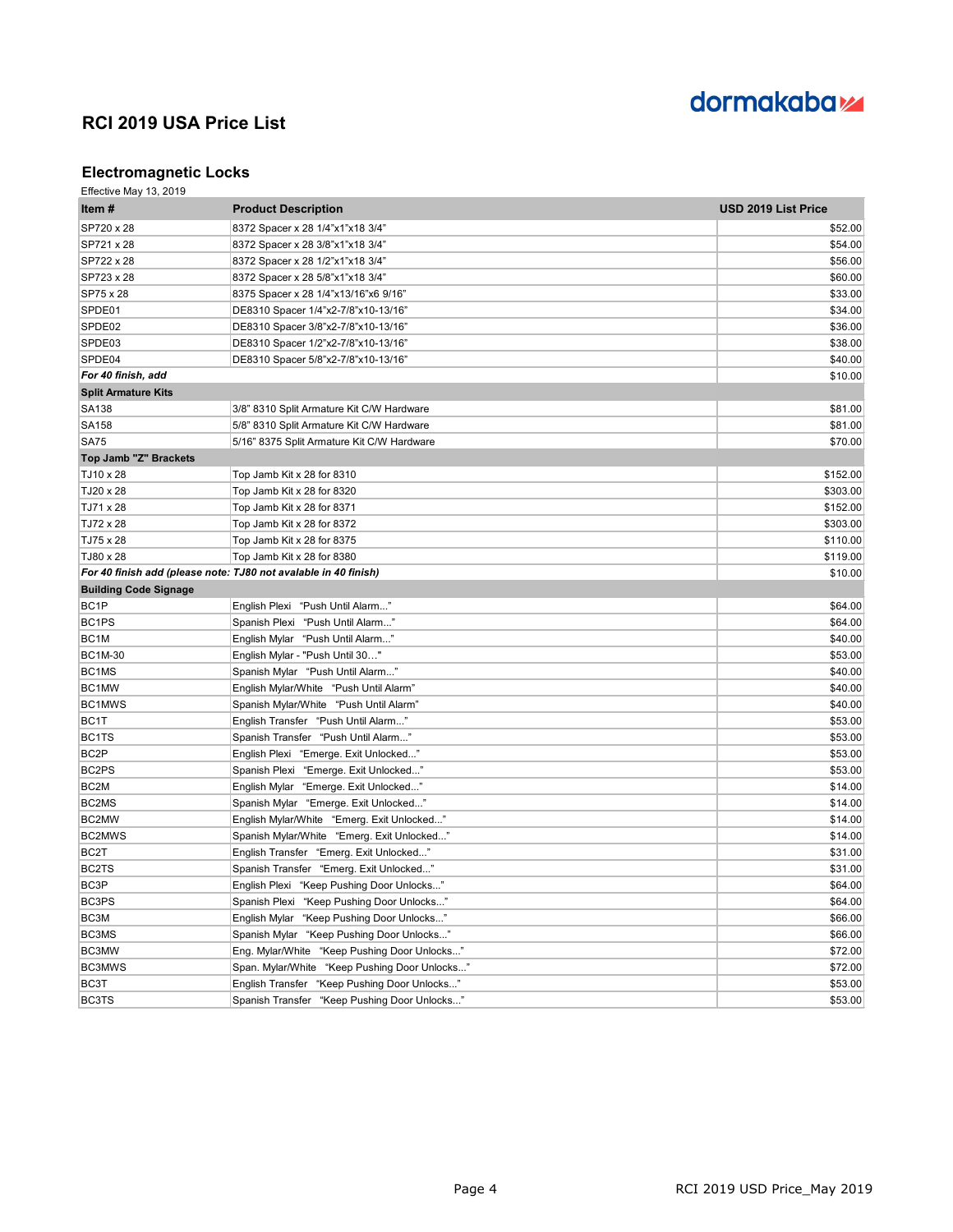

### **Electromagnetic Locks**

| Item#                        | <b>Product Description</b>                                      | USD 2019 List Price |
|------------------------------|-----------------------------------------------------------------|---------------------|
| SP720 x 28                   | 8372 Spacer x 28 1/4"x1"x18 3/4"                                | \$52.00             |
| SP721 x 28                   | 8372 Spacer x 28 3/8"x1"x18 3/4"                                | \$54.00             |
| SP722 x 28                   | 8372 Spacer x 28 1/2"x1"x18 3/4"                                | \$56.00             |
| SP723 x 28                   | 8372 Spacer x 28 5/8"x1"x18 3/4"                                | \$60.00             |
| SP75 x 28                    | 8375 Spacer x 28 1/4"x13/16"x6 9/16"                            | \$33.00             |
| SPDE01                       | DE8310 Spacer 1/4"x2-7/8"x10-13/16"                             | \$34.00             |
| SPDE02                       | DE8310 Spacer 3/8"x2-7/8"x10-13/16"                             | \$36.00             |
| SPDE03                       | DE8310 Spacer 1/2"x2-7/8"x10-13/16"                             | \$38.00             |
| SPDE04                       | DE8310 Spacer 5/8"x2-7/8"x10-13/16"                             | \$40.00             |
| For 40 finish, add           |                                                                 | \$10.00             |
| <b>Split Armature Kits</b>   |                                                                 |                     |
| SA138                        | 3/8" 8310 Split Armature Kit C/W Hardware                       | \$81.00             |
| SA158                        | 5/8" 8310 Split Armature Kit C/W Hardware                       | \$81.00             |
| <b>SA75</b>                  | 5/16" 8375 Split Armature Kit C/W Hardware                      | \$70.00             |
| Top Jamb "Z" Brackets        |                                                                 |                     |
| TJ10 x 28                    | Top Jamb Kit x 28 for 8310                                      | \$152.00            |
| TJ20 x 28                    | Top Jamb Kit x 28 for 8320                                      | \$303.00            |
| TJ71 x 28                    | Top Jamb Kit x 28 for 8371                                      | \$152.00            |
| TJ72 x 28                    | Top Jamb Kit x 28 for 8372                                      | \$303.00            |
| TJ75 x 28                    | Top Jamb Kit x 28 for 8375                                      | \$110.00            |
| TJ80 x 28                    | Top Jamb Kit x 28 for 8380                                      | \$119.00            |
|                              | For 40 finish add (please note: TJ80 not avalable in 40 finish) | \$10.00             |
| <b>Building Code Signage</b> |                                                                 |                     |
| BC <sub>1</sub> P            | English Plexi "Push Until Alarm"                                | \$64.00             |
| BC1PS                        | Spanish Plexi "Push Until Alarm"                                | \$64.00             |
| BC <sub>1</sub> M            | English Mylar "Push Until Alarm"                                | \$40.00             |
| <b>BC1M-30</b>               | English Mylar - "Push Until 30"                                 | \$53.00             |
| BC <sub>1</sub> MS           | Spanish Mylar "Push Until Alarm"                                | \$40.00             |
| BC1MW                        | English Mylar/White "Push Until Alarm"                          | \$40.00             |
| BC1MWS                       | Spanish Mylar/White "Push Until Alarm"                          | \$40.00             |
| BC <sub>1</sub> T            | English Transfer "Push Until Alarm"                             | \$53.00             |
| BC1TS                        | Spanish Transfer "Push Until Alarm"                             | \$53.00             |
| BC <sub>2</sub> P            | English Plexi "Emerge. Exit Unlocked"                           | \$53.00             |
| BC <sub>2</sub> PS           | Spanish Plexi "Emerge. Exit Unlocked"                           | \$53.00             |
| BC <sub>2</sub> M            | English Mylar "Emerge. Exit Unlocked"                           | \$14.00             |
| BC2MS                        | Spanish Mylar "Emerge. Exit Unlocked"                           | \$14.00             |
| BC2MW                        | English Mylar/White "Emerg. Exit Unlocked"                      | \$14.00             |
| BC2MWS                       | Spanish Mylar/White "Emerg. Exit Unlocked"                      | \$14.00             |
| BC <sub>2</sub> T            | English Transfer "Emerg. Exit Unlocked"                         | \$31.00             |
| BC2TS                        | Spanish Transfer "Emerg. Exit Unlocked"                         | \$31.00             |
| BC3P                         | English Plexi "Keep Pushing Door Unlocks"                       | \$64.00             |
| BC3PS                        | Spanish Plexi "Keep Pushing Door Unlocks"                       | \$64.00             |
| BC3M                         | English Mylar "Keep Pushing Door Unlocks"                       | \$66.00             |
| BC3MS                        | Spanish Mylar "Keep Pushing Door Unlocks"                       | \$66.00             |
| BC3MW                        | Eng. Mylar/White "Keep Pushing Door Unlocks"                    | \$72.00             |
| BC3MWS                       | Span. Mylar/White "Keep Pushing Door Unlocks"                   | \$72.00             |
| BC3T                         | English Transfer "Keep Pushing Door Unlocks"                    | \$53.00             |
| <b>BC3TS</b>                 | Spanish Transfer "Keep Pushing Door Unlocks"                    | \$53.00             |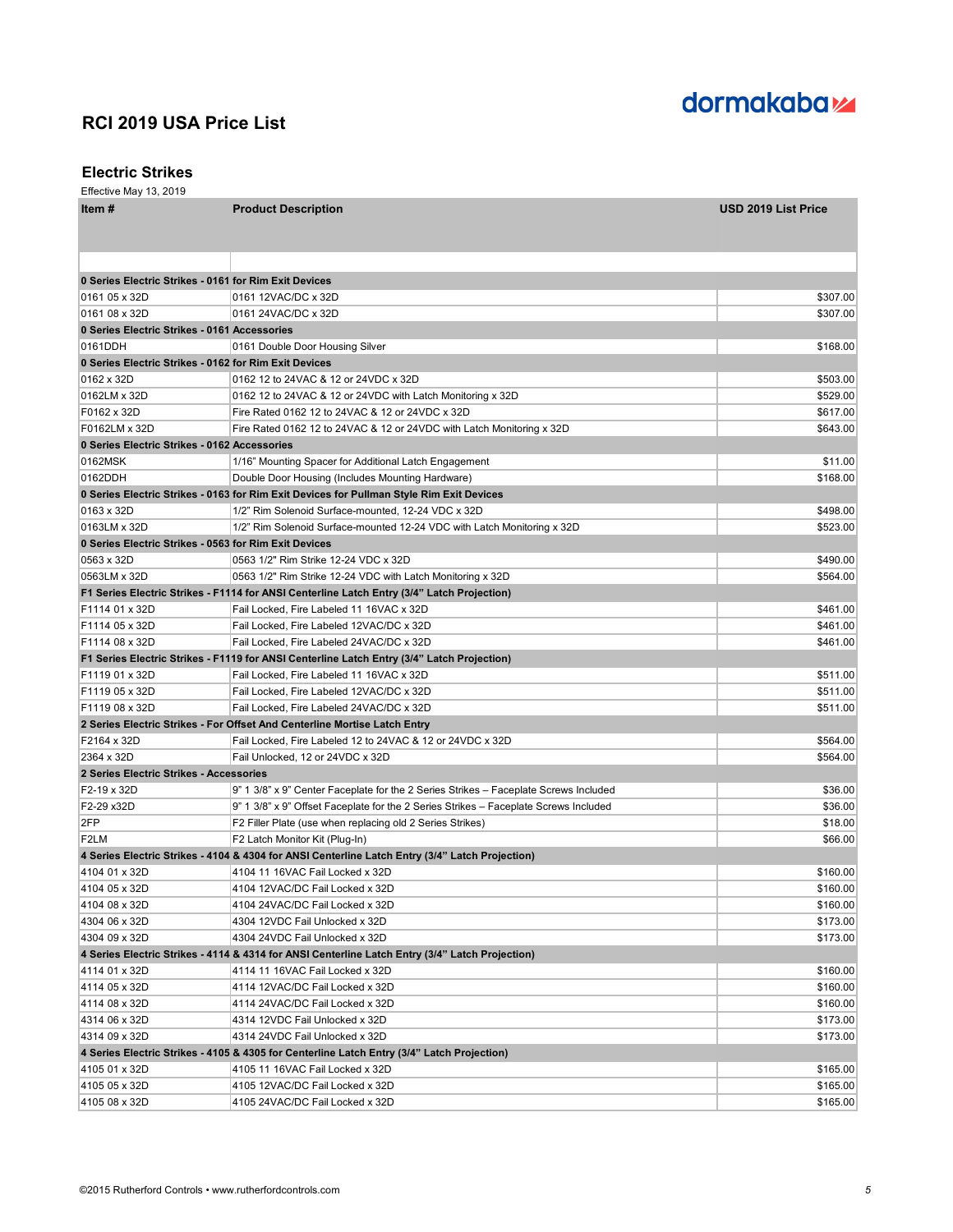

#### **Electric Strikes**

| $= 100$ $\ldots$ $\ldots$ $\ldots$ $\ldots$<br>Item # | <b>Product Description</b>                                                                      | <b>USD 2019 List Price</b> |
|-------------------------------------------------------|-------------------------------------------------------------------------------------------------|----------------------------|
|                                                       |                                                                                                 |                            |
|                                                       |                                                                                                 |                            |
|                                                       |                                                                                                 |                            |
| 0 Series Electric Strikes - 0161 for Rim Exit Devices |                                                                                                 |                            |
| 0161 05 x 32D                                         | 0161 12VAC/DC x 32D                                                                             | \$307.00                   |
| 0161 08 x 32D                                         | 0161 24VAC/DC x 32D                                                                             | \$307.00                   |
| 0 Series Electric Strikes - 0161 Accessories          |                                                                                                 |                            |
| 0161DDH                                               | 0161 Double Door Housing Silver                                                                 | \$168.00                   |
| 0 Series Electric Strikes - 0162 for Rim Exit Devices |                                                                                                 |                            |
| 0162 x 32D                                            | 0162 12 to 24VAC & 12 or 24VDC x 32D                                                            | \$503.00                   |
| 0162LM x 32D                                          | 0162 12 to 24VAC & 12 or 24VDC with Latch Monitoring x 32D                                      | \$529.00                   |
| F0162 x 32D                                           | Fire Rated 0162 12 to 24VAC & 12 or 24VDC x 32D                                                 | \$617.00                   |
| F0162LM x 32D                                         | Fire Rated 0162 12 to 24VAC & 12 or 24VDC with Latch Monitoring x 32D                           | \$643.00                   |
| 0 Series Electric Strikes - 0162 Accessories          |                                                                                                 |                            |
| 0162MSK                                               | 1/16" Mounting Spacer for Additional Latch Engagement                                           | \$11.00                    |
| 0162DDH                                               | Double Door Housing (Includes Mounting Hardware)                                                | \$168.00                   |
|                                                       | 0 Series Electric Strikes - 0163 for Rim Exit Devices for Pullman Style Rim Exit Devices        |                            |
| 0163 x 32D                                            | 1/2" Rim Solenoid Surface-mounted, 12-24 VDC x 32D                                              | \$498.00                   |
| 0163LM x 32D                                          | 1/2" Rim Solenoid Surface-mounted 12-24 VDC with Latch Monitoring x 32D                         | \$523.00                   |
| 0 Series Electric Strikes - 0563 for Rim Exit Devices |                                                                                                 |                            |
| 0563 x 32D                                            | 0563 1/2" Rim Strike 12-24 VDC x 32D                                                            | \$490.00                   |
| 0563LM x 32D                                          | 0563 1/2" Rim Strike 12-24 VDC with Latch Monitoring x 32D                                      | \$564.00                   |
|                                                       | F1 Series Electric Strikes - F1114 for ANSI Centerline Latch Entry (3/4" Latch Projection)      |                            |
| F1114 01 x 32D                                        | Fail Locked, Fire Labeled 11 16VAC x 32D                                                        | \$461.00                   |
| F1114 05 x 32D                                        | Fail Locked, Fire Labeled 12VAC/DC x 32D                                                        | \$461.00                   |
| F1114 08 x 32D                                        | Fail Locked, Fire Labeled 24VAC/DC x 32D                                                        | \$461.00                   |
|                                                       | F1 Series Electric Strikes - F1119 for ANSI Centerline Latch Entry (3/4" Latch Projection)      |                            |
| F1119 01 x 32D                                        | Fail Locked, Fire Labeled 11 16VAC x 32D                                                        | \$511.00                   |
| F1119 05 x 32D                                        | Fail Locked, Fire Labeled 12VAC/DC x 32D                                                        | \$511.00                   |
| F1119 08 x 32D                                        | Fail Locked, Fire Labeled 24VAC/DC x 32D                                                        | \$511.00                   |
|                                                       | 2 Series Electric Strikes - For Offset And Centerline Mortise Latch Entry                       |                            |
| F2164 x 32D                                           | Fail Locked, Fire Labeled 12 to 24VAC & 12 or 24VDC x 32D                                       | \$564.00                   |
| 2364 x 32D                                            | Fail Unlocked, 12 or 24VDC x 32D                                                                | \$564.00                   |
| 2 Series Electric Strikes - Accessories               |                                                                                                 |                            |
| F2-19 x 32D                                           | 9" 1 3/8" x 9" Center Faceplate for the 2 Series Strikes - Faceplate Screws Included            | \$36.00                    |
| F2-29 x32D                                            | 9" 1 3/8" x 9" Offset Faceplate for the 2 Series Strikes - Faceplate Screws Included            | \$36.00                    |
| 2FP                                                   | F2 Filler Plate (use when replacing old 2 Series Strikes)                                       | \$18.00                    |
|                                                       |                                                                                                 |                            |
| F <sub>2</sub> LM                                     | F2 Latch Monitor Kit (Plug-In)                                                                  | \$66.00                    |
|                                                       | 4 Series Electric Strikes - 4104 & 4304 for ANSI Centerline Latch Entry (3/4" Latch Projection) |                            |
| 4104 01 x 32D                                         | 4104 11 16VAC Fail Locked x 32D                                                                 | \$160.00                   |
| 4104 05 x 32D                                         | 4104 12VAC/DC Fail Locked x 32D                                                                 | \$160.00                   |
| 4104 08 x 32D                                         | 4104 24VAC/DC Fail Locked x 32D                                                                 | \$160.00                   |
| 4304 06 x 32D                                         | 4304 12VDC Fail Unlocked x 32D                                                                  | \$173.00                   |
| 4304 09 x 32D                                         | 4304 24VDC Fail Unlocked x 32D                                                                  | \$173.00                   |
|                                                       | 4 Series Electric Strikes - 4114 & 4314 for ANSI Centerline Latch Entry (3/4" Latch Projection) |                            |
| 4114 01 x 32D                                         | 4114 11 16VAC Fail Locked x 32D                                                                 | \$160.00                   |
| 4114 05 x 32D                                         | 4114 12VAC/DC Fail Locked x 32D                                                                 | \$160.00                   |
| 4114 08 x 32D                                         | 4114 24VAC/DC Fail Locked x 32D                                                                 | \$160.00                   |
| 4314 06 x 32D                                         | 4314 12VDC Fail Unlocked x 32D                                                                  | \$173.00                   |
| 4314 09 x 32D                                         | 4314 24VDC Fail Unlocked x 32D                                                                  | \$173.00                   |
|                                                       | 4 Series Electric Strikes - 4105 & 4305 for Centerline Latch Entry (3/4" Latch Projection)      |                            |
| 4105 01 x 32D                                         | 4105 11 16VAC Fail Locked x 32D                                                                 | \$165.00                   |
| 4105 05 x 32D                                         | 4105 12VAC/DC Fail Locked x 32D                                                                 | \$165.00                   |
| 4105 08 x 32D                                         | 4105 24VAC/DC Fail Locked x 32D                                                                 | \$165.00                   |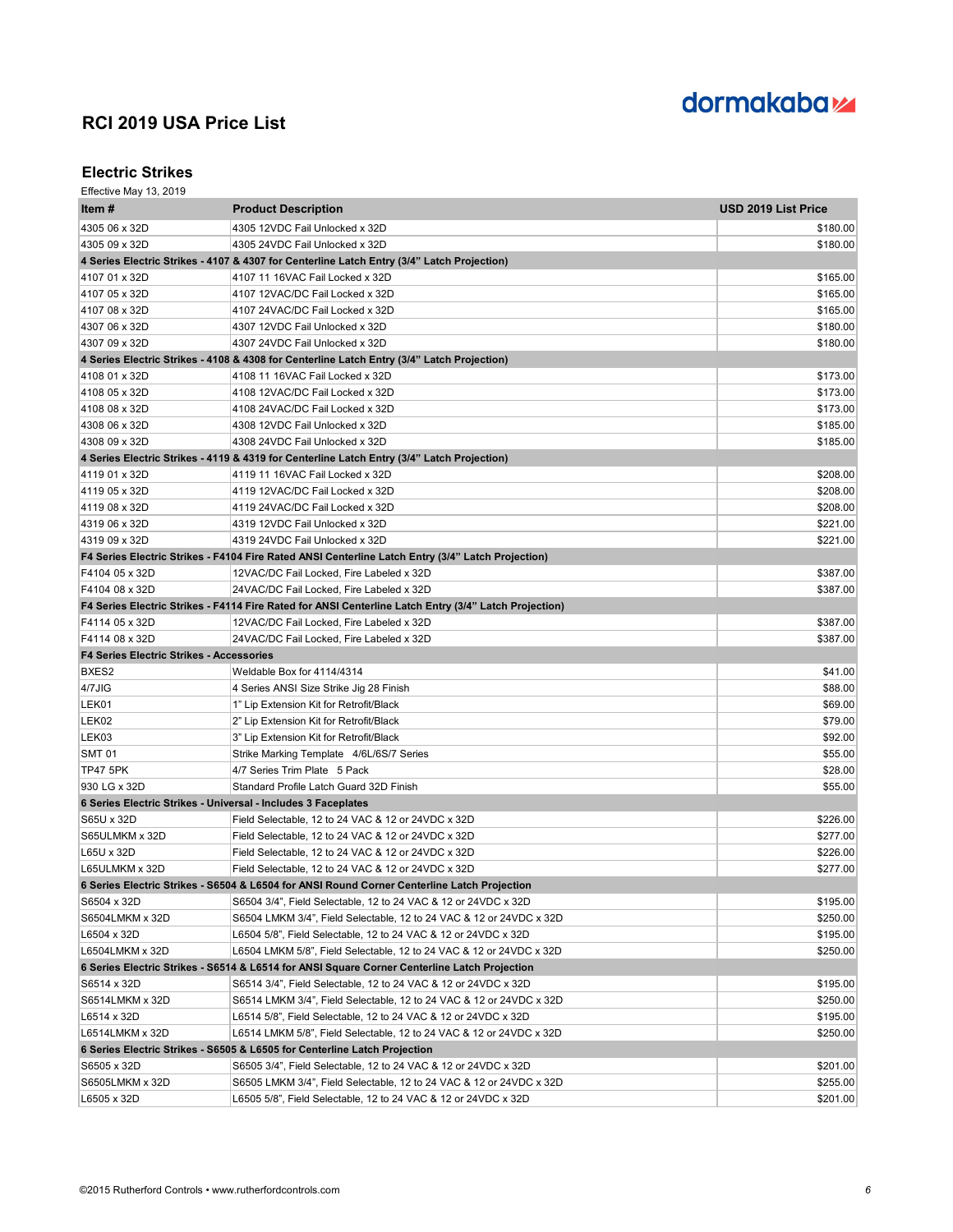

### **Electric Strikes**

| Item #                                                        | <b>Product Description</b>                                                                            | <b>USD 2019 List Price</b> |
|---------------------------------------------------------------|-------------------------------------------------------------------------------------------------------|----------------------------|
| 4305 06 x 32D                                                 | 4305 12VDC Fail Unlocked x 32D                                                                        | \$180.00                   |
| 4305 09 x 32D                                                 | 4305 24VDC Fail Unlocked x 32D                                                                        | \$180.00                   |
|                                                               | 4 Series Electric Strikes - 4107 & 4307 for Centerline Latch Entry (3/4" Latch Projection)            |                            |
| 4107 01 x 32D                                                 | 4107 11 16VAC Fail Locked x 32D                                                                       | \$165.00                   |
| 4107 05 x 32D                                                 | 4107 12VAC/DC Fail Locked x 32D                                                                       | \$165.00                   |
| 4107 08 x 32D                                                 | 4107 24VAC/DC Fail Locked x 32D                                                                       | \$165.00                   |
| 4307 06 x 32D                                                 | 4307 12VDC Fail Unlocked x 32D                                                                        | \$180.00                   |
| 4307 09 x 32D                                                 | 4307 24VDC Fail Unlocked x 32D                                                                        | \$180.00                   |
|                                                               | 4 Series Electric Strikes - 4108 & 4308 for Centerline Latch Entry (3/4" Latch Projection)            |                            |
| 4108 01 x 32D                                                 | 4108 11 16VAC Fail Locked x 32D                                                                       | \$173.00                   |
| 4108 05 x 32D                                                 | 4108 12VAC/DC Fail Locked x 32D                                                                       | \$173.00                   |
| 4108 08 x 32D                                                 | 4108 24VAC/DC Fail Locked x 32D                                                                       | \$173.00                   |
| 4308 06 x 32D                                                 | 4308 12VDC Fail Unlocked x 32D                                                                        | \$185.00                   |
| 4308 09 x 32D                                                 | 4308 24VDC Fail Unlocked x 32D                                                                        | \$185.00                   |
|                                                               | 4 Series Electric Strikes - 4119 & 4319 for Centerline Latch Entry (3/4" Latch Projection)            |                            |
| 4119 01 x 32D                                                 | 4119 11 16VAC Fail Locked x 32D                                                                       | \$208.00                   |
| 4119 05 x 32D                                                 | 4119 12VAC/DC Fail Locked x 32D                                                                       | \$208.00                   |
| 4119 08 x 32D                                                 | 4119 24VAC/DC Fail Locked x 32D                                                                       | \$208.00                   |
| 4319 06 x 32D                                                 | 4319 12VDC Fail Unlocked x 32D                                                                        | \$221.00                   |
| 4319 09 x 32D                                                 | 4319 24VDC Fail Unlocked x 32D                                                                        | \$221.00                   |
|                                                               | F4 Series Electric Strikes - F4104 Fire Rated ANSI Centerline Latch Entry (3/4" Latch Projection)     |                            |
| F4104 05 x 32D                                                | 12VAC/DC Fail Locked, Fire Labeled x 32D                                                              | \$387.00                   |
| F4104 08 x 32D                                                | 24VAC/DC Fail Locked, Fire Labeled x 32D                                                              | \$387.00                   |
|                                                               | F4 Series Electric Strikes - F4114 Fire Rated for ANSI Centerline Latch Entry (3/4" Latch Projection) |                            |
| F4114 05 x 32D                                                | 12VAC/DC Fail Locked, Fire Labeled x 32D                                                              | \$387.00                   |
| F4114 08 x 32D                                                | 24VAC/DC Fail Locked, Fire Labeled x 32D                                                              | \$387.00                   |
| <b>F4 Series Electric Strikes - Accessories</b>               |                                                                                                       |                            |
| BXES2                                                         | Weldable Box for 4114/4314                                                                            | \$41.00                    |
| 4/7JIG                                                        | 4 Series ANSI Size Strike Jig 28 Finish                                                               | \$88.00                    |
| LEK01                                                         | 1" Lip Extension Kit for Retrofit/Black                                                               | \$69.00                    |
| LEK02                                                         | 2" Lip Extension Kit for Retrofit/Black                                                               | \$79.00                    |
| LEK03                                                         | 3" Lip Extension Kit for Retrofit/Black                                                               | \$92.00                    |
| <b>SMT 01</b>                                                 | Strike Marking Template 4/6L/6S/7 Series                                                              | \$55.00                    |
| <b>TP47 5PK</b>                                               | 4/7 Series Trim Plate 5 Pack                                                                          | \$28.00                    |
| 930 LG x 32D                                                  | Standard Profile Latch Guard 32D Finish                                                               | \$55.00                    |
| 6 Series Electric Strikes - Universal - Includes 3 Faceplates |                                                                                                       |                            |
| S65U x 32D                                                    | Field Selectable, 12 to 24 VAC & 12 or 24VDC x 32D                                                    | \$226.00                   |
| S65ULMKM x 32D                                                | Field Selectable, 12 to 24 VAC & 12 or 24VDC x 32D                                                    | \$277.00                   |
| L65U x 32D                                                    | Field Selectable, 12 to 24 VAC & 12 or 24VDC x 32D                                                    | \$226.00                   |
| L65ULMKM x 32D                                                | Field Selectable, 12 to 24 VAC & 12 or 24VDC x 32D                                                    | \$277.00∣                  |
|                                                               | 6 Series Electric Strikes - S6504 & L6504 for ANSI Round Corner Centerline Latch Projection           |                            |
| S6504 x 32D                                                   | S6504 3/4", Field Selectable, 12 to 24 VAC & 12 or 24VDC x 32D                                        | \$195.00                   |
| S6504LMKM x 32D                                               | S6504 LMKM 3/4", Field Selectable, 12 to 24 VAC & 12 or 24VDC x 32D                                   | \$250.00                   |
| L6504 x 32D                                                   | L6504 5/8", Field Selectable, 12 to 24 VAC & 12 or 24VDC x 32D                                        | \$195.00                   |
| L6504LMKM x 32D                                               | L6504 LMKM 5/8", Field Selectable, 12 to 24 VAC & 12 or 24VDC x 32D                                   | \$250.00                   |
|                                                               | 6 Series Electric Strikes - S6514 & L6514 for ANSI Square Corner Centerline Latch Projection          |                            |
| S6514 x 32D                                                   | S6514 3/4", Field Selectable, 12 to 24 VAC & 12 or 24VDC x 32D                                        | \$195.00                   |
| S6514LMKM x 32D                                               | S6514 LMKM 3/4", Field Selectable, 12 to 24 VAC & 12 or 24VDC x 32D                                   | \$250.00                   |
| L6514 x 32D                                                   | L6514 5/8", Field Selectable, 12 to 24 VAC & 12 or 24VDC x 32D                                        | \$195.00                   |
| L6514LMKM x 32D                                               | L6514 LMKM 5/8", Field Selectable, 12 to 24 VAC & 12 or 24VDC x 32D                                   | \$250.00                   |
|                                                               | 6 Series Electric Strikes - S6505 & L6505 for Centerline Latch Projection                             |                            |
| S6505 x 32D                                                   | S6505 3/4", Field Selectable, 12 to 24 VAC & 12 or 24VDC x 32D                                        | \$201.00                   |
| S6505LMKM x 32D                                               | S6505 LMKM 3/4", Field Selectable, 12 to 24 VAC & 12 or 24VDC x 32D                                   | \$255.00                   |
| L6505 x 32D                                                   | L6505 5/8", Field Selectable, 12 to 24 VAC & 12 or 24VDC x 32D                                        | \$201.00                   |
|                                                               |                                                                                                       |                            |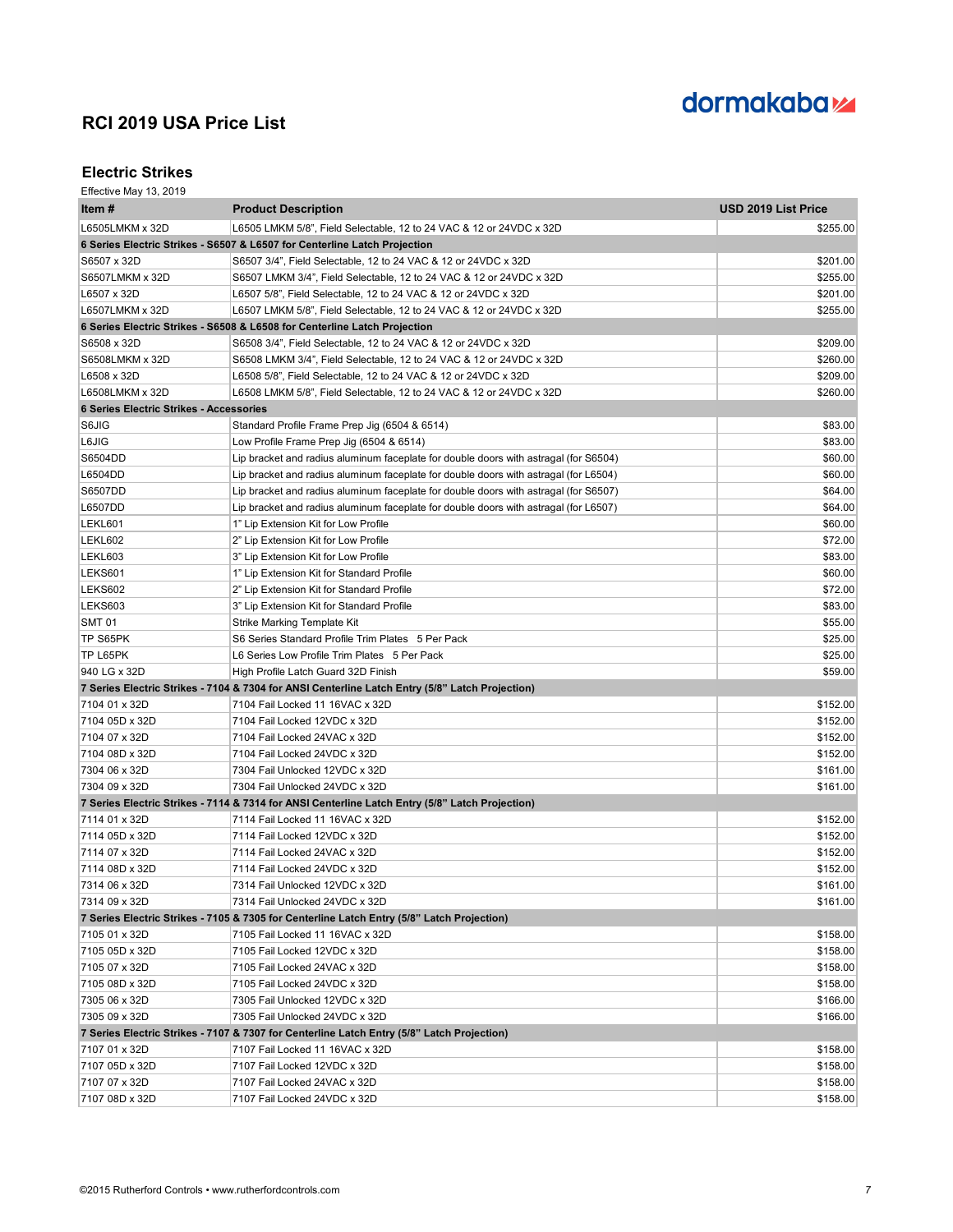# dormakaba<sub>z</sub>

### **Electric Strikes**

| Item #                                         | <b>Product Description</b>                                                                      | <b>USD 2019 List Price</b> |
|------------------------------------------------|-------------------------------------------------------------------------------------------------|----------------------------|
| L6505LMKM x 32D                                | L6505 LMKM 5/8", Field Selectable, 12 to 24 VAC & 12 or 24VDC x 32D                             | \$255.00                   |
|                                                | 6 Series Electric Strikes - S6507 & L6507 for Centerline Latch Projection                       |                            |
| S6507 x 32D                                    | S6507 3/4", Field Selectable, 12 to 24 VAC & 12 or 24VDC x 32D                                  | \$201.00                   |
| S6507LMKM x 32D                                | S6507 LMKM 3/4", Field Selectable, 12 to 24 VAC & 12 or 24VDC x 32D                             | \$255.00                   |
| L6507 x 32D                                    | L6507 5/8", Field Selectable, 12 to 24 VAC & 12 or 24VDC x 32D                                  | \$201.00                   |
| L6507LMKM x 32D                                | L6507 LMKM 5/8", Field Selectable, 12 to 24 VAC & 12 or 24VDC x 32D                             | \$255.00                   |
|                                                | 6 Series Electric Strikes - S6508 & L6508 for Centerline Latch Projection                       |                            |
| S6508 x 32D                                    | S6508 3/4", Field Selectable, 12 to 24 VAC & 12 or 24VDC x 32D                                  | \$209.00                   |
| S6508LMKM x 32D                                | S6508 LMKM 3/4", Field Selectable, 12 to 24 VAC & 12 or 24VDC x 32D                             | \$260.00                   |
| L6508 x 32D                                    | L6508 5/8", Field Selectable, 12 to 24 VAC & 12 or 24VDC x 32D                                  | \$209.00                   |
| L6508LMKM x 32D                                | L6508 LMKM 5/8", Field Selectable, 12 to 24 VAC & 12 or 24VDC x 32D                             | \$260.00                   |
| <b>6 Series Electric Strikes - Accessories</b> |                                                                                                 |                            |
| S6JIG                                          | Standard Profile Frame Prep Jig (6504 & 6514)                                                   | \$83.00                    |
| L6JIG                                          | Low Profile Frame Prep Jig (6504 & 6514)                                                        | \$83.00                    |
| S6504DD                                        | Lip bracket and radius aluminum faceplate for double doors with astragal (for S6504)            | \$60.00                    |
| L6504DD                                        | Lip bracket and radius aluminum faceplate for double doors with astragal (for L6504)            | \$60.00                    |
| S6507DD                                        | Lip bracket and radius aluminum faceplate for double doors with astragal (for S6507)            | \$64.00                    |
| L6507DD                                        | Lip bracket and radius aluminum faceplate for double doors with astragal (for L6507)            | \$64.00                    |
| LEKL601                                        | 1" Lip Extension Kit for Low Profile                                                            | \$60.00                    |
| LEKL602                                        | 2" Lip Extension Kit for Low Profile                                                            | \$72.00                    |
| LEKL603                                        | 3" Lip Extension Kit for Low Profile                                                            | \$83.00                    |
| <b>LEKS601</b>                                 | 1" Lip Extension Kit for Standard Profile                                                       | \$60.00                    |
| LEKS602                                        | 2" Lip Extension Kit for Standard Profile                                                       | \$72.00                    |
| LEKS603                                        | 3" Lip Extension Kit for Standard Profile                                                       | \$83.00                    |
| <b>SMT 01</b>                                  | Strike Marking Template Kit                                                                     | \$55.00                    |
| TP S65PK                                       | S6 Series Standard Profile Trim Plates 5 Per Pack                                               | \$25.00                    |
| TP L65PK                                       | L6 Series Low Profile Trim Plates 5 Per Pack                                                    | \$25.00                    |
| 940 LG x 32D                                   | High Profile Latch Guard 32D Finish                                                             | \$59.00                    |
|                                                | 7 Series Electric Strikes - 7104 & 7304 for ANSI Centerline Latch Entry (5/8" Latch Projection) |                            |
| 7104 01 x 32D                                  | 7104 Fail Locked 11 16VAC x 32D                                                                 | \$152.00                   |
| 7104 05D x 32D                                 | 7104 Fail Locked 12VDC x 32D                                                                    | \$152.00                   |
| 7104 07 x 32D                                  | 7104 Fail Locked 24VAC x 32D                                                                    | \$152.00                   |
| 7104 08D x 32D                                 | 7104 Fail Locked 24VDC x 32D                                                                    | \$152.00                   |
| 7304 06 x 32D                                  | 7304 Fail Unlocked 12VDC x 32D                                                                  | \$161.00                   |
| 7304 09 x 32D                                  | 7304 Fail Unlocked 24VDC x 32D                                                                  | \$161.00                   |
|                                                | 7 Series Electric Strikes - 7114 & 7314 for ANSI Centerline Latch Entry (5/8" Latch Projection) |                            |
| 7114 01 x 32D                                  | 7114 Fail Locked 11 16VAC x 32D                                                                 | \$152.00                   |
| 7114 05D x 32D                                 | 7114 Fail Locked 12VDC x 32D                                                                    | \$152.00                   |
| 7114 07 x 32D                                  | 7114 Fail Locked 24VAC x 32D                                                                    | \$152.00                   |
| 7114 08D x 32D                                 | 7114 Fail Locked 24VDC x 32D                                                                    | \$152.00                   |
| 7314 06 x 32D                                  | 7314 Fail Unlocked 12VDC x 32D                                                                  | \$161.00                   |
| 7314 09 x 32D                                  | 7314 Fail Unlocked 24VDC x 32D                                                                  | \$161.00                   |
|                                                | 7 Series Electric Strikes - 7105 & 7305 for Centerline Latch Entry (5/8" Latch Projection)      |                            |
| 7105 01 x 32D                                  | 7105 Fail Locked 11 16VAC x 32D                                                                 | \$158.00                   |
| 7105 05D x 32D                                 | 7105 Fail Locked 12VDC x 32D                                                                    | \$158.00                   |
| 7105 07 x 32D                                  | 7105 Fail Locked 24VAC x 32D                                                                    | \$158.00                   |
| 7105 08D x 32D                                 | 7105 Fail Locked 24VDC x 32D                                                                    | \$158.00                   |
| 7305 06 x 32D                                  | 7305 Fail Unlocked 12VDC x 32D                                                                  | \$166.00                   |
| 7305 09 x 32D                                  | 7305 Fail Unlocked 24VDC x 32D                                                                  | \$166.00                   |
|                                                | 7 Series Electric Strikes - 7107 & 7307 for Centerline Latch Entry (5/8" Latch Projection)      |                            |
| 7107 01 x 32D                                  | 7107 Fail Locked 11 16VAC x 32D                                                                 | \$158.00                   |
| 7107 05D x 32D                                 | 7107 Fail Locked 12VDC x 32D                                                                    | \$158.00                   |
| 7107 07 x 32D                                  | 7107 Fail Locked 24VAC x 32D                                                                    | \$158.00                   |
| 7107 08D x 32D                                 | 7107 Fail Locked 24VDC x 32D                                                                    | \$158.00                   |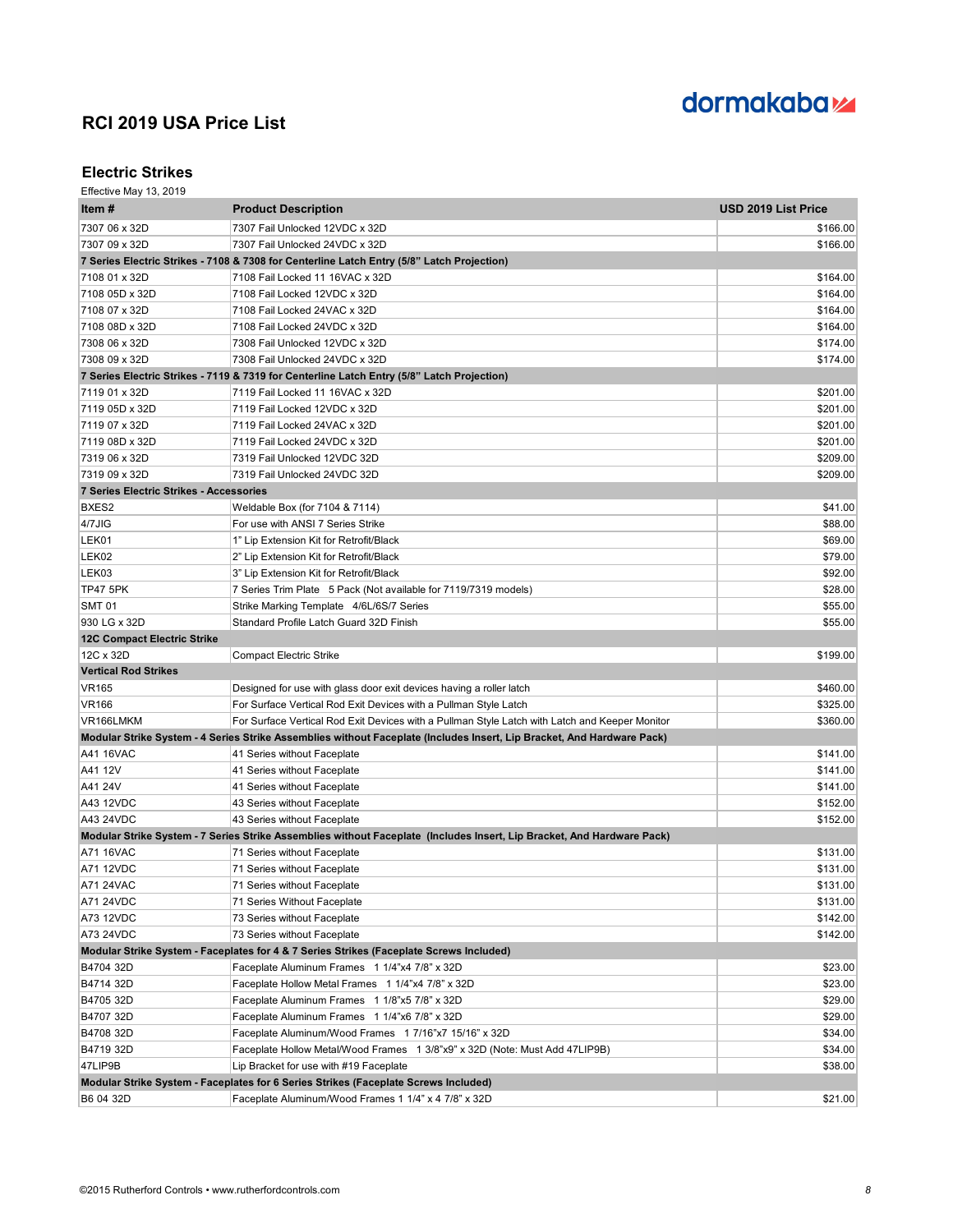

#### **Electric Strikes**

| Item #                                  | <b>Product Description</b>                                                                                             | USD 2019 List Price |
|-----------------------------------------|------------------------------------------------------------------------------------------------------------------------|---------------------|
| 7307 06 x 32D                           | 7307 Fail Unlocked 12VDC x 32D                                                                                         | \$166.00            |
| 7307 09 x 32D                           | 7307 Fail Unlocked 24VDC x 32D                                                                                         | \$166.00            |
|                                         | 7 Series Electric Strikes - 7108 & 7308 for Centerline Latch Entry (5/8" Latch Projection)                             |                     |
| 7108 01 x 32D                           | 7108 Fail Locked 11 16VAC x 32D                                                                                        | \$164.00            |
| 7108 05D x 32D                          | 7108 Fail Locked 12VDC x 32D                                                                                           | \$164.00            |
| 7108 07 x 32D                           | 7108 Fail Locked 24VAC x 32D                                                                                           | \$164.00            |
| 7108 08D x 32D                          | 7108 Fail Locked 24VDC x 32D                                                                                           | \$164.00            |
| 7308 06 x 32D                           | 7308 Fail Unlocked 12VDC x 32D                                                                                         | \$174.00            |
| 7308 09 x 32D                           | 7308 Fail Unlocked 24VDC x 32D                                                                                         | \$174.00            |
|                                         | 7 Series Electric Strikes - 7119 & 7319 for Centerline Latch Entry (5/8" Latch Projection)                             |                     |
| 7119 01 x 32D                           | 7119 Fail Locked 11 16VAC x 32D                                                                                        | \$201.00            |
| 7119 05D x 32D                          | 7119 Fail Locked 12VDC x 32D                                                                                           | \$201.00            |
| 7119 07 x 32D                           | 7119 Fail Locked 24VAC x 32D                                                                                           | \$201.00            |
| 7119 08D x 32D                          | 7119 Fail Locked 24VDC x 32D                                                                                           | \$201.00            |
| 7319 06 x 32D                           | 7319 Fail Unlocked 12VDC 32D                                                                                           | \$209.00            |
| 7319 09 x 32D                           | 7319 Fail Unlocked 24VDC 32D                                                                                           | \$209.00            |
| 7 Series Electric Strikes - Accessories |                                                                                                                        |                     |
| BXES2                                   | Weldable Box (for 7104 & 7114)                                                                                         | \$41.00             |
| 4/7JIG                                  | For use with ANSI 7 Series Strike                                                                                      | \$88.00             |
| LEK01                                   | 1" Lip Extension Kit for Retrofit/Black                                                                                | \$69.00             |
| LEK02                                   | 2" Lip Extension Kit for Retrofit/Black                                                                                | \$79.00             |
| LEK03                                   | 3" Lip Extension Kit for Retrofit/Black                                                                                | \$92.00             |
| <b>TP47 5PK</b>                         | 7 Series Trim Plate 5 Pack (Not available for 7119/7319 models)                                                        | \$28.00             |
| <b>SMT 01</b>                           | Strike Marking Template 4/6L/6S/7 Series                                                                               | \$55.00             |
| 930 LG x 32D                            | Standard Profile Latch Guard 32D Finish                                                                                | \$55.00             |
| <b>12C Compact Electric Strike</b>      |                                                                                                                        |                     |
| 12C x 32D                               | <b>Compact Electric Strike</b>                                                                                         | \$199.00            |
| <b>Vertical Rod Strikes</b>             |                                                                                                                        |                     |
| <b>VR165</b>                            | Designed for use with glass door exit devices having a roller latch                                                    | \$460.00            |
| <b>VR166</b>                            | For Surface Vertical Rod Exit Devices with a Pullman Style Latch                                                       | \$325.00            |
| VR166LMKM                               | For Surface Vertical Rod Exit Devices with a Pullman Style Latch with Latch and Keeper Monitor                         | \$360.00            |
|                                         | Modular Strike System - 4 Series Strike Assemblies without Faceplate (Includes Insert, Lip Bracket, And Hardware Pack) |                     |
| A41 16VAC                               | 41 Series without Faceplate                                                                                            | \$141.00            |
| A41 12V                                 | 41 Series without Faceplate                                                                                            | \$141.00            |
| A41 24V                                 | 41 Series without Faceplate                                                                                            | \$141.00            |
| A43 12VDC                               | 43 Series without Faceplate                                                                                            | \$152.00            |
| A43 24VDC                               | 43 Series without Faceplate                                                                                            | \$152.00            |
|                                         | Modular Strike System - 7 Series Strike Assemblies without Faceplate (Includes Insert, Lip Bracket, And Hardware Pack) |                     |
| A71 16VAC                               | 71 Series without Faceplate                                                                                            | \$131.00            |
| A71 12VDC                               | 71 Series without Faceplate                                                                                            | \$131.00            |
| A71 24VAC                               | 71 Series without Faceplate                                                                                            | \$131.00            |
| A71 24VDC                               | 71 Series Without Faceplate                                                                                            | \$131.00            |
| A73 12VDC                               | 73 Series without Faceplate                                                                                            | \$142.00            |
| A73 24VDC                               | 73 Series without Faceplate                                                                                            | \$142.00            |
|                                         | Modular Strike System - Faceplates for 4 & 7 Series Strikes (Faceplate Screws Included)                                |                     |
| B4704 32D                               | Faceplate Aluminum Frames 1 1/4"x4 7/8" x 32D                                                                          | \$23.00             |
| B4714 32D                               | Faceplate Hollow Metal Frames 1 1/4"x4 7/8" x 32D                                                                      | \$23.00             |
| B4705 32D                               | Faceplate Aluminum Frames 1 1/8"x5 7/8" x 32D                                                                          | \$29.00             |
| B4707 32D                               | Faceplate Aluminum Frames 1 1/4"x6 7/8" x 32D                                                                          | \$29.00             |
| B4708 32D                               | Faceplate Aluminum/Wood Frames 1 7/16"x7 15/16" x 32D                                                                  | \$34.00             |
| B4719 32D                               | Faceplate Hollow Metal/Wood Frames 1 3/8"x9" x 32D (Note: Must Add 47LIP9B)                                            | \$34.00             |
| 47LIP9B                                 | Lip Bracket for use with #19 Faceplate                                                                                 | \$38.00             |
|                                         | Modular Strike System - Faceplates for 6 Series Strikes (Faceplate Screws Included)                                    |                     |
| B6 04 32D                               | Faceplate Aluminum/Wood Frames 1 1/4" x 4 7/8" x 32D                                                                   | \$21.00             |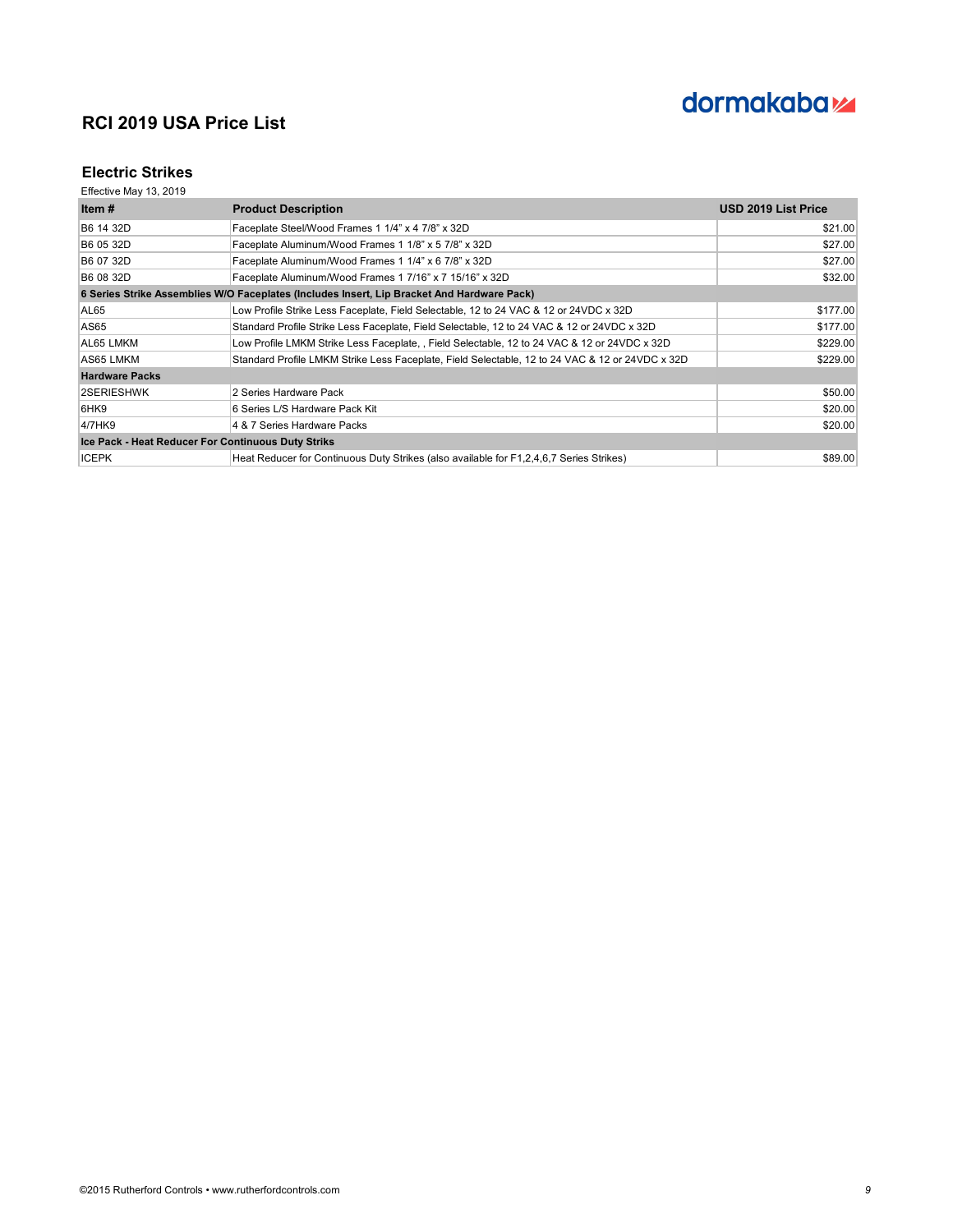

### **Electric Strikes**

| Item $#$                                           | <b>Product Description</b>                                                                      | USD 2019 List Price |
|----------------------------------------------------|-------------------------------------------------------------------------------------------------|---------------------|
| B6 14 32D                                          | Faceplate Steel/Wood Frames 1 1/4" x 4 7/8" x 32D                                               | \$21.00             |
| B6 05 32D                                          | Faceplate Aluminum/Wood Frames 1 1/8" x 5 7/8" x 32D                                            | \$27.00             |
| B6 07 32D                                          | Faceplate Aluminum/Wood Frames 1 1/4" x 6 7/8" x 32D                                            | \$27.00             |
| B6 08 32D                                          | Faceplate Aluminum/Wood Frames 1 7/16" x 7 15/16" x 32D                                         | \$32.00             |
|                                                    | 6 Series Strike Assemblies W/O Faceplates (Includes Insert, Lip Bracket And Hardware Pack)      |                     |
| AL65                                               | Low Profile Strike Less Faceplate, Field Selectable, 12 to 24 VAC & 12 or 24VDC x 32D           | \$177.00            |
| AS65                                               | Standard Profile Strike Less Faceplate, Field Selectable, 12 to 24 VAC & 12 or 24VDC x 32D      | \$177.00            |
| AL65 LMKM                                          | Low Profile LMKM Strike Less Faceplate, , Field Selectable, 12 to 24 VAC & 12 or 24VDC x 32D    | \$229.00            |
| AS65 LMKM                                          | Standard Profile LMKM Strike Less Faceplate, Field Selectable, 12 to 24 VAC & 12 or 24VDC x 32D | \$229.00            |
| <b>Hardware Packs</b>                              |                                                                                                 |                     |
| 2SERIESHWK                                         | 2 Series Hardware Pack                                                                          | \$50.00             |
| 6HK9                                               | 6 Series L/S Hardware Pack Kit                                                                  | \$20.00             |
| 4/7HK9                                             | 4 & 7 Series Hardware Packs                                                                     | \$20.00             |
| Ice Pack - Heat Reducer For Continuous Duty Striks |                                                                                                 |                     |
| <b>ICEPK</b>                                       | Heat Reducer for Continuous Duty Strikes (also available for F1,2,4,6,7 Series Strikes)         | \$89.00             |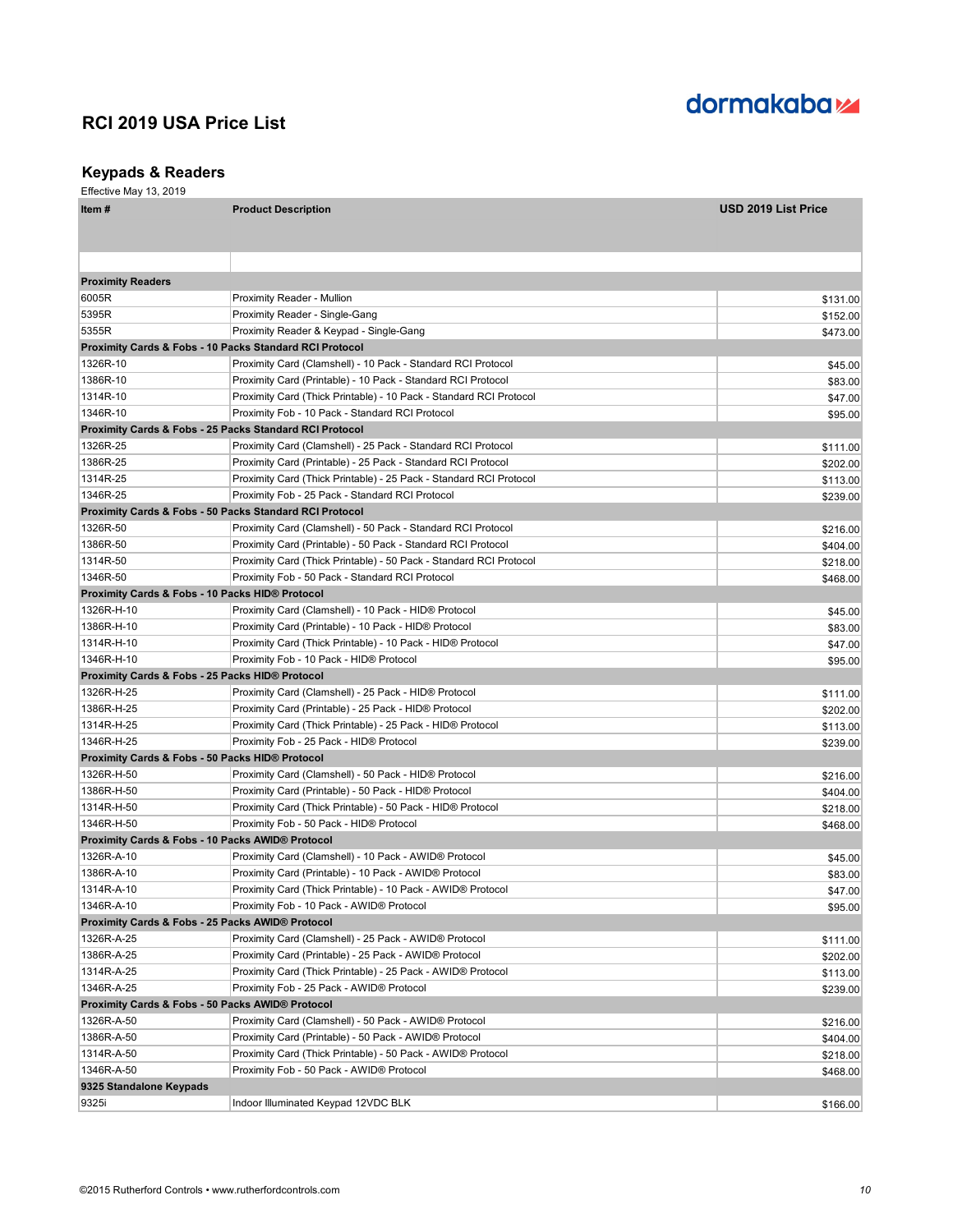# dormakaba<sub>z</sub>

## **Keypads & Readers**

| ltem #                   | <b>Product Description</b>                                         | <b>USD 2019 List Price</b> |  |
|--------------------------|--------------------------------------------------------------------|----------------------------|--|
|                          |                                                                    |                            |  |
|                          |                                                                    |                            |  |
| <b>Proximity Readers</b> |                                                                    |                            |  |
| 6005R                    | Proximity Reader - Mullion                                         | \$131.00                   |  |
| 5395R                    | Proximity Reader - Single-Gang                                     | \$152.00                   |  |
| 5355R                    | Proximity Reader & Keypad - Single-Gang                            | \$473.00                   |  |
|                          | <b>Proximity Cards &amp; Fobs - 10 Packs Standard RCI Protocol</b> |                            |  |
| 1326R-10                 | Proximity Card (Clamshell) - 10 Pack - Standard RCI Protocol       | \$45.00                    |  |
| 1386R-10                 | Proximity Card (Printable) - 10 Pack - Standard RCI Protocol       | \$83.00                    |  |
| 1314R-10                 | Proximity Card (Thick Printable) - 10 Pack - Standard RCI Protocol | \$47.00                    |  |
| 1346R-10                 | Proximity Fob - 10 Pack - Standard RCI Protocol                    | \$95.00                    |  |
|                          | <b>Proximity Cards &amp; Fobs - 25 Packs Standard RCI Protocol</b> |                            |  |
| 1326R-25                 | Proximity Card (Clamshell) - 25 Pack - Standard RCI Protocol       | \$111.00                   |  |
| 1386R-25                 | Proximity Card (Printable) - 25 Pack - Standard RCI Protocol       | \$202.00                   |  |
| 1314R-25                 | Proximity Card (Thick Printable) - 25 Pack - Standard RCI Protocol | \$113.00                   |  |
| 1346R-25                 | Proximity Fob - 25 Pack - Standard RCI Protocol                    | \$239.00                   |  |
|                          | <b>Proximity Cards &amp; Fobs - 50 Packs Standard RCI Protocol</b> |                            |  |
| 1326R-50                 | Proximity Card (Clamshell) - 50 Pack - Standard RCI Protocol       | \$216.00                   |  |
| 1386R-50                 | Proximity Card (Printable) - 50 Pack - Standard RCI Protocol       | \$404.00                   |  |
| 1314R-50                 | Proximity Card (Thick Printable) - 50 Pack - Standard RCI Protocol | \$218.00                   |  |
| 1346R-50                 | Proximity Fob - 50 Pack - Standard RCI Protocol                    | \$468.00                   |  |
|                          | <b>Proximity Cards &amp; Fobs - 10 Packs HID® Protocol</b>         |                            |  |
| 1326R-H-10               | Proximity Card (Clamshell) - 10 Pack - HID® Protocol               | \$45.00                    |  |
| 1386R-H-10               | Proximity Card (Printable) - 10 Pack - HID® Protocol               | \$83.00                    |  |
| 1314R-H-10               | Proximity Card (Thick Printable) - 10 Pack - HID® Protocol         | \$47.00                    |  |
| 1346R-H-10               | Proximity Fob - 10 Pack - HID® Protocol                            | \$95.00                    |  |
|                          | Proximity Cards & Fobs - 25 Packs HID® Protocol                    |                            |  |
| 1326R-H-25               | Proximity Card (Clamshell) - 25 Pack - HID® Protocol               | \$111.00                   |  |
| 1386R-H-25               | Proximity Card (Printable) - 25 Pack - HID® Protocol               | \$202.00                   |  |
| 1314R-H-25               | Proximity Card (Thick Printable) - 25 Pack - HID® Protocol         | \$113.00                   |  |
| 1346R-H-25               | Proximity Fob - 25 Pack - HID® Protocol                            | \$239.00                   |  |
|                          | Proximity Cards & Fobs - 50 Packs HID® Protocol                    |                            |  |
| 1326R-H-50               | Proximity Card (Clamshell) - 50 Pack - HID® Protocol               | \$216.00                   |  |
| 1386R-H-50               | Proximity Card (Printable) - 50 Pack - HID® Protocol               | \$404.00                   |  |
| 1314R-H-50               | Proximity Card (Thick Printable) - 50 Pack - HID® Protocol         | \$218.00                   |  |
| 1346R-H-50               | Proximity Fob - 50 Pack - HID® Protocol                            | \$468.00                   |  |
|                          | <b>Proximity Cards &amp; Fobs - 10 Packs AWID® Protocol</b>        |                            |  |
| 1326R-A-10               | Proximity Card (Clamshell) - 10 Pack - AWID® Protocol              | \$45.00                    |  |
| 1386R-A-10               | Proximity Card (Printable) - 10 Pack - AWID® Protocol              | \$83.00                    |  |
| 1314R-A-10               | Proximity Card (Thick Printable) - 10 Pack - AWID® Protocol        | \$47.00                    |  |
| 1346R-A-10               | Proximity Fob - 10 Pack - AWID® Protocol                           | \$95.00                    |  |
|                          | Proximity Cards & Fobs - 25 Packs AWID® Protocol                   |                            |  |
| 1326R-A-25               | Proximity Card (Clamshell) - 25 Pack - AWID® Protocol              | \$111.00                   |  |
| 1386R-A-25               | Proximity Card (Printable) - 25 Pack - AWID® Protocol              | \$202.00                   |  |
| 1314R-A-25               | Proximity Card (Thick Printable) - 25 Pack - AWID® Protocol        | \$113.00                   |  |
| 1346R-A-25               | Proximity Fob - 25 Pack - AWID® Protocol                           | \$239.00                   |  |
|                          | Proximity Cards & Fobs - 50 Packs AWID® Protocol                   |                            |  |
| 1326R-A-50               | Proximity Card (Clamshell) - 50 Pack - AWID® Protocol              | \$216.00                   |  |
| 1386R-A-50               | Proximity Card (Printable) - 50 Pack - AWID® Protocol              | \$404.00                   |  |
| 1314R-A-50               | Proximity Card (Thick Printable) - 50 Pack - AWID® Protocol        | \$218.00                   |  |
| 1346R-A-50               | Proximity Fob - 50 Pack - AWID® Protocol                           | \$468.00                   |  |
| 9325 Standalone Keypads  |                                                                    |                            |  |
| 9325i                    | Indoor Illuminated Keypad 12VDC BLK                                | \$166.00                   |  |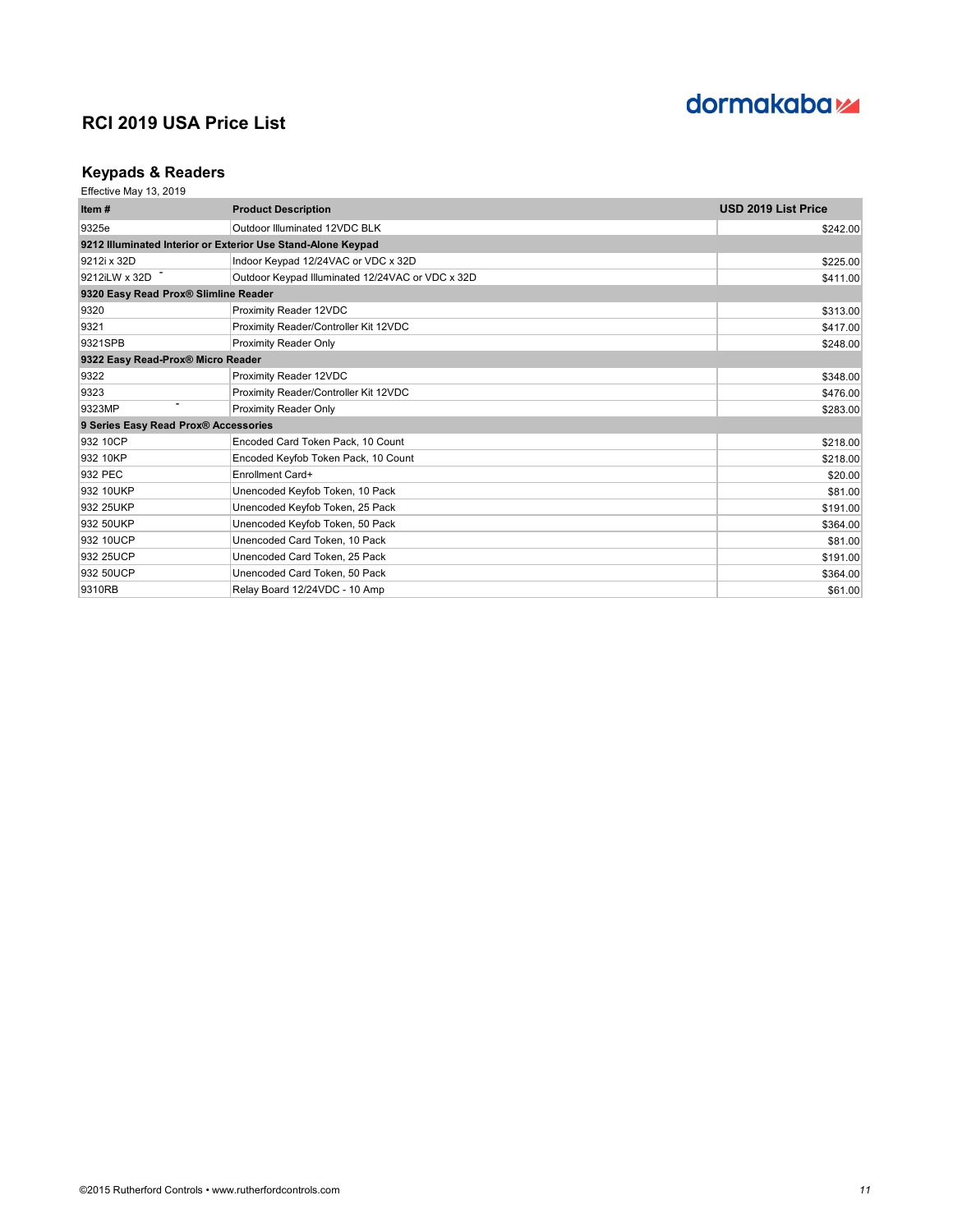# dormakaba<sub>z</sub>

## **Keypads & Readers**

| Item $#$                             | <b>Product Description</b>                                   | <b>USD 2019 List Price</b> |
|--------------------------------------|--------------------------------------------------------------|----------------------------|
| 9325e                                | Outdoor Illuminated 12VDC BLK                                | \$242.00                   |
|                                      | 9212 Illuminated Interior or Exterior Use Stand-Alone Keypad |                            |
| 9212i x 32D                          | Indoor Keypad 12/24VAC or VDC x 32D                          | \$225.00                   |
| 9212iLW x 32D                        | Outdoor Keypad Illuminated 12/24VAC or VDC x 32D             | \$411.00                   |
| 9320 Easy Read Prox® Slimline Reader |                                                              |                            |
| 9320                                 | Proximity Reader 12VDC                                       | \$313.00                   |
| 9321                                 | Proximity Reader/Controller Kit 12VDC                        | \$417.00                   |
| 9321SPB                              | <b>Proximity Reader Only</b>                                 | \$248.00                   |
| 9322 Easy Read-Prox® Micro Reader    |                                                              |                            |
| 9322                                 | Proximity Reader 12VDC                                       | \$348.00                   |
| 9323                                 | Proximity Reader/Controller Kit 12VDC                        | \$476.00                   |
| 9323MP                               | Proximity Reader Only                                        | \$283.00                   |
| 9 Series Easy Read Prox® Accessories |                                                              |                            |
| 932 10CP                             | Encoded Card Token Pack, 10 Count                            | \$218.00                   |
| 932 10KP                             | Encoded Keyfob Token Pack, 10 Count                          | \$218.00                   |
| 932 PEC                              | Enrollment Card+                                             | \$20.00                    |
| 932 10UKP                            | Unencoded Keyfob Token, 10 Pack                              | \$81.00                    |
| 932 25UKP                            | Unencoded Keyfob Token, 25 Pack                              | \$191.00                   |
| 932 50UKP                            | Unencoded Keyfob Token, 50 Pack                              | \$364.00                   |
| 932 10UCP                            | Unencoded Card Token, 10 Pack                                | \$81.00                    |
| 932 25UCP                            | Unencoded Card Token, 25 Pack                                | \$191.00                   |
| 932 50UCP                            | Unencoded Card Token, 50 Pack                                | \$364.00                   |
| 9310RB                               | Relay Board 12/24VDC - 10 Amp                                | \$61.00                    |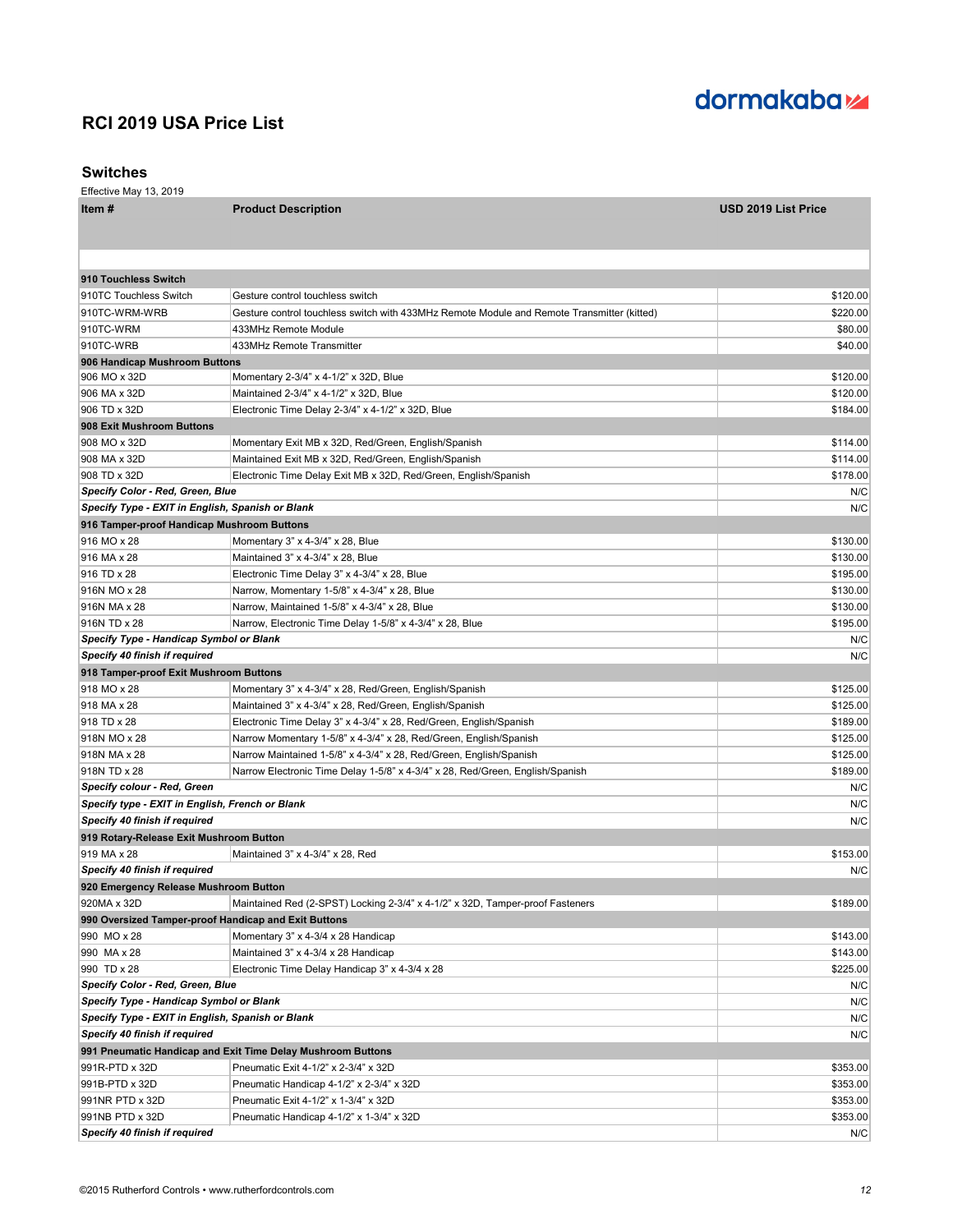### **Switches**

| Item#                                                | <b>Product Description</b>                                                                 | <b>USD 2019 List Price</b> |
|------------------------------------------------------|--------------------------------------------------------------------------------------------|----------------------------|
|                                                      |                                                                                            |                            |
|                                                      |                                                                                            |                            |
| 910 Touchless Switch                                 |                                                                                            |                            |
| 910TC Touchless Switch                               | Gesture control touchless switch                                                           | \$120.00                   |
| 910TC-WRM-WRB                                        | Gesture control touchless switch with 433MHz Remote Module and Remote Transmitter (kitted) | \$220.00                   |
| 910TC-WRM                                            | 433MHz Remote Module                                                                       | \$80.00                    |
| 910TC-WRB                                            | 433MHz Remote Transmitter                                                                  | \$40.00                    |
| 906 Handicap Mushroom Buttons                        |                                                                                            |                            |
| 906 MO x 32D                                         | Momentary 2-3/4" x 4-1/2" x 32D, Blue                                                      | \$120.00                   |
| 906 MA x 32D                                         | Maintained 2-3/4" x 4-1/2" x 32D, Blue                                                     | \$120.00                   |
| 906 TD x 32D                                         | Electronic Time Delay 2-3/4" x 4-1/2" x 32D, Blue                                          | \$184.00                   |
| 908 Exit Mushroom Buttons                            |                                                                                            |                            |
| 908 MO x 32D                                         | Momentary Exit MB x 32D, Red/Green, English/Spanish                                        | \$114.00                   |
| 908 MA x 32D                                         | Maintained Exit MB x 32D, Red/Green, English/Spanish                                       | \$114.00                   |
| 908 TD x 32D                                         | Electronic Time Delay Exit MB x 32D, Red/Green, English/Spanish                            | \$178.00                   |
| <b>Specify Color - Red, Green, Blue</b>              |                                                                                            | N/C                        |
| Specify Type - EXIT in English, Spanish or Blank     |                                                                                            | N/C                        |
| 916 Tamper-proof Handicap Mushroom Buttons           |                                                                                            |                            |
| 916 MO x 28                                          | Momentary 3" x 4-3/4" x 28, Blue                                                           | \$130.00                   |
| 916 MA x 28                                          | Maintained 3" x 4-3/4" x 28, Blue                                                          | \$130.00                   |
| 916 TD x 28                                          | Electronic Time Delay 3" x 4-3/4" x 28, Blue                                               | \$195.00                   |
| 916N MO x 28                                         | Narrow, Momentary 1-5/8" x 4-3/4" x 28, Blue                                               | \$130.00                   |
| 916N MA x 28                                         | Narrow, Maintained 1-5/8" x 4-3/4" x 28, Blue                                              | \$130.00                   |
| 916N TD x 28                                         | Narrow, Electronic Time Delay 1-5/8" x 4-3/4" x 28, Blue                                   | \$195.00                   |
| Specify Type - Handicap Symbol or Blank              |                                                                                            | N/C                        |
| Specify 40 finish if required                        |                                                                                            | N/C                        |
| 918 Tamper-proof Exit Mushroom Buttons               |                                                                                            |                            |
| 918 MO x 28                                          | Momentary 3" x 4-3/4" x 28, Red/Green, English/Spanish                                     | \$125.00                   |
| 918 MA x 28                                          | Maintained 3" x 4-3/4" x 28, Red/Green, English/Spanish                                    | \$125.00                   |
| 918 TD x 28                                          | Electronic Time Delay 3" x 4-3/4" x 28, Red/Green, English/Spanish                         | \$189.00                   |
| 918N MO x 28                                         | Narrow Momentary 1-5/8" x 4-3/4" x 28, Red/Green, English/Spanish                          | \$125.00                   |
| 918N MA x 28                                         | Narrow Maintained 1-5/8" x 4-3/4" x 28, Red/Green, English/Spanish                         | \$125.00                   |
| 918N TD x 28                                         | Narrow Electronic Time Delay 1-5/8" x 4-3/4" x 28, Red/Green, English/Spanish              | \$189.00                   |
| <b>Specify colour - Red, Green</b>                   |                                                                                            | N/C                        |
| Specify type - EXIT in English, French or Blank      |                                                                                            | N/C                        |
| Specify 40 finish if required                        |                                                                                            | N/C                        |
| 919 Rotary-Release Exit Mushroom Button              |                                                                                            |                            |
| 919 MA x 28                                          | Maintained 3" x 4-3/4" x 28, Red                                                           | \$153.00                   |
| Specify 40 finish if required                        |                                                                                            | N/C                        |
| 920 Emergency Release Mushroom Button                |                                                                                            |                            |
| 920MA x 32D                                          | Maintained Red (2-SPST) Locking 2-3/4" x 4-1/2" x 32D, Tamper-proof Fasteners              | \$189.00                   |
| 990 Oversized Tamper-proof Handicap and Exit Buttons |                                                                                            |                            |
| 990 MO x 28                                          | Momentary 3" x 4-3/4 x 28 Handicap                                                         | \$143.00                   |
| 990 MA x 28                                          | Maintained 3" x 4-3/4 x 28 Handicap                                                        | \$143.00                   |
| 990 TD x 28                                          | Electronic Time Delay Handicap 3" x 4-3/4 x 28                                             | \$225.00                   |
| <b>Specify Color - Red, Green, Blue</b>              |                                                                                            | N/C                        |
| Specify Type - Handicap Symbol or Blank              |                                                                                            | N/C                        |
| Specify Type - EXIT in English, Spanish or Blank     |                                                                                            | N/C                        |
| Specify 40 finish if required                        |                                                                                            | N/C                        |
|                                                      | 991 Pneumatic Handicap and Exit Time Delay Mushroom Buttons                                |                            |
| 991R-PTD x 32D                                       | Pneumatic Exit 4-1/2" x 2-3/4" x 32D                                                       | \$353.00                   |
| 991B-PTD x 32D                                       | Pneumatic Handicap 4-1/2" x 2-3/4" x 32D                                                   | \$353.00                   |
| 991NR PTD x 32D                                      | Pneumatic Exit 4-1/2" x 1-3/4" x 32D                                                       | \$353.00                   |
| 991NB PTD x 32D                                      | Pneumatic Handicap 4-1/2" x 1-3/4" x 32D                                                   | \$353.00                   |
| Specify 40 finish if required                        |                                                                                            | N/C                        |

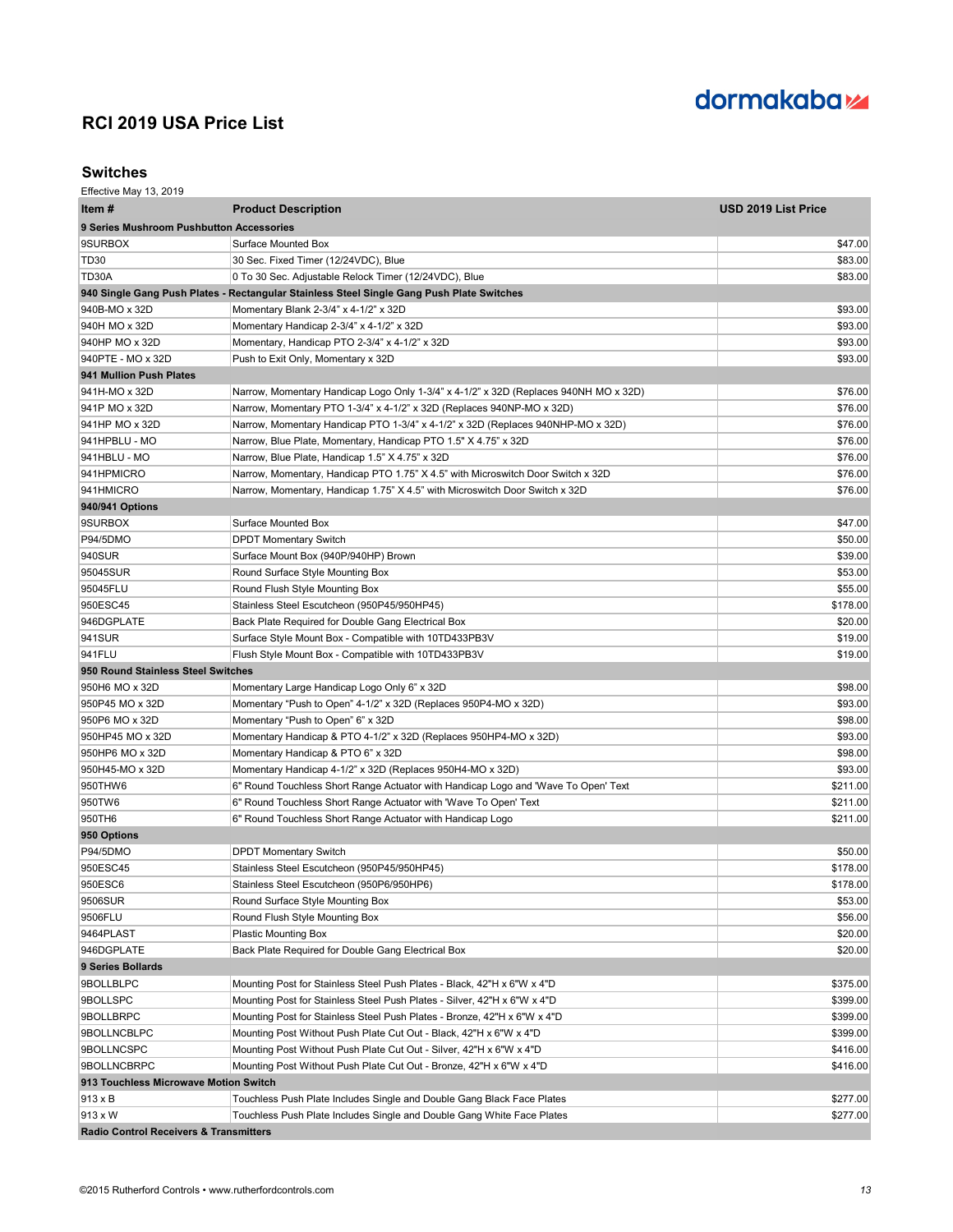

### **Switches**

| Item #                                            | <b>Product Description</b>                                                                | USD 2019 List Price |
|---------------------------------------------------|-------------------------------------------------------------------------------------------|---------------------|
| 9 Series Mushroom Pushbutton Accessories          |                                                                                           |                     |
| 9SURBOX                                           | Surface Mounted Box                                                                       | \$47.00             |
| TD <sub>30</sub>                                  | 30 Sec. Fixed Timer (12/24VDC), Blue                                                      | \$83.00             |
| TD30A                                             | 0 To 30 Sec. Adjustable Relock Timer (12/24VDC), Blue                                     | \$83.00             |
|                                                   | 940 Single Gang Push Plates - Rectangular Stainless Steel Single Gang Push Plate Switches |                     |
| 940B-MO x 32D                                     | Momentary Blank 2-3/4" x 4-1/2" x 32D                                                     | \$93.00             |
| 940H MO x 32D                                     | Momentary Handicap 2-3/4" x 4-1/2" x 32D                                                  | \$93.00             |
| 940HP MO x 32D                                    | Momentary, Handicap PTO 2-3/4" x 4-1/2" x 32D                                             | \$93.00             |
| 940PTE - MO x 32D                                 | Push to Exit Only, Momentary x 32D                                                        | \$93.00             |
| 941 Mullion Push Plates                           |                                                                                           |                     |
| 941H-MO x 32D                                     | Narrow, Momentary Handicap Logo Only 1-3/4" x 4-1/2" x 32D (Replaces 940NH MO x 32D)      | \$76.00             |
| 941P MO x 32D                                     | Narrow, Momentary PTO 1-3/4" x 4-1/2" x 32D (Replaces 940NP-MO x 32D)                     | \$76.00             |
| 941HP MO x 32D                                    | Narrow, Momentary Handicap PTO 1-3/4" x 4-1/2" x 32D (Replaces 940NHP-MO x 32D)           | \$76.00             |
| 941HPBLU - MO                                     | Narrow, Blue Plate, Momentary, Handicap PTO 1.5" X 4.75" x 32D                            | \$76.00             |
| 941HBLU - MO                                      | Narrow, Blue Plate, Handicap 1.5" X 4.75" x 32D                                           | \$76.00             |
| 941HPMICRO                                        | Narrow, Momentary, Handicap PTO 1.75" X 4.5" with Microswitch Door Switch x 32D           | \$76.00             |
| 941HMICRO                                         | Narrow, Momentary, Handicap 1.75" X 4.5" with Microswitch Door Switch x 32D               | \$76.00             |
| 940/941 Options                                   |                                                                                           |                     |
| 9SURBOX                                           | Surface Mounted Box                                                                       | \$47.00             |
| <b>P94/5DMO</b>                                   | <b>DPDT Momentary Switch</b>                                                              | \$50.00             |
| 940SUR                                            | Surface Mount Box (940P/940HP) Brown                                                      | \$39.00             |
| 95045SUR                                          | Round Surface Style Mounting Box                                                          | \$53.00             |
| 95045FLU                                          | Round Flush Style Mounting Box                                                            | \$55.00             |
| 950ESC45                                          | Stainless Steel Escutcheon (950P45/950HP45)                                               | \$178.00            |
| 946DGPLATE                                        | Back Plate Required for Double Gang Electrical Box                                        | \$20.00             |
| 941SUR                                            | Surface Style Mount Box - Compatible with 10TD433PB3V                                     | \$19.00             |
| 941FLU                                            | Flush Style Mount Box - Compatible with 10TD433PB3V                                       | \$19.00             |
| 950 Round Stainless Steel Switches                |                                                                                           |                     |
| 950H6 MO x 32D                                    | Momentary Large Handicap Logo Only 6" x 32D                                               | \$98.00             |
| 950P45 MO x 32D                                   | Momentary "Push to Open" 4-1/2" x 32D (Replaces 950P4-MO x 32D)                           | \$93.00             |
| 950P6 MO x 32D                                    | Momentary "Push to Open" 6" x 32D                                                         | \$98.00             |
| 950HP45 MO x 32D                                  | Momentary Handicap & PTO 4-1/2" x 32D (Replaces 950HP4-MO x 32D)                          | \$93.00             |
| 950HP6 MO x 32D                                   | Momentary Handicap & PTO 6" x 32D                                                         | \$98.00             |
| 950H45-MO x 32D                                   | Momentary Handicap 4-1/2" x 32D (Replaces 950H4-MO x 32D)                                 | \$93.00             |
| 950THW6                                           | 6" Round Touchless Short Range Actuator with Handicap Logo and 'Wave To Open' Text        | \$211.00            |
| 950TW6                                            | 6" Round Touchless Short Range Actuator with 'Wave To Open' Text                          | \$211.00            |
| 950TH6                                            | 6" Round Touchless Short Range Actuator with Handicap Logo                                | \$211.00            |
| 950 Options                                       |                                                                                           |                     |
| <b>P94/5DMO</b>                                   | <b>DPDT Momentary Switch</b>                                                              | \$50.00             |
| 950ESC45                                          | Stainless Steel Escutcheon (950P45/950HP45)                                               | \$178.00            |
| 950ESC6                                           | Stainless Steel Escutcheon (950P6/950HP6)                                                 | \$178.00            |
| 9506SUR                                           | Round Surface Style Mounting Box                                                          | \$53.00             |
| 9506FLU                                           | Round Flush Style Mounting Box                                                            | \$56.00             |
| 9464PLAST                                         | <b>Plastic Mounting Box</b>                                                               | \$20.00             |
| 946DGPLATE                                        | Back Plate Required for Double Gang Electrical Box                                        | \$20.00             |
| 9 Series Bollards                                 |                                                                                           |                     |
| 9BOLLBLPC                                         | Mounting Post for Stainless Steel Push Plates - Black, 42"H x 6"W x 4"D                   | \$375.00            |
| 9BOLLSPC                                          | Mounting Post for Stainless Steel Push Plates - Silver, 42"H x 6"W x 4"D                  | \$399.00            |
| 9BOLLBRPC                                         | Mounting Post for Stainless Steel Push Plates - Bronze, 42"H x 6"W x 4"D                  | \$399.00            |
| 9BOLLNCBLPC                                       | Mounting Post Without Push Plate Cut Out - Black, 42"H x 6"W x 4"D                        | \$399.00            |
| 9BOLLNCSPC                                        | Mounting Post Without Push Plate Cut Out - Silver, 42"H x 6"W x 4"D                       | \$416.00            |
| 9BOLLNCBRPC                                       | Mounting Post Without Push Plate Cut Out - Bronze, 42"H x 6"W x 4"D                       | \$416.00            |
| 913 Touchless Microwave Motion Switch             |                                                                                           |                     |
| 913 x B                                           | Touchless Push Plate Includes Single and Double Gang Black Face Plates                    | \$277.00            |
| 913 x W                                           | Touchless Push Plate Includes Single and Double Gang White Face Plates                    | \$277.00            |
| <b>Radio Control Receivers &amp; Transmitters</b> |                                                                                           |                     |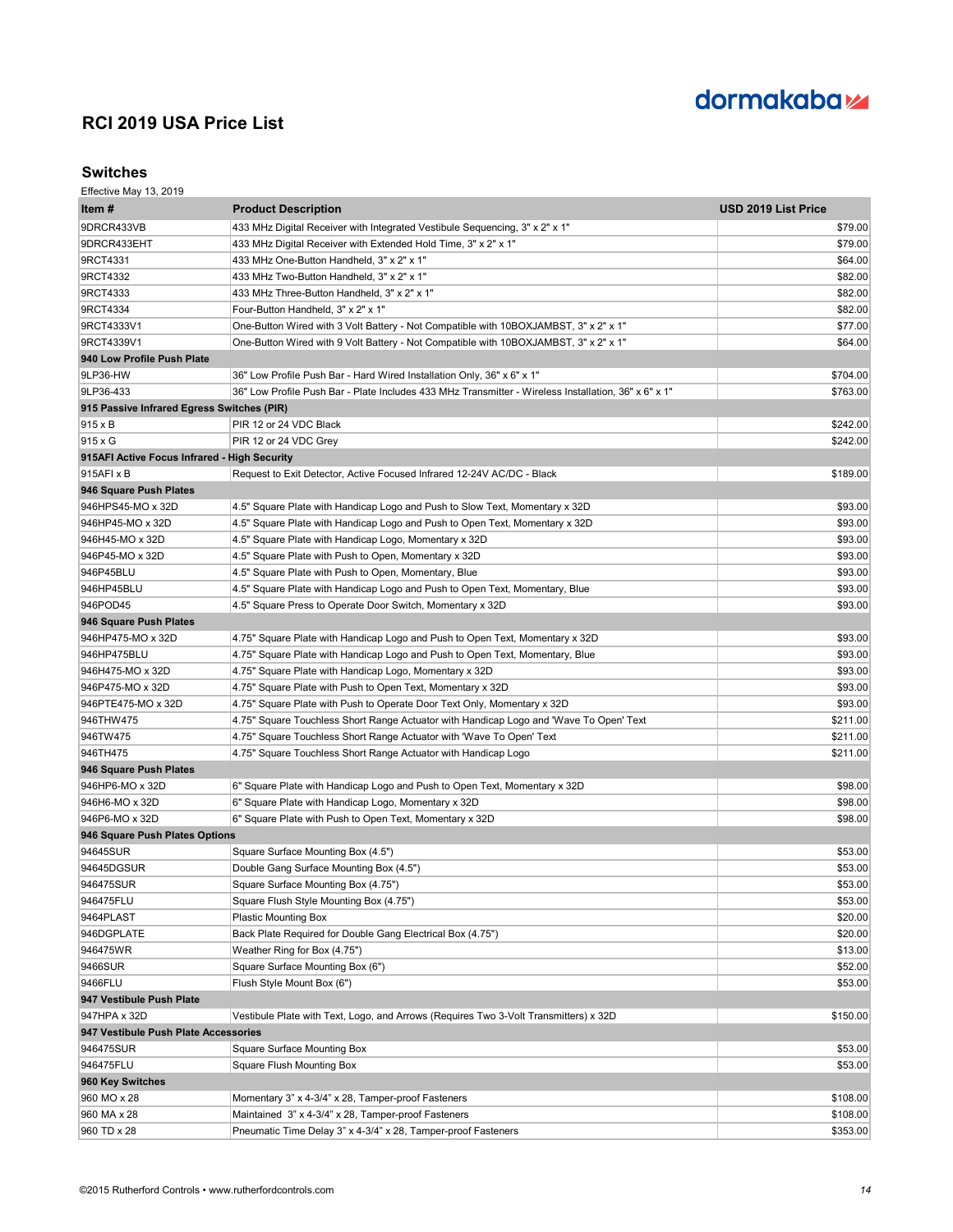# dormakaba<sub>z</sub>

### **Switches**

| Item #                                       | <b>Product Description</b>                                                                           | USD 2019 List Price |
|----------------------------------------------|------------------------------------------------------------------------------------------------------|---------------------|
| 9DRCR433VB                                   | 433 MHz Digital Receiver with Integrated Vestibule Sequencing, 3" x 2" x 1"                          | \$79.00             |
| 9DRCR433EHT                                  | 433 MHz Digital Receiver with Extended Hold Time, 3" x 2" x 1"                                       | \$79.00             |
| 9RCT4331                                     | 433 MHz One-Button Handheld, 3" x 2" x 1"                                                            | \$64.00             |
| 9RCT4332                                     | 433 MHz Two-Button Handheld, 3" x 2" x 1"                                                            | \$82.00             |
| 9RCT4333                                     | 433 MHz Three-Button Handheld, 3" x 2" x 1"                                                          | \$82.00             |
| 9RCT4334                                     | Four-Button Handheld, 3" x 2" x 1"                                                                   | \$82.00             |
| 9RCT4333V1                                   | One-Button Wired with 3 Volt Battery - Not Compatible with 10BOXJAMBST, 3" x 2" x 1"                 | \$77.00             |
| 9RCT4339V1                                   | One-Button Wired with 9 Volt Battery - Not Compatible with 10BOXJAMBST, 3" x 2" x 1"                 | \$64.00             |
| 940 Low Profile Push Plate                   |                                                                                                      |                     |
| 9LP36-HW                                     | 36" Low Profile Push Bar - Hard Wired Installation Only, 36" x 6" x 1"                               | \$704.00            |
| 9LP36-433                                    | 36" Low Profile Push Bar - Plate Includes 433 MHz Transmitter - Wireless Installation, 36" x 6" x 1" | \$763.00            |
| 915 Passive Infrared Egress Switches (PIR)   |                                                                                                      |                     |
| 915 x B                                      | PIR 12 or 24 VDC Black                                                                               | \$242.00            |
| 915 x G                                      | PIR 12 or 24 VDC Grev                                                                                | \$242.00            |
| 915AFI Active Focus Infrared - High Security |                                                                                                      |                     |
| 915AFI x B                                   | Request to Exit Detector, Active Focused Infrared 12-24V AC/DC - Black                               | \$189.00            |
| 946 Square Push Plates                       |                                                                                                      |                     |
| 946HPS45-MO x 32D                            | 4.5" Square Plate with Handicap Logo and Push to Slow Text, Momentary x 32D                          | \$93.00             |
| 946HP45-MO x 32D                             | 4.5" Square Plate with Handicap Logo and Push to Open Text, Momentary x 32D                          | \$93.00             |
| 946H45-MO x 32D                              | 4.5" Square Plate with Handicap Logo, Momentary x 32D                                                | \$93.00             |
| 946P45-MO x 32D                              | 4.5" Square Plate with Push to Open, Momentary x 32D                                                 | \$93.00             |
| 946P45BLU                                    | 4.5" Square Plate with Push to Open, Momentary, Blue                                                 | \$93.00             |
| 946HP45BLU                                   | 4.5" Square Plate with Handicap Logo and Push to Open Text, Momentary, Blue                          | \$93.00             |
| 946POD45                                     | 4.5" Square Press to Operate Door Switch, Momentary x 32D                                            | \$93.00             |
| 946 Square Push Plates                       |                                                                                                      |                     |
| 946HP475-MO x 32D                            | 4.75" Square Plate with Handicap Logo and Push to Open Text, Momentary x 32D                         | \$93.00             |
|                                              |                                                                                                      |                     |
| 946HP475BLU                                  | 4.75" Square Plate with Handicap Logo and Push to Open Text, Momentary, Blue                         | \$93.00             |
| 946H475-MO x 32D                             | 4.75" Square Plate with Handicap Logo, Momentary x 32D                                               | \$93.00             |
| 946P475-MO x 32D                             | 4.75" Square Plate with Push to Open Text, Momentary x 32D                                           | \$93.00             |
| 946PTE475-MO x 32D                           | 4.75" Square Plate with Push to Operate Door Text Only, Momentary x 32D                              | \$93.00             |
| 946THW475                                    | 4.75" Square Touchless Short Range Actuator with Handicap Logo and 'Wave To Open' Text               | \$211.00            |
| 946TW475                                     | 4.75" Square Touchless Short Range Actuator with 'Wave To Open' Text                                 | \$211.00            |
| 946TH475                                     | 4.75" Square Touchless Short Range Actuator with Handicap Logo                                       | \$211.00            |
| 946 Square Push Plates                       |                                                                                                      |                     |
| 946HP6-MO x 32D                              | 6" Square Plate with Handicap Logo and Push to Open Text, Momentary x 32D                            | \$98.00             |
| 946H6-MO x 32D                               | 6" Square Plate with Handicap Logo, Momentary x 32D                                                  | \$98.00             |
| 946P6-MO x 32D                               | 6" Square Plate with Push to Open Text, Momentary x 32D                                              | \$98.00             |
| 946 Square Push Plates Options               |                                                                                                      |                     |
| 94645SUR                                     | Square Surface Mounting Box (4.5")                                                                   | \$53.00             |
| 94645DGSUR                                   | Double Gang Surface Mounting Box (4.5")                                                              | \$53.00             |
| 946475SUR                                    | Square Surface Mounting Box (4.75")                                                                  | \$53.00             |
| 946475FLU                                    | Square Flush Style Mounting Box (4.75")                                                              | \$53.00             |
| 9464PLAST                                    | <b>Plastic Mounting Box</b>                                                                          | \$20.00             |
| 946DGPLATE                                   | Back Plate Required for Double Gang Electrical Box (4.75")                                           | \$20.00             |
| 946475WR                                     | Weather Ring for Box (4.75")                                                                         | \$13.00             |
| 9466SUR                                      | Square Surface Mounting Box (6")                                                                     | \$52.00             |
| 9466FLU                                      | Flush Style Mount Box (6")                                                                           | \$53.00             |
| 947 Vestibule Push Plate                     |                                                                                                      |                     |
| 947HPA x 32D                                 | Vestibule Plate with Text, Logo, and Arrows (Requires Two 3-Volt Transmitters) x 32D                 | \$150.00            |
| 947 Vestibule Push Plate Accessories         |                                                                                                      |                     |
| 946475SUR                                    | Square Surface Mounting Box                                                                          | \$53.00             |
| 946475FLU                                    | <b>Square Flush Mounting Box</b>                                                                     | \$53.00             |
| 960 Key Switches                             |                                                                                                      |                     |
| 960 MO x 28                                  | Momentary 3" x 4-3/4" x 28, Tamper-proof Fasteners                                                   | \$108.00            |
| 960 MA x 28                                  | Maintained 3" x 4-3/4" x 28, Tamper-proof Fasteners                                                  | \$108.00            |
| 960 TD x 28                                  | Pneumatic Time Delay 3" x 4-3/4" x 28, Tamper-proof Fasteners                                        | \$353.00            |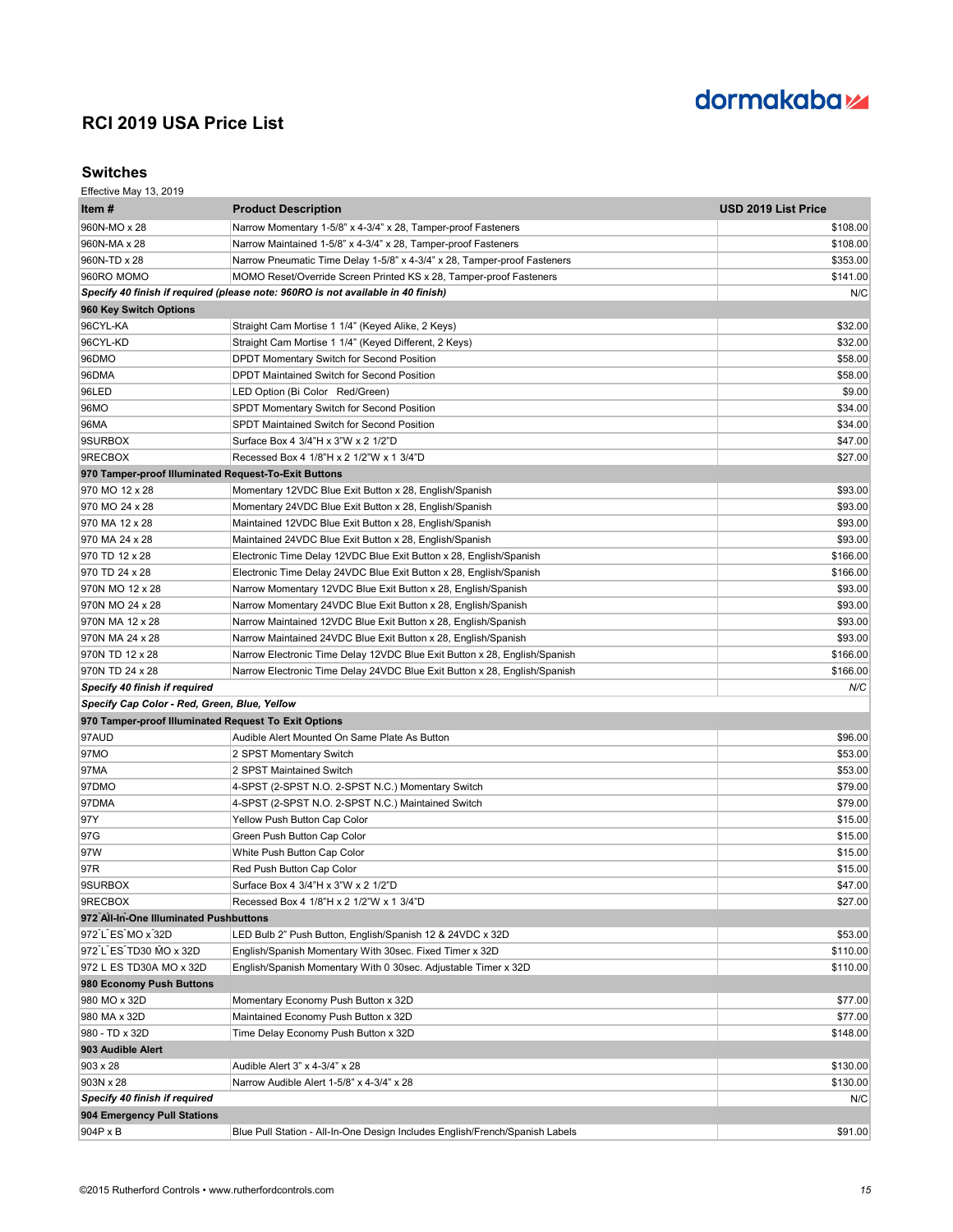# dormakaba<sub>z</sub>

### **Switches**

| Item #                                               | <b>Product Description</b>                                                       | USD 2019 List Price |
|------------------------------------------------------|----------------------------------------------------------------------------------|---------------------|
| 960N-MO x 28                                         | Narrow Momentary 1-5/8" x 4-3/4" x 28, Tamper-proof Fasteners                    | \$108.00            |
| 960N-MA x 28                                         | Narrow Maintained 1-5/8" x 4-3/4" x 28, Tamper-proof Fasteners                   | \$108.00            |
| 960N-TD x 28                                         | Narrow Pneumatic Time Delay 1-5/8" x 4-3/4" x 28, Tamper-proof Fasteners         | \$353.00            |
| 960RO MOMO                                           | MOMO Reset/Override Screen Printed KS x 28, Tamper-proof Fasteners               | \$141.00            |
|                                                      | Specify 40 finish if required (please note: 960RO is not available in 40 finish) | N/C                 |
| 960 Key Switch Options                               |                                                                                  |                     |
| 96CYL-KA                                             | Straight Cam Mortise 1 1/4" (Keyed Alike, 2 Keys)                                | \$32.00             |
| 96CYL-KD                                             | Straight Cam Mortise 1 1/4" (Keyed Different, 2 Keys)                            | \$32.00             |
| 96DMO                                                | DPDT Momentary Switch for Second Position                                        | \$58.00             |
| 96DMA                                                | DPDT Maintained Switch for Second Position                                       | \$58.00             |
| 96LED                                                | LED Option (Bi Color Red/Green)                                                  | \$9.00              |
| 96MO                                                 | SPDT Momentary Switch for Second Position                                        | \$34.00             |
| 96MA                                                 | <b>SPDT Maintained Switch for Second Position</b>                                | \$34.00             |
| 9SURBOX                                              | Surface Box 4 3/4"H x 3"W x 2 1/2"D                                              | \$47.00             |
| 9RECBOX                                              | Recessed Box 4 1/8"H x 2 1/2"W x 1 3/4"D                                         | \$27.00             |
| 970 Tamper-proof Illuminated Request-To-Exit Buttons |                                                                                  |                     |
| 970 MO 12 x 28                                       | Momentary 12VDC Blue Exit Button x 28, English/Spanish                           | \$93.00             |
| 970 MO 24 x 28                                       | Momentary 24VDC Blue Exit Button x 28, English/Spanish                           | \$93.00             |
| 970 MA 12 x 28                                       | Maintained 12VDC Blue Exit Button x 28, English/Spanish                          | \$93.00             |
| 970 MA 24 x 28                                       | Maintained 24VDC Blue Exit Button x 28, English/Spanish                          | \$93.00             |
| 970 TD 12 x 28                                       | Electronic Time Delay 12VDC Blue Exit Button x 28, English/Spanish               | \$166.00            |
| 970 TD 24 x 28                                       | Electronic Time Delay 24VDC Blue Exit Button x 28, English/Spanish               | \$166.00            |
| 970N MO 12 x 28                                      | Narrow Momentary 12VDC Blue Exit Button x 28, English/Spanish                    | \$93.00             |
| 970N MO 24 x 28                                      | Narrow Momentary 24VDC Blue Exit Button x 28, English/Spanish                    | \$93.00             |
| 970N MA 12 x 28                                      | Narrow Maintained 12VDC Blue Exit Button x 28, English/Spanish                   | \$93.00             |
| 970N MA 24 x 28                                      | Narrow Maintained 24VDC Blue Exit Button x 28, English/Spanish                   | \$93.00             |
| 970N TD 12 x 28                                      | Narrow Electronic Time Delay 12VDC Blue Exit Button x 28, English/Spanish        | \$166.00            |
| 970N TD 24 x 28                                      | Narrow Electronic Time Delay 24VDC Blue Exit Button x 28, English/Spanish        | \$166.00            |
| Specify 40 finish if required                        |                                                                                  | N/C                 |
| Specify Cap Color - Red, Green, Blue, Yellow         |                                                                                  |                     |
| 970 Tamper-proof Illuminated Request To Exit Options |                                                                                  |                     |
| 97AUD                                                | Audible Alert Mounted On Same Plate As Button                                    | \$96.00             |
| 97MO                                                 | 2 SPST Momentary Switch                                                          | \$53.00             |
| 97MA                                                 | 2 SPST Maintained Switch                                                         | \$53.00             |
| 97DMO                                                | 4-SPST (2-SPST N.O. 2-SPST N.C.) Momentary Switch                                | \$79.00             |
| 97DMA                                                | 4-SPST (2-SPST N.O. 2-SPST N.C.) Maintained Switch                               | \$79.00             |
| 97Y                                                  | Yellow Push Button Cap Color                                                     | \$15.00             |
| 97G                                                  | Green Push Button Cap Color                                                      | \$15.00             |
| 97W                                                  | White Push Button Cap Color                                                      | \$15.00             |
| 97R                                                  | Red Push Button Cap Color                                                        | \$15.00             |
| 9SURBOX                                              | Surface Box 4 3/4"H x 3"W x 2 1/2"D                                              | \$47.00             |
| 9RECBOX                                              | Recessed Box 4 1/8"H x 2 1/2"W x 1 3/4"D                                         | \$27.00             |
| 972 All-In-One Illuminated Pushbuttons               |                                                                                  |                     |
| 972 L ES MO x 32D                                    | LED Bulb 2" Push Button, English/Spanish 12 & 24VDC x 32D                        | \$53.00             |
| 972 L ES TD30 MO x 32D                               | English/Spanish Momentary With 30sec. Fixed Timer x 32D                          | \$110.00            |
| 972 L ES TD30A MO x 32D                              | English/Spanish Momentary With 0 30sec. Adjustable Timer x 32D                   | \$110.00            |
| 980 Economy Push Buttons                             |                                                                                  |                     |
| 980 MO x 32D                                         | Momentary Economy Push Button x 32D                                              | \$77.00             |
| 980 MA x 32D                                         | Maintained Economy Push Button x 32D                                             | \$77.00             |
| 980 - TD x 32D                                       | Time Delay Economy Push Button x 32D                                             | \$148.00            |
| 903 Audible Alert                                    |                                                                                  |                     |
| 903 x 28                                             | Audible Alert 3" x 4-3/4" x 28                                                   | \$130.00            |
| 903N x 28                                            | Narrow Audible Alert 1-5/8" x 4-3/4" x 28                                        | \$130.00            |
| Specify 40 finish if required                        |                                                                                  | N/C                 |
| 904 Emergency Pull Stations                          |                                                                                  |                     |
| 904P x B                                             | Blue Pull Station - All-In-One Design Includes English/French/Spanish Labels     | \$91.00             |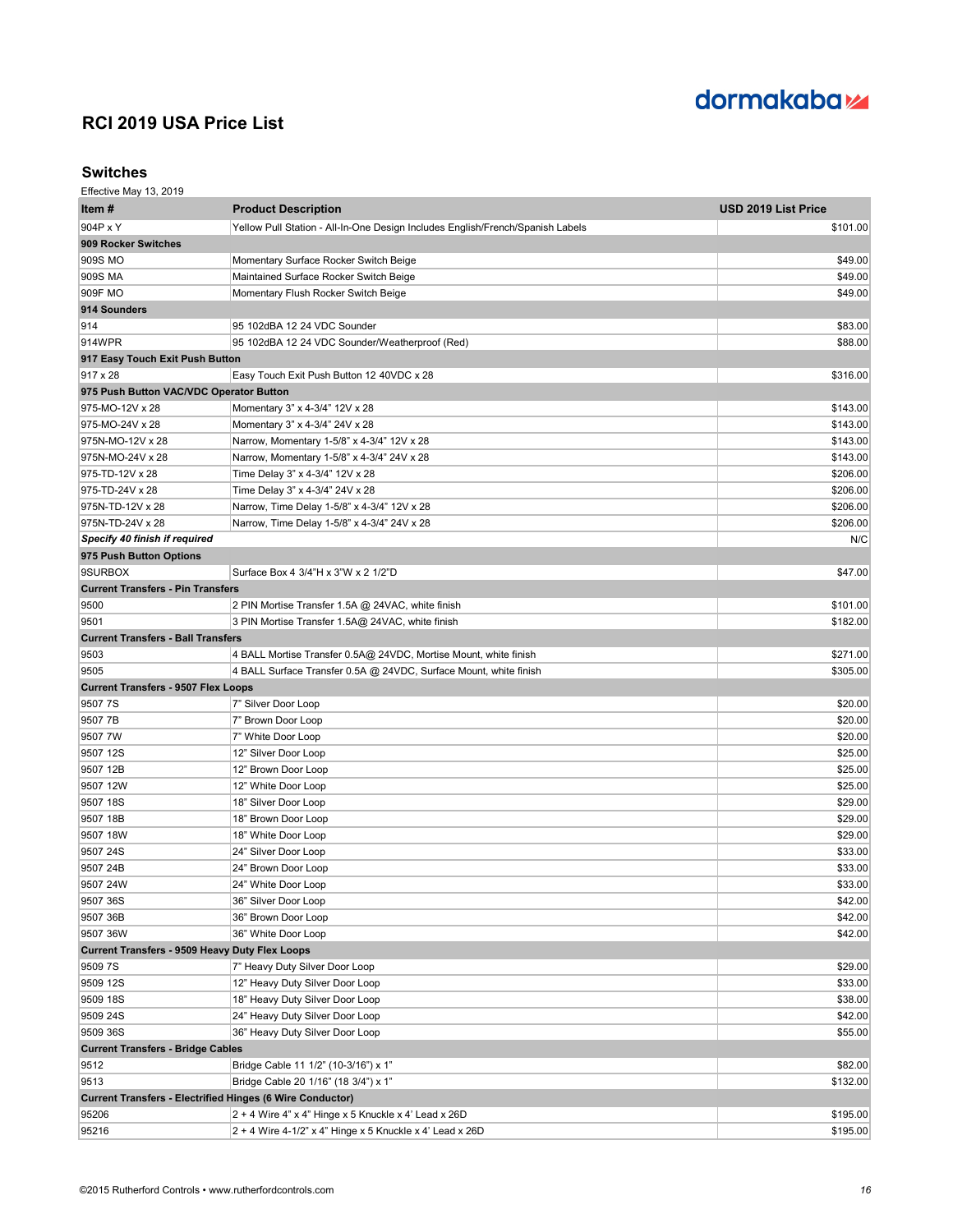# dormakaba<sub>z</sub>

### **Switches**

| Item #                                                           | <b>Product Description</b>                                                     | USD 2019 List Price |
|------------------------------------------------------------------|--------------------------------------------------------------------------------|---------------------|
| 904P x Y                                                         | Yellow Pull Station - All-In-One Design Includes English/French/Spanish Labels | \$101.00            |
| 909 Rocker Switches                                              |                                                                                |                     |
| 909S MO                                                          | Momentary Surface Rocker Switch Beige                                          | \$49.00             |
| 909S MA                                                          | Maintained Surface Rocker Switch Beige                                         | \$49.00             |
| 909F MO                                                          | Momentary Flush Rocker Switch Beige                                            | \$49.00             |
| 914 Sounders                                                     |                                                                                |                     |
| 914                                                              | 95 102dBA 12 24 VDC Sounder                                                    | \$83.00             |
| 914WPR                                                           | 95 102dBA 12 24 VDC Sounder/Weatherproof (Red)                                 | \$88.00             |
| 917 Easy Touch Exit Push Button                                  |                                                                                |                     |
| 917 x 28                                                         | Easy Touch Exit Push Button 12 40VDC x 28                                      | \$316.00            |
| 975 Push Button VAC/VDC Operator Button                          |                                                                                |                     |
| 975-MO-12V x 28                                                  | Momentary 3" x 4-3/4" 12V x 28                                                 | \$143.00            |
| 975-MO-24V x 28                                                  | Momentary 3" x 4-3/4" 24V x 28                                                 | \$143.00            |
| 975N-MO-12V x 28                                                 | Narrow, Momentary 1-5/8" x 4-3/4" 12V x 28                                     | \$143.00            |
| 975N-MO-24V x 28                                                 | Narrow, Momentary 1-5/8" x 4-3/4" 24V x 28                                     | \$143.00            |
| 975-TD-12V x 28                                                  | Time Delay 3" x 4-3/4" 12V x 28                                                | \$206.00            |
| 975-TD-24V x 28                                                  | Time Delay 3" x 4-3/4" 24V x 28                                                | \$206.00            |
| 975N-TD-12V x 28                                                 | Narrow, Time Delay 1-5/8" x 4-3/4" 12V x 28                                    | \$206.00            |
| 975N-TD-24V x 28                                                 | Narrow, Time Delay 1-5/8" x 4-3/4" 24V x 28                                    | \$206.00            |
| Specify 40 finish if required                                    |                                                                                | N/C                 |
| 975 Push Button Options                                          |                                                                                |                     |
| 9SURBOX                                                          | Surface Box 4 3/4"H x 3"W x 2 1/2"D                                            | \$47.00             |
| <b>Current Transfers - Pin Transfers</b>                         |                                                                                |                     |
| 9500                                                             | 2 PIN Mortise Transfer 1.5A @ 24VAC, white finish                              | \$101.00            |
| 9501                                                             | 3 PIN Mortise Transfer 1.5A@ 24VAC, white finish                               | \$182.00            |
| <b>Current Transfers - Ball Transfers</b>                        |                                                                                |                     |
| 9503                                                             | 4 BALL Mortise Transfer 0.5A@ 24VDC, Mortise Mount, white finish               | \$271.00            |
| 9505                                                             | 4 BALL Surface Transfer 0.5A @ 24VDC, Surface Mount, white finish              | \$305.00            |
| <b>Current Transfers - 9507 Flex Loops</b>                       |                                                                                |                     |
| 9507 7S                                                          | 7" Silver Door Loop                                                            | \$20.00             |
| 9507 7B                                                          | 7" Brown Door Loop                                                             | \$20.00             |
| 9507 7W                                                          | 7" White Door Loop                                                             | \$20.00             |
| 9507 12S                                                         | 12" Silver Door Loop                                                           | \$25.00             |
| 9507 12B                                                         | 12" Brown Door Loop                                                            | \$25.00             |
| 9507 12W                                                         | 12" White Door Loop                                                            | \$25.00             |
| 9507 18S                                                         | 18" Silver Door Loop                                                           | \$29.00             |
| 9507 18B                                                         | 18" Brown Door Loop                                                            | \$29.00             |
| 9507 18W                                                         | 18" White Door Loop                                                            | \$29.00             |
| 9507 24S                                                         | 24" Silver Door Loop                                                           | \$33.00             |
| 9507 24B                                                         | 24" Brown Door Loop                                                            | \$33.00             |
| 9507 24W                                                         | 24" White Door Loop                                                            | \$33.00             |
| 9507 36S                                                         | 36" Silver Door Loop                                                           | \$42.00             |
| 9507 36B                                                         | 36" Brown Door Loop                                                            | \$42.00             |
| 9507 36W                                                         | 36" White Door Loop                                                            | \$42.00             |
| <b>Current Transfers - 9509 Heavy Duty Flex Loops</b>            |                                                                                |                     |
| 9509 7S                                                          | 7" Heavy Duty Silver Door Loop                                                 | \$29.00             |
| 9509 12S                                                         | 12" Heavy Duty Silver Door Loop                                                | \$33.00             |
| 9509 18S                                                         | 18" Heavy Duty Silver Door Loop                                                | \$38.00             |
| 9509 24S                                                         | 24" Heavy Duty Silver Door Loop                                                | \$42.00             |
| 9509 36S                                                         | 36" Heavy Duty Silver Door Loop                                                | \$55.00             |
| <b>Current Transfers - Bridge Cables</b>                         |                                                                                |                     |
| 9512                                                             | Bridge Cable 11 1/2" (10-3/16") x 1"                                           | \$82.00             |
| 9513                                                             | Bridge Cable 20 1/16" (18 3/4") x 1"                                           | \$132.00            |
| <b>Current Transfers - Electrified Hinges (6 Wire Conductor)</b> |                                                                                |                     |
| 95206                                                            | 2 + 4 Wire 4" x 4" Hinge x 5 Knuckle x 4' Lead x 26D                           | \$195.00            |
| 95216                                                            | $2 + 4$ Wire 4-1/2" x 4" Hinge x 5 Knuckle x 4' Lead x 26D                     | \$195.00            |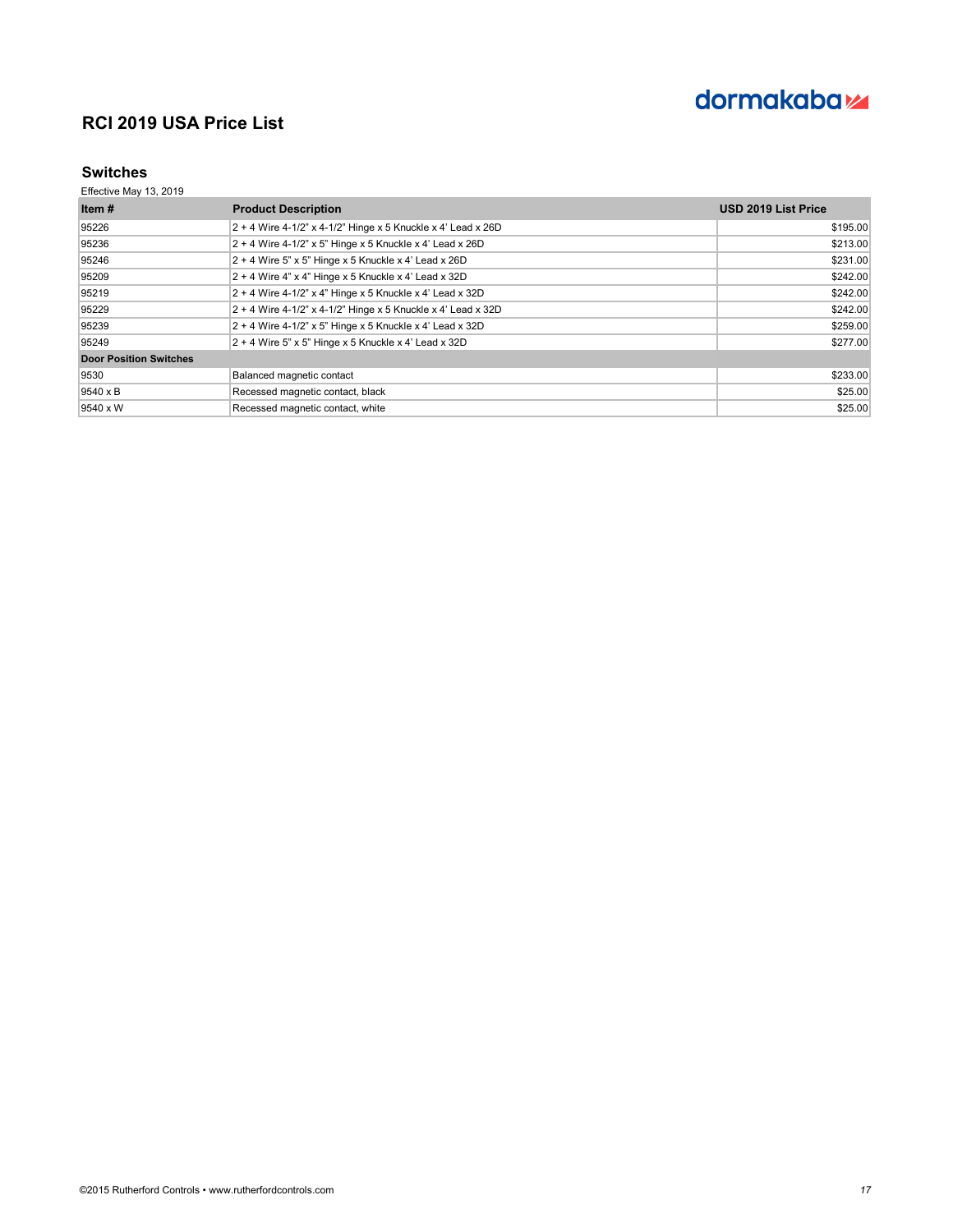

### **Switches**

| Item $#$                      | <b>Product Description</b>                                     | <b>USD 2019 List Price</b> |
|-------------------------------|----------------------------------------------------------------|----------------------------|
| 95226                         | $2 + 4$ Wire 4-1/2" x 4-1/2" Hinge x 5 Knuckle x 4' Lead x 26D | \$195.00                   |
| 95236                         | $2 + 4$ Wire 4-1/2" x 5" Hinge x 5 Knuckle x 4' Lead x 26D     | \$213.00                   |
| 95246                         | $2 + 4$ Wire 5" x 5" Hinge x 5 Knuckle x 4' Lead x 26D         | \$231.00                   |
| 95209                         | $2 + 4$ Wire 4" x 4" Hinge x 5 Knuckle x 4' Lead x 32D         | \$242.00                   |
| 95219                         | $2 + 4$ Wire 4-1/2" x 4" Hinge x 5 Knuckle x 4' Lead x 32D     | \$242.00                   |
| 95229                         | $2 + 4$ Wire 4-1/2" x 4-1/2" Hinge x 5 Knuckle x 4' Lead x 32D | \$242.00                   |
| 95239                         | $2 + 4$ Wire 4-1/2" x 5" Hinge x 5 Knuckle x 4' Lead x 32D     | \$259.00                   |
| 95249                         | $2 + 4$ Wire 5" x 5" Hinge x 5 Knuckle x 4' Lead x 32D         | \$277.00                   |
| <b>Door Position Switches</b> |                                                                |                            |
| 9530                          | Balanced magnetic contact                                      | \$233.00                   |
| 9540 x B                      | Recessed magnetic contact, black                               | \$25.00                    |
| 9540 x W                      | Recessed magnetic contact, white                               | \$25.00                    |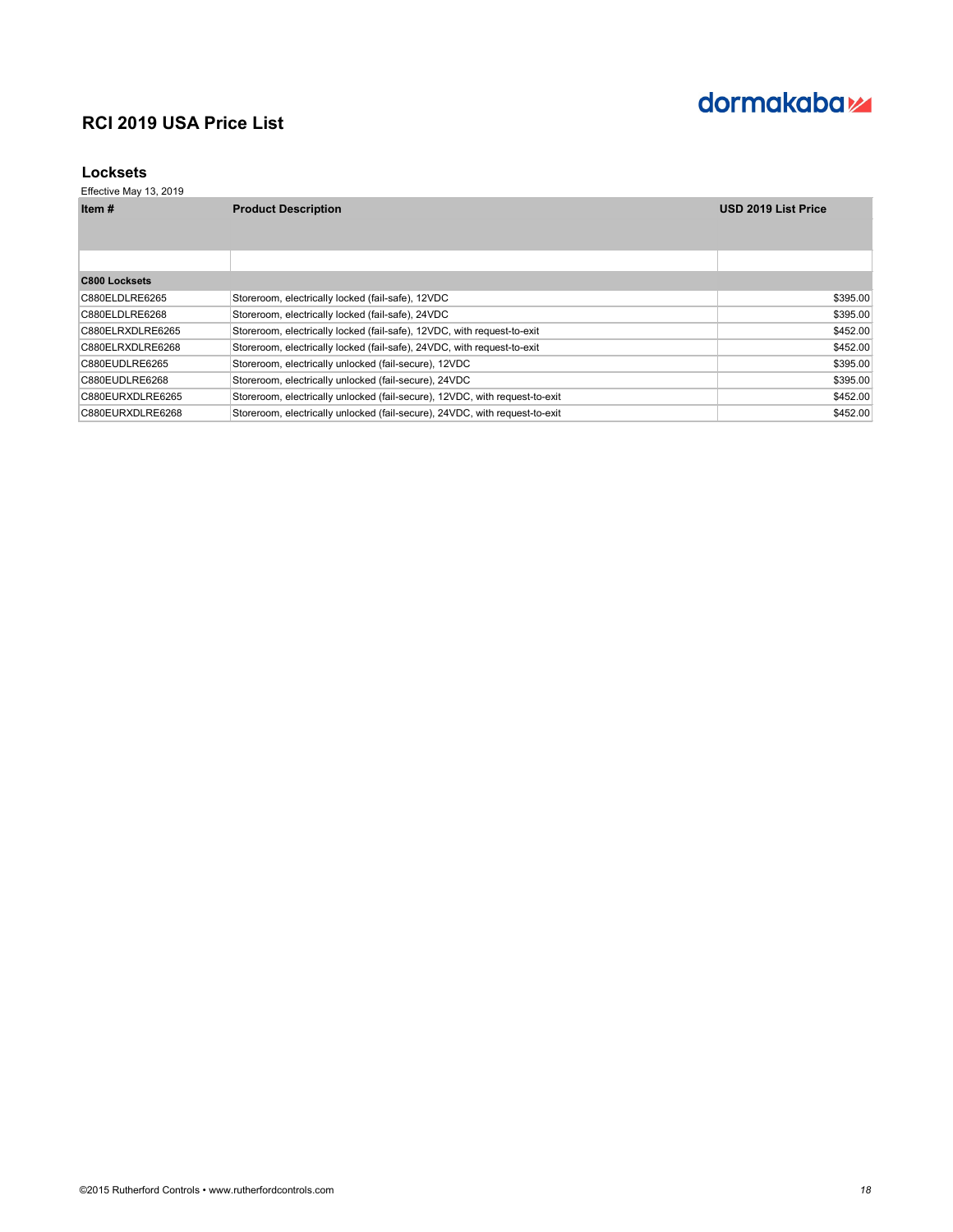# dormakaba<sub>z</sub>

### **Locksets**

| Item#            | <b>Product Description</b>                                                  | <b>USD 2019 List Price</b> |
|------------------|-----------------------------------------------------------------------------|----------------------------|
|                  |                                                                             |                            |
|                  |                                                                             |                            |
| C800 Locksets    |                                                                             |                            |
| C880ELDLRE6265   | Storeroom, electrically locked (fail-safe), 12VDC                           | \$395.00                   |
| C880ELDLRE6268   | Storeroom, electrically locked (fail-safe), 24VDC                           | \$395.00                   |
| C880ELRXDLRE6265 | Storeroom, electrically locked (fail-safe), 12VDC, with request-to-exit     | \$452.00                   |
| C880ELRXDLRE6268 | Storeroom, electrically locked (fail-safe), 24VDC, with request-to-exit     | \$452.00                   |
| C880EUDLRE6265   | Storeroom, electrically unlocked (fail-secure), 12VDC                       | \$395.00                   |
| C880EUDLRE6268   | Storeroom, electrically unlocked (fail-secure), 24VDC                       | \$395.00                   |
| C880EURXDLRE6265 | Storeroom, electrically unlocked (fail-secure), 12VDC, with request-to-exit | \$452.00                   |
| C880EURXDLRE6268 | Storeroom, electrically unlocked (fail-secure), 24VDC, with request-to-exit | \$452.00                   |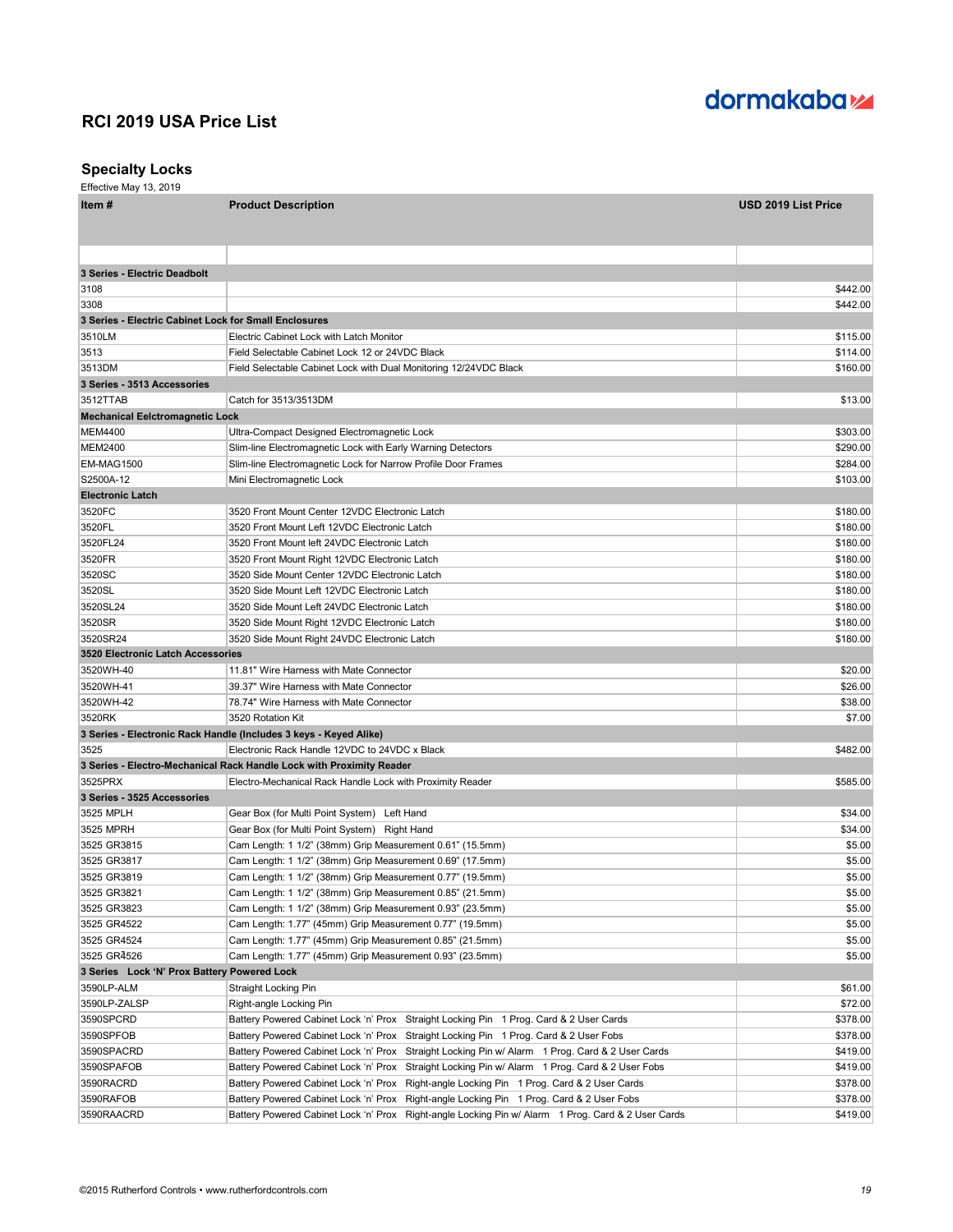

### **Specialty Locks**

| Item#                                                 | <b>Product Description</b>                                                                         | <b>USD 2019 List Price</b> |
|-------------------------------------------------------|----------------------------------------------------------------------------------------------------|----------------------------|
|                                                       |                                                                                                    |                            |
|                                                       |                                                                                                    |                            |
|                                                       |                                                                                                    |                            |
| 3 Series - Electric Deadbolt                          |                                                                                                    |                            |
| 3108                                                  |                                                                                                    | \$442.00                   |
| 3308                                                  |                                                                                                    | \$442.00                   |
| 3 Series - Electric Cabinet Lock for Small Enclosures |                                                                                                    |                            |
| 3510LM                                                | Electric Cabinet Lock with Latch Monitor                                                           | \$115.00                   |
| 3513                                                  | Field Selectable Cabinet Lock 12 or 24VDC Black                                                    | \$114.00                   |
| 3513DM                                                | Field Selectable Cabinet Lock with Dual Monitoring 12/24VDC Black                                  | \$160.00                   |
| 3 Series - 3513 Accessories                           |                                                                                                    |                            |
| 3512TTAB                                              | Catch for 3513/3513DM                                                                              | \$13.00                    |
| <b>Mechanical Eelctromagnetic Lock</b>                |                                                                                                    |                            |
| <b>MEM4400</b>                                        | Ultra-Compact Designed Electromagnetic Lock                                                        | \$303.00                   |
| <b>MEM2400</b>                                        | Slim-line Electromagnetic Lock with Early Warning Detectors                                        | \$290.00                   |
| <b>EM-MAG1500</b>                                     | Slim-line Electromagnetic Lock for Narrow Profile Door Frames                                      | \$284.00                   |
| S2500A-12                                             | Mini Electromagnetic Lock                                                                          | \$103.00                   |
| <b>Electronic Latch</b>                               |                                                                                                    |                            |
| 3520FC                                                | 3520 Front Mount Center 12VDC Electronic Latch                                                     | \$180.00                   |
| 3520FL                                                | 3520 Front Mount Left 12VDC Electronic Latch                                                       | \$180.00                   |
| 3520FL24                                              | 3520 Front Mount left 24VDC Electronic Latch                                                       | \$180.00                   |
| 3520FR                                                | 3520 Front Mount Right 12VDC Electronic Latch                                                      | \$180.00                   |
| 3520SC                                                | 3520 Side Mount Center 12VDC Electronic Latch                                                      | \$180.00                   |
| 3520SL                                                | 3520 Side Mount Left 12VDC Electronic Latch                                                        | \$180.00                   |
| 3520SL24                                              | 3520 Side Mount Left 24VDC Electronic Latch                                                        | \$180.00                   |
| 3520SR                                                | 3520 Side Mount Right 12VDC Electronic Latch                                                       | \$180.00                   |
| 3520SR24                                              | 3520 Side Mount Right 24VDC Electronic Latch                                                       | \$180.00                   |
| 3520 Electronic Latch Accessories                     |                                                                                                    |                            |
| 3520WH-40                                             | 11.81" Wire Harness with Mate Connector                                                            | \$20.00                    |
| 3520WH-41                                             | 39.37" Wire Harness with Mate Connector                                                            | \$26.00                    |
| 3520WH-42                                             | 78.74" Wire Harness with Mate Connector                                                            | \$38.00                    |
| 3520RK                                                | 3520 Rotation Kit                                                                                  | \$7.00                     |
|                                                       | 3 Series - Electronic Rack Handle (Includes 3 keys - Keyed Alike)                                  |                            |
| 3525                                                  | Electronic Rack Handle 12VDC to 24VDC x Black                                                      | \$482.00                   |
|                                                       | 3 Series - Electro-Mechanical Rack Handle Lock with Proximity Reader                               |                            |
| 3525PRX                                               | Electro-Mechanical Rack Handle Lock with Proximity Reader                                          | \$585.00                   |
| 3 Series - 3525 Accessories                           |                                                                                                    |                            |
| 3525 MPLH                                             | Gear Box (for Multi Point System) Left Hand                                                        | \$34.00                    |
| 3525 MPRH                                             | Gear Box (for Multi Point System) Right Hand                                                       | \$34.00                    |
| 3525 GR3815                                           | Cam Length: 1 1/2" (38mm) Grip Measurement 0.61" (15.5mm)                                          | \$5.00                     |
| 3525 GR3817                                           | Cam Length: 1 1/2" (38mm) Grip Measurement 0.69" (17.5mm)                                          | \$5.00                     |
| 3525 GR3819                                           | Cam Length: 1 1/2" (38mm) Grip Measurement 0.77" (19.5mm)                                          | \$5.00                     |
| 3525 GR3821                                           | Cam Length: 1 1/2" (38mm) Grip Measurement 0.85" (21.5mm)                                          | \$5.00                     |
| 3525 GR3823                                           | Cam Length: 1 1/2" (38mm) Grip Measurement 0.93" (23.5mm)                                          | \$5.00                     |
| 3525 GR4522                                           | Cam Length: 1.77" (45mm) Grip Measurement 0.77" (19.5mm)                                           | \$5.00                     |
| 3525 GR4524                                           | Cam Length: 1.77" (45mm) Grip Measurement 0.85" (21.5mm)                                           | \$5.00                     |
| 3525 GR4526                                           | Cam Length: 1.77" (45mm) Grip Measurement 0.93" (23.5mm)                                           | \$5.00                     |
| 3 Series Lock 'N' Prox Battery Powered Lock           |                                                                                                    |                            |
| 3590LP-ALM                                            | Straight Locking Pin                                                                               | \$61.00                    |
| 3590LP-ZALSP                                          | Right-angle Locking Pin                                                                            | \$72.00                    |
| 3590SPCRD                                             | Battery Powered Cabinet Lock 'n' Prox Straight Locking Pin 1 Prog. Card & 2 User Cards             | \$378.00                   |
| 3590SPFOB                                             | Battery Powered Cabinet Lock 'n' Prox Straight Locking Pin 1 Prog. Card & 2 User Fobs              | \$378.00                   |
| 3590SPACRD                                            | Battery Powered Cabinet Lock 'n' Prox Straight Locking Pin w/ Alarm 1 Prog. Card & 2 User Cards    | \$419.00                   |
| 3590SPAFOB                                            | Battery Powered Cabinet Lock 'n' Prox Straight Locking Pin w/ Alarm 1 Prog. Card & 2 User Fobs     | \$419.00                   |
| 3590RACRD                                             | Battery Powered Cabinet Lock 'n' Prox Right-angle Locking Pin 1 Prog. Card & 2 User Cards          | \$378.00                   |
| 3590RAFOB                                             | Battery Powered Cabinet Lock 'n' Prox Right-angle Locking Pin 1 Prog. Card & 2 User Fobs           | \$378.00                   |
| 3590RAACRD                                            | Battery Powered Cabinet Lock 'n' Prox Right-angle Locking Pin w/ Alarm 1 Prog. Card & 2 User Cards | \$419.00                   |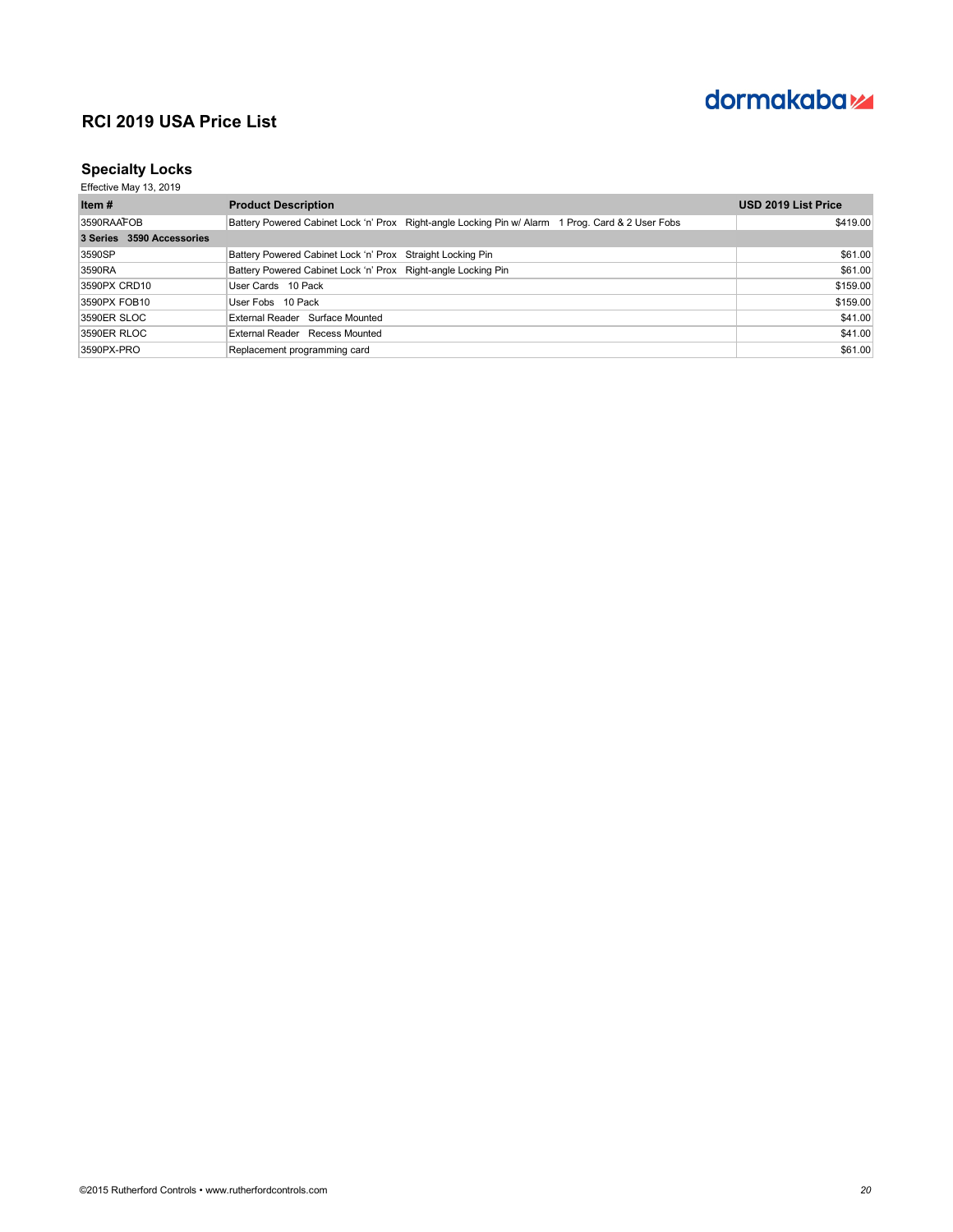

### **Specialty Locks**

| Item #                    | <b>Product Description</b>                                                                        | <b>USD 2019 List Price</b> |
|---------------------------|---------------------------------------------------------------------------------------------------|----------------------------|
| 3590RAAFOB                | Battery Powered Cabinet Lock 'n' Prox Right-angle Locking Pin w/ Alarm 1 Prog. Card & 2 User Fobs | \$419.00                   |
| 3 Series 3590 Accessories |                                                                                                   |                            |
| 3590SP                    | Battery Powered Cabinet Lock 'n' Prox Straight Locking Pin                                        | \$61.00                    |
| 3590RA                    | Battery Powered Cabinet Lock 'n' Prox Right-angle Locking Pin                                     | \$61.00                    |
| 3590PX CRD10              | User Cards 10 Pack                                                                                | \$159.00                   |
| 3590PX FOB10              | User Fobs 10 Pack                                                                                 | \$159.00                   |
| 3590ER SLOC               | External Reader Surface Mounted                                                                   | \$41.00                    |
| 3590ER RLOC               | External Reader Recess Mounted                                                                    | \$41.00                    |
| 3590PX-PRO                | Replacement programming card                                                                      | \$61.00                    |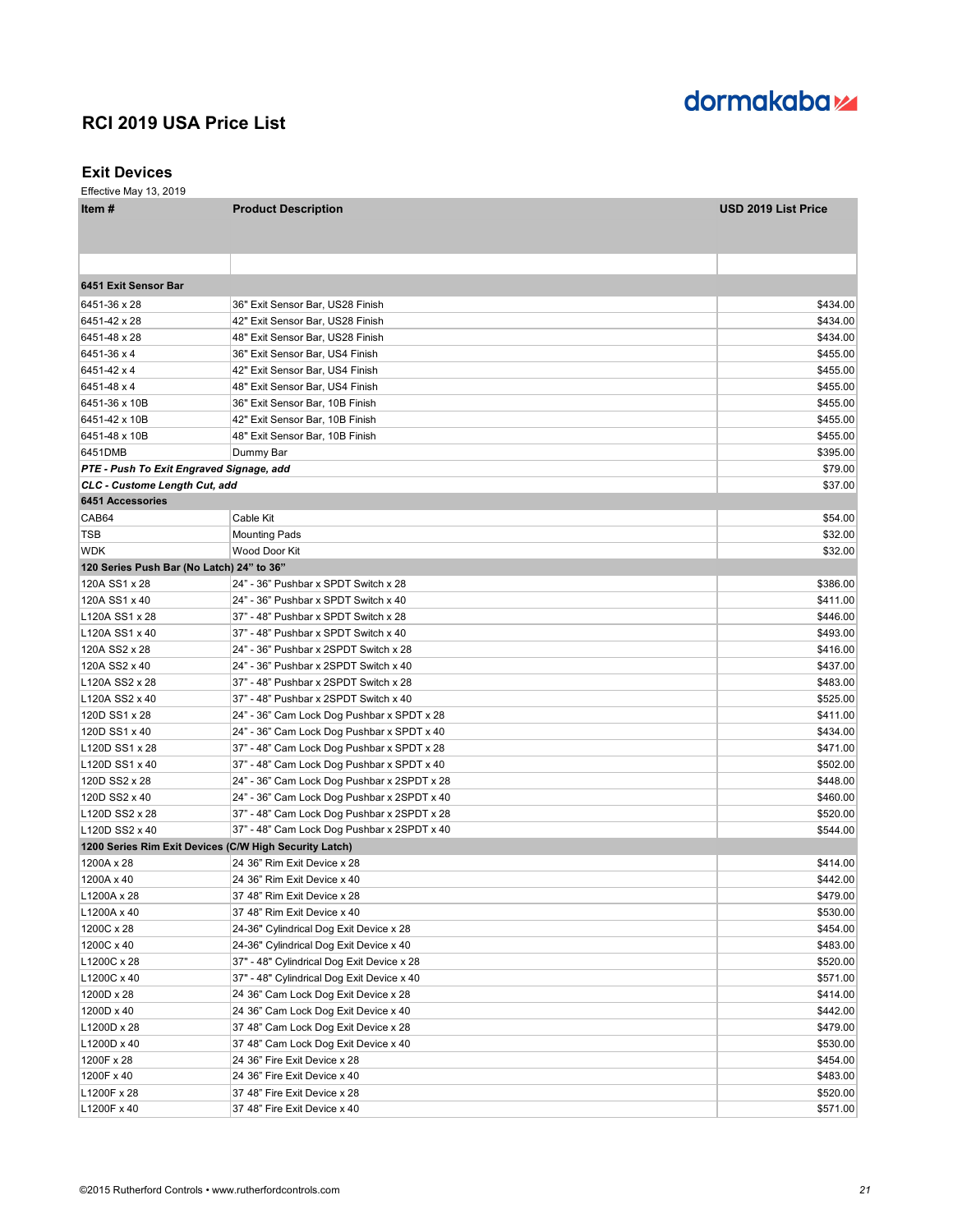# dormakaba<sub>z</sub>

#### **Exit Devices**

| Item #                                    | <b>Product Description</b>                             | <b>USD 2019 List Price</b> |
|-------------------------------------------|--------------------------------------------------------|----------------------------|
|                                           |                                                        |                            |
|                                           |                                                        |                            |
|                                           |                                                        |                            |
| 6451 Exit Sensor Bar                      |                                                        |                            |
| 6451-36 x 28                              | 36" Exit Sensor Bar, US28 Finish                       | \$434.00                   |
| 6451-42 x 28                              | 42" Exit Sensor Bar, US28 Finish                       | \$434.00                   |
| 6451-48 x 28                              | 48" Exit Sensor Bar, US28 Finish                       | \$434.00                   |
| 6451-36 x 4                               | 36" Exit Sensor Bar, US4 Finish                        | \$455.00                   |
| 6451-42 x 4                               | 42" Exit Sensor Bar, US4 Finish                        | \$455.00                   |
| 6451-48 x 4                               | 48" Exit Sensor Bar, US4 Finish                        | \$455.00                   |
| 6451-36 x 10B                             | 36" Exit Sensor Bar, 10B Finish                        | \$455.00                   |
| 6451-42 x 10B                             | 42" Exit Sensor Bar, 10B Finish                        | \$455.00                   |
| 6451-48 x 10B                             | 48" Exit Sensor Bar, 10B Finish                        | \$455.00                   |
| 6451DMB                                   | Dummy Bar                                              | \$395.00                   |
| PTE - Push To Exit Engraved Signage, add  |                                                        | \$79.00                    |
| CLC - Custome Length Cut, add             |                                                        | \$37.00                    |
| <b>6451 Accessories</b>                   |                                                        |                            |
| CAB64                                     | Cable Kit                                              | \$54.00                    |
| TSB                                       | <b>Mounting Pads</b>                                   | \$32.00                    |
| <b>WDK</b>                                | Wood Door Kit                                          | \$32.00                    |
| 120 Series Push Bar (No Latch) 24" to 36" |                                                        |                            |
| 120A SS1 x 28                             | 24" - 36" Pushbar x SPDT Switch x 28                   | \$386.00                   |
| 120A SS1 x 40                             | 24" - 36" Pushbar x SPDT Switch x 40                   | \$411.00                   |
| L120A SS1 x 28                            | 37" - 48" Pushbar x SPDT Switch x 28                   | \$446.00                   |
| L120A SS1 x 40                            | 37" - 48" Pushbar x SPDT Switch x 40                   | \$493.00                   |
| 120A SS2 x 28                             | 24" - 36" Pushbar x 2SPDT Switch x 28                  | \$416.00                   |
| 120A SS2 x 40                             | 24" - 36" Pushbar x 2SPDT Switch x 40                  | \$437.00                   |
| L120A SS2 x 28                            | 37" - 48" Pushbar x 2SPDT Switch x 28                  | \$483.00                   |
| L120A SS2 x 40                            | 37" - 48" Pushbar x 2SPDT Switch x 40                  | \$525.00                   |
| 120D SS1 x 28                             | 24" - 36" Cam Lock Dog Pushbar x SPDT x 28             | \$411.00                   |
| 120D SS1 x 40                             | 24" - 36" Cam Lock Dog Pushbar x SPDT x 40             | \$434.00                   |
| L120D SS1 x 28                            | 37" - 48" Cam Lock Dog Pushbar x SPDT x 28             | \$471.00                   |
| L120D SS1 x 40                            | 37" - 48" Cam Lock Dog Pushbar x SPDT x 40             | \$502.00                   |
| 120D SS2 x 28                             | 24" - 36" Cam Lock Dog Pushbar x 2SPDT x 28            | \$448.00                   |
| 120D SS2 x 40                             | 24" - 36" Cam Lock Dog Pushbar x 2SPDT x 40            | \$460.00                   |
| L120D SS2 x 28                            | 37" - 48" Cam Lock Dog Pushbar x 2SPDT x 28            | \$520.00                   |
| L120D SS2 x 40                            | 37" - 48" Cam Lock Dog Pushbar x 2SPDT x 40            | \$544.00                   |
|                                           | 1200 Series Rim Exit Devices (C/W High Security Latch) |                            |
| 1200A x 28                                | 24 36" Rim Exit Device x 28                            | \$414.00                   |
| 1200A x 40                                | 24 36" Rim Exit Device x 40                            | \$442.00                   |
| L1200A x 28                               | 37 48" Rim Exit Device x 28                            | \$479.00                   |
| L1200A x 40                               | 37 48" Rim Exit Device x 40                            | \$530.00                   |
| 1200C x 28                                | 24-36" Cylindrical Dog Exit Device x 28                | \$454.00                   |
| 1200C x 40                                | 24-36" Cylindrical Dog Exit Device x 40                | \$483.00                   |
| L1200C x 28                               | 37" - 48" Cylindrical Dog Exit Device x 28             | \$520.00                   |
| L1200C x 40                               | 37" - 48" Cylindrical Dog Exit Device x 40             | \$571.00                   |
| 1200D x 28                                | 24 36" Cam Lock Dog Exit Device x 28                   | \$414.00                   |
| 1200D x 40                                | 24 36" Cam Lock Dog Exit Device x 40                   | \$442.00                   |
| L1200D x 28                               | 37 48" Cam Lock Dog Exit Device x 28                   | \$479.00                   |
| L1200D x 40                               | 37 48" Cam Lock Dog Exit Device x 40                   | \$530.00                   |
| 1200F x 28                                | 24 36" Fire Exit Device x 28                           | \$454.00                   |
| 1200F x 40                                | 24 36" Fire Exit Device x 40                           | \$483.00                   |
| L1200F x 28                               | 37 48" Fire Exit Device x 28                           | \$520.00                   |
| L1200F x 40                               | 37 48" Fire Exit Device x 40                           | \$571.00                   |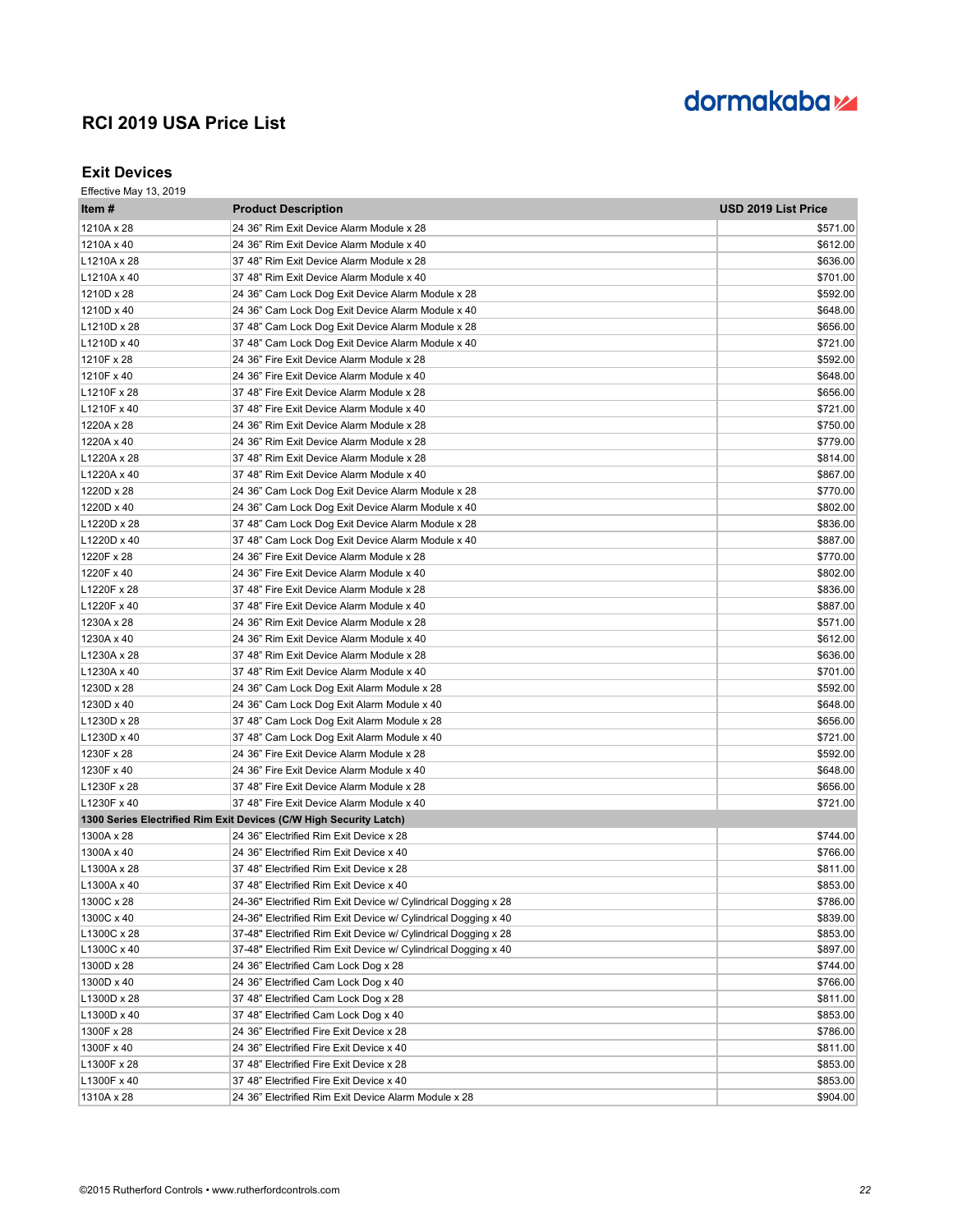

#### **Exit Devices**

| Item #      | <b>Product Description</b>                                         | <b>USD 2019 List Price</b> |
|-------------|--------------------------------------------------------------------|----------------------------|
| 1210A x 28  | 24 36" Rim Exit Device Alarm Module x 28                           | \$571.00                   |
| 1210A x 40  | 24 36" Rim Exit Device Alarm Module x 40                           | \$612.00                   |
| L1210A x 28 | 37 48" Rim Exit Device Alarm Module x 28                           | \$636.00                   |
| L1210A x 40 | 37 48" Rim Exit Device Alarm Module x 40                           | \$701.00                   |
| 1210D x 28  | 24 36" Cam Lock Dog Exit Device Alarm Module x 28                  | \$592.00                   |
| 1210D x 40  | 24 36" Cam Lock Dog Exit Device Alarm Module x 40                  | \$648.00                   |
| L1210D x 28 | 37 48" Cam Lock Dog Exit Device Alarm Module x 28                  | \$656.00                   |
| L1210D x 40 | 37 48" Cam Lock Dog Exit Device Alarm Module x 40                  | \$721.00                   |
| 1210F x 28  | 24 36" Fire Exit Device Alarm Module x 28                          | \$592.00                   |
| 1210F x 40  | 24 36" Fire Exit Device Alarm Module x 40                          | \$648.00                   |
| L1210F x 28 | 37 48" Fire Exit Device Alarm Module x 28                          | \$656.00                   |
| L1210F x 40 | 37 48" Fire Exit Device Alarm Module x 40                          | \$721.00                   |
| 1220A x 28  | 24 36" Rim Exit Device Alarm Module x 28                           | \$750.00                   |
| 1220A x 40  | 24 36" Rim Exit Device Alarm Module x 28                           | \$779.00                   |
| L1220A x 28 | 37 48" Rim Exit Device Alarm Module x 28                           | \$814.00                   |
| L1220A x 40 | 37 48" Rim Exit Device Alarm Module x 40                           | \$867.00                   |
| 1220D x 28  | 24 36" Cam Lock Dog Exit Device Alarm Module x 28                  | \$770.00                   |
| 1220D x 40  | 24 36" Cam Lock Dog Exit Device Alarm Module x 40                  | \$802.00                   |
| L1220D x 28 | 37 48" Cam Lock Dog Exit Device Alarm Module x 28                  | \$836.00                   |
| L1220D x 40 | 37 48" Cam Lock Dog Exit Device Alarm Module x 40                  | \$887.00                   |
| 1220F x 28  | 24 36" Fire Exit Device Alarm Module x 28                          | \$770.00                   |
| 1220F x 40  | 24 36" Fire Exit Device Alarm Module x 40                          | \$802.00                   |
| L1220F x 28 | 37 48" Fire Exit Device Alarm Module x 28                          | \$836.00                   |
| L1220F x 40 | 37 48" Fire Exit Device Alarm Module x 40                          | \$887.00                   |
| 1230A x 28  | 24 36" Rim Exit Device Alarm Module x 28                           | \$571.00                   |
| 1230A x 40  | 24 36" Rim Exit Device Alarm Module x 40                           | \$612.00                   |
| L1230A x 28 | 37 48" Rim Exit Device Alarm Module x 28                           | \$636.00                   |
| L1230A x 40 | 37 48" Rim Exit Device Alarm Module x 40                           | \$701.00                   |
| 1230D x 28  | 24 36" Cam Lock Dog Exit Alarm Module x 28                         | \$592.00                   |
| 1230D x 40  | 24 36" Cam Lock Dog Exit Alarm Module x 40                         | \$648.00                   |
| L1230D x 28 | 37 48" Cam Lock Dog Exit Alarm Module x 28                         | \$656.00                   |
| L1230D x 40 | 37 48" Cam Lock Dog Exit Alarm Module x 40                         | \$721.00                   |
| 1230F x 28  | 24 36" Fire Exit Device Alarm Module x 28                          | \$592.00                   |
| 1230F x 40  | 24 36" Fire Exit Device Alarm Module x 40                          | \$648.00                   |
| L1230F x 28 | 37 48" Fire Exit Device Alarm Module x 28                          | \$656.00                   |
| L1230F x 40 | 37 48" Fire Exit Device Alarm Module x 40                          | \$721.00                   |
|             | 1300 Series Electrified Rim Exit Devices (C/W High Security Latch) |                            |
| 1300A x 28  | 24 36" Electrified Rim Exit Device x 28                            | \$744.00                   |
| 1300A x 40  | 24 36" Electrified Rim Exit Device x 40                            | \$766.00                   |
| L1300A x 28 | 37 48" Electrified Rim Exit Device x 28                            | \$811.00                   |
| L1300A x 40 | 37 48" Electrified Rim Exit Device x 40                            | \$853.00                   |
| 1300C x 28  | 24-36" Electrified Rim Exit Device w/ Cylindrical Dogging x 28     | \$786.00                   |
| 1300C x 40  | 24-36" Electrified Rim Exit Device w/ Cylindrical Dogging x 40     | \$839.00                   |
| L1300C x 28 | 37-48" Electrified Rim Exit Device w/ Cylindrical Dogging x 28     | \$853.00                   |
| L1300C x 40 | 37-48" Electrified Rim Exit Device w/ Cylindrical Dogging x 40     | \$897.00                   |
| 1300D x 28  | 24 36" Electrified Cam Lock Dog x 28                               | \$744.00                   |
| 1300D x 40  | 24 36" Electrified Cam Lock Dog x 40                               | \$766.00                   |
| L1300D x 28 | 37 48" Electrified Cam Lock Dog x 28                               | \$811.00                   |
| L1300D x 40 | 37 48" Electrified Cam Lock Dog x 40                               | \$853.00                   |
| 1300F x 28  | 24 36" Electrified Fire Exit Device x 28                           | \$786.00                   |
| 1300F x 40  | 24 36" Electrified Fire Exit Device x 40                           | \$811.00                   |
| L1300F x 28 | 37 48" Electrified Fire Exit Device x 28                           | \$853.00                   |
| L1300F x 40 | 37 48" Electrified Fire Exit Device x 40                           | \$853.00                   |
| 1310A x 28  | 24 36" Electrified Rim Exit Device Alarm Module x 28               | \$904.00                   |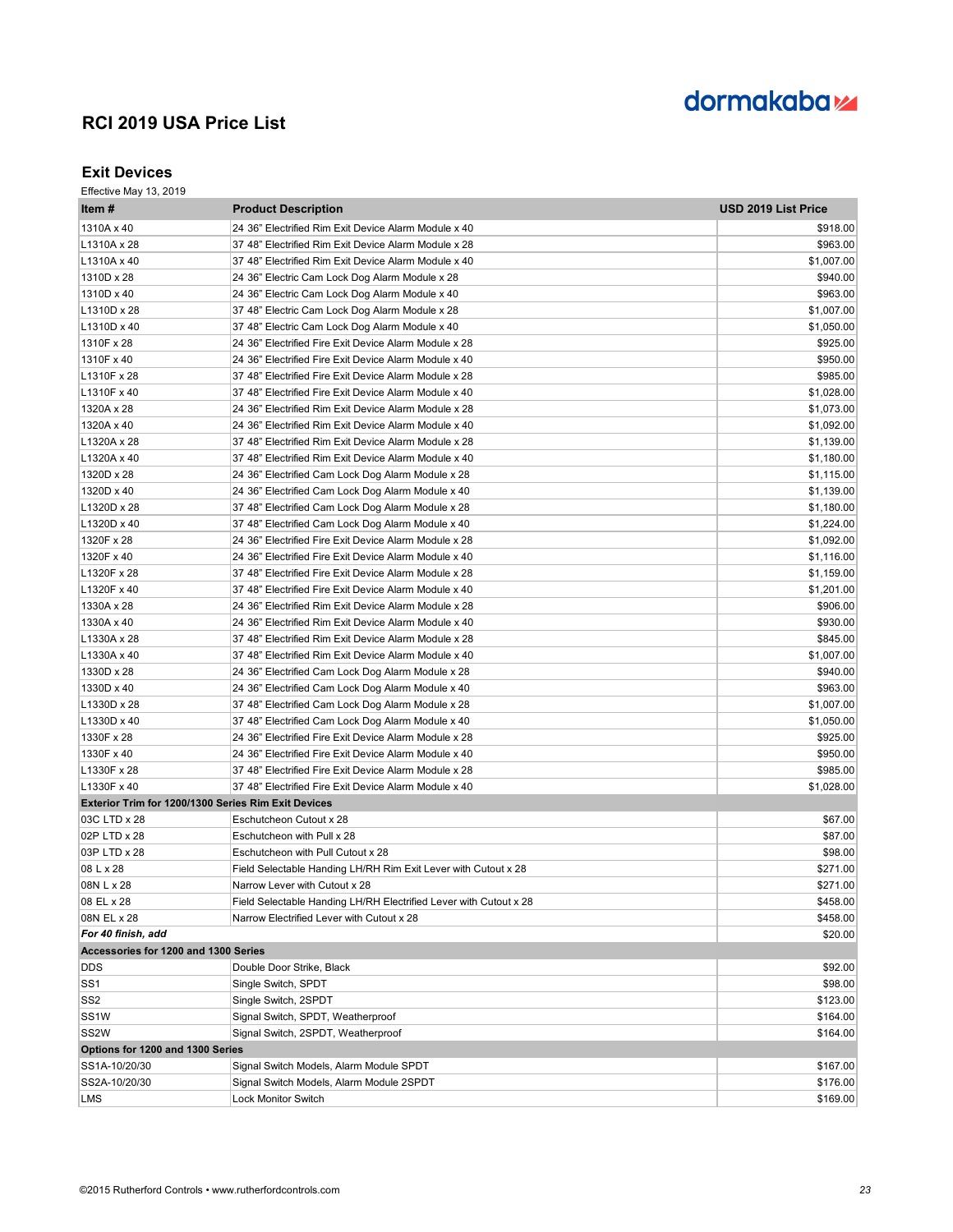# dormakaba<sub>z</sub>

#### **Exit Devices**

| Item#                                                      | <b>Product Description</b>                                        | USD 2019 List Price |
|------------------------------------------------------------|-------------------------------------------------------------------|---------------------|
| 1310A x 40                                                 | 24 36" Electrified Rim Exit Device Alarm Module x 40              | \$918.00            |
| L1310A x 28                                                | 37 48" Electrified Rim Exit Device Alarm Module x 28              | \$963.00            |
| L1310A x 40                                                | 37 48" Electrified Rim Exit Device Alarm Module x 40              | \$1,007.00          |
| 1310D x 28                                                 | 24 36" Electric Cam Lock Dog Alarm Module x 28                    | \$940.00            |
| 1310D x 40                                                 | 24 36" Electric Cam Lock Dog Alarm Module x 40                    | \$963.00            |
| L1310D x 28                                                | 37 48" Electric Cam Lock Dog Alarm Module x 28                    | \$1,007.00          |
| L1310D x 40                                                | 37 48" Electric Cam Lock Dog Alarm Module x 40                    | \$1,050.00          |
| 1310F x 28                                                 | 24 36" Electrified Fire Exit Device Alarm Module x 28             | \$925.00            |
| 1310F x 40                                                 | 24 36" Electrified Fire Exit Device Alarm Module x 40             | \$950.00            |
| L1310F x 28                                                | 37 48" Electrified Fire Exit Device Alarm Module x 28             | \$985.00            |
| L1310F x 40                                                | 37 48" Electrified Fire Exit Device Alarm Module x 40             | \$1,028.00          |
| 1320A x 28                                                 | 24 36" Electrified Rim Exit Device Alarm Module x 28              | \$1,073.00          |
| 1320A x 40                                                 | 24 36" Electrified Rim Exit Device Alarm Module x 40              | \$1,092.00          |
| L1320A x 28                                                | 37 48" Electrified Rim Exit Device Alarm Module x 28              | \$1,139.00          |
| L1320A x 40                                                | 37 48" Electrified Rim Exit Device Alarm Module x 40              | \$1,180.00          |
| 1320D x 28                                                 | 24 36" Electrified Cam Lock Dog Alarm Module x 28                 | \$1,115.00          |
| 1320D x 40                                                 | 24 36" Electrified Cam Lock Dog Alarm Module x 40                 | \$1,139.00          |
| L1320D x 28                                                | 37 48" Electrified Cam Lock Dog Alarm Module x 28                 | \$1,180.00          |
| L1320D x 40                                                | 37 48" Electrified Cam Lock Dog Alarm Module x 40                 | \$1,224.00          |
| 1320F x 28                                                 | 24 36" Electrified Fire Exit Device Alarm Module x 28             | \$1,092.00          |
| 1320F x 40                                                 | 24 36" Electrified Fire Exit Device Alarm Module x 40             | \$1,116.00          |
| L1320F x 28                                                | 37 48" Electrified Fire Exit Device Alarm Module x 28             | \$1,159.00          |
| L1320F x 40                                                | 37 48" Electrified Fire Exit Device Alarm Module x 40             | \$1,201.00          |
| 1330A x 28                                                 | 24 36" Electrified Rim Exit Device Alarm Module x 28              | \$906.00            |
| 1330A x 40                                                 | 24 36" Electrified Rim Exit Device Alarm Module x 40              | \$930.00            |
| L1330A x 28                                                | 37 48" Electrified Rim Exit Device Alarm Module x 28              | \$845.00            |
| L1330A x 40                                                | 37 48" Electrified Rim Exit Device Alarm Module x 40              | \$1,007.00          |
| 1330D x 28                                                 | 24 36" Electrified Cam Lock Dog Alarm Module x 28                 | \$940.00            |
| 1330D x 40                                                 | 24 36" Electrified Cam Lock Dog Alarm Module x 40                 | \$963.00            |
| L1330D x 28                                                | 37 48" Electrified Cam Lock Dog Alarm Module x 28                 | \$1,007.00          |
| L1330D x 40                                                | 37 48" Electrified Cam Lock Dog Alarm Module x 40                 | \$1,050.00          |
| 1330F x 28                                                 | 24 36" Electrified Fire Exit Device Alarm Module x 28             | \$925.00            |
| 1330F x 40                                                 | 24 36" Electrified Fire Exit Device Alarm Module x 40             | \$950.00            |
| L1330F x 28                                                | 37 48" Electrified Fire Exit Device Alarm Module x 28             | \$985.00            |
| L1330F x 40                                                | 37 48" Electrified Fire Exit Device Alarm Module x 40             | \$1,028.00          |
| <b>Exterior Trim for 1200/1300 Series Rim Exit Devices</b> |                                                                   |                     |
| 03C LTD x 28                                               | Eschutcheon Cutout x 28                                           | \$67.00             |
| 02P LTD x 28                                               | Eschutcheon with Pull x 28                                        | \$87.00             |
| 03P LTD x 28                                               | Eschutcheon with Pull Cutout x 28                                 | \$98.00             |
| 08 L x 28                                                  | Field Selectable Handing LH/RH Rim Exit Lever with Cutout x 28    | \$271.00            |
| 08N L x 28                                                 | Narrow Lever with Cutout x 28                                     | \$271.00            |
| 08 EL x 28                                                 | Field Selectable Handing LH/RH Electrified Lever with Cutout x 28 | \$458.00            |
| 08N EL x 28                                                | Narrow Electrified Lever with Cutout x 28                         | \$458.00            |
| For 40 finish, add                                         |                                                                   | \$20.00             |
| Accessories for 1200 and 1300 Series                       |                                                                   |                     |
| <b>DDS</b>                                                 | Double Door Strike, Black                                         | \$92.00             |
| SS <sub>1</sub>                                            | Single Switch, SPDT                                               | \$98.00             |
| SS <sub>2</sub>                                            | Single Switch, 2SPDT                                              | \$123.00            |
| SS <sub>1</sub> W                                          | Signal Switch, SPDT, Weatherproof                                 | \$164.00            |
| SS <sub>2</sub> W                                          | Signal Switch, 2SPDT, Weatherproof                                | \$164.00            |
| Options for 1200 and 1300 Series                           |                                                                   |                     |
| SS1A-10/20/30                                              | Signal Switch Models, Alarm Module SPDT                           | \$167.00            |
| SS2A-10/20/30                                              | Signal Switch Models, Alarm Module 2SPDT                          | \$176.00            |
| LMS                                                        | Lock Monitor Switch                                               | \$169.00            |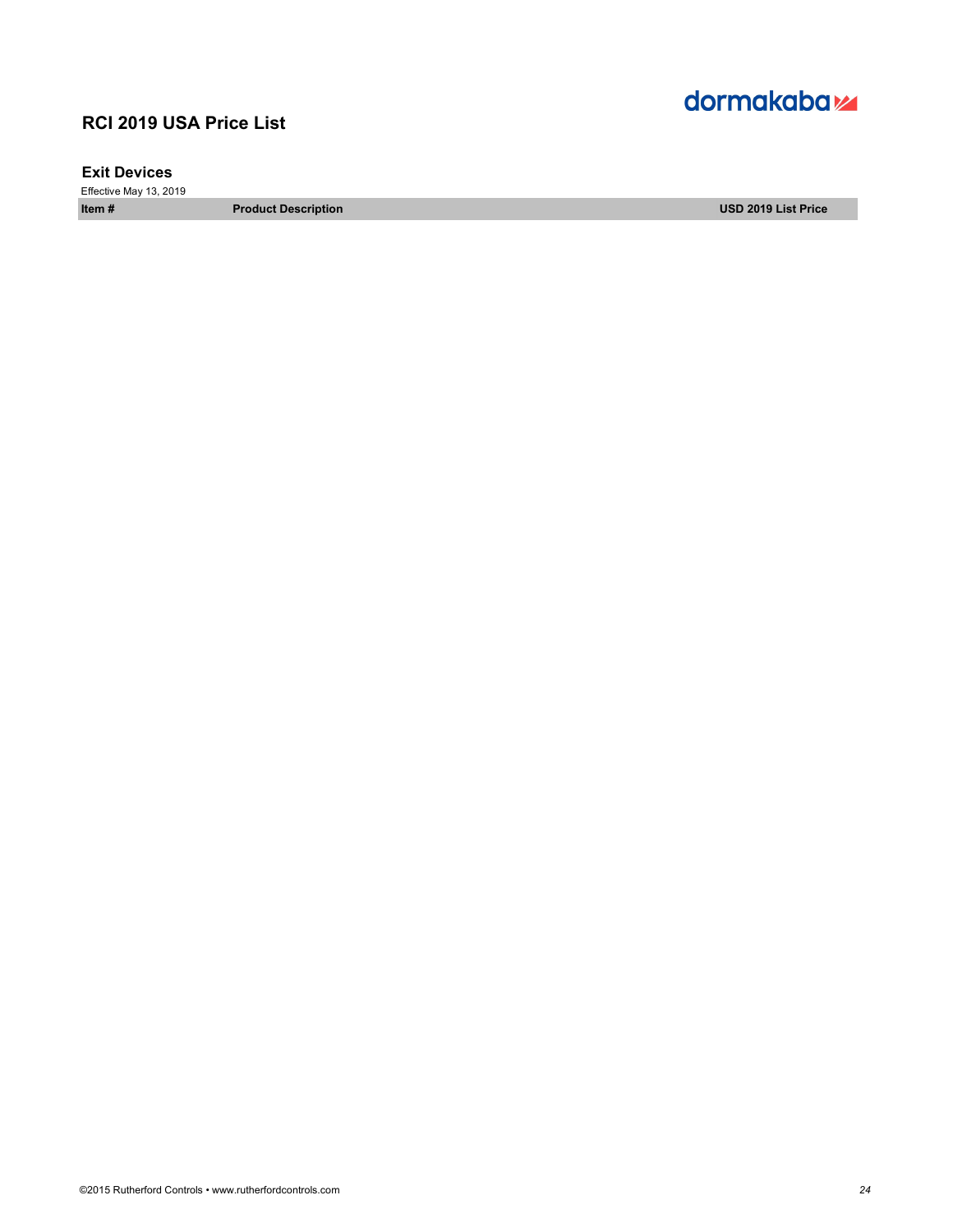### **Exit Devices**

Effective May 13, 2019

**Item # Product Description USD 2019 List Price**

# dormakaba<sub>z</sub>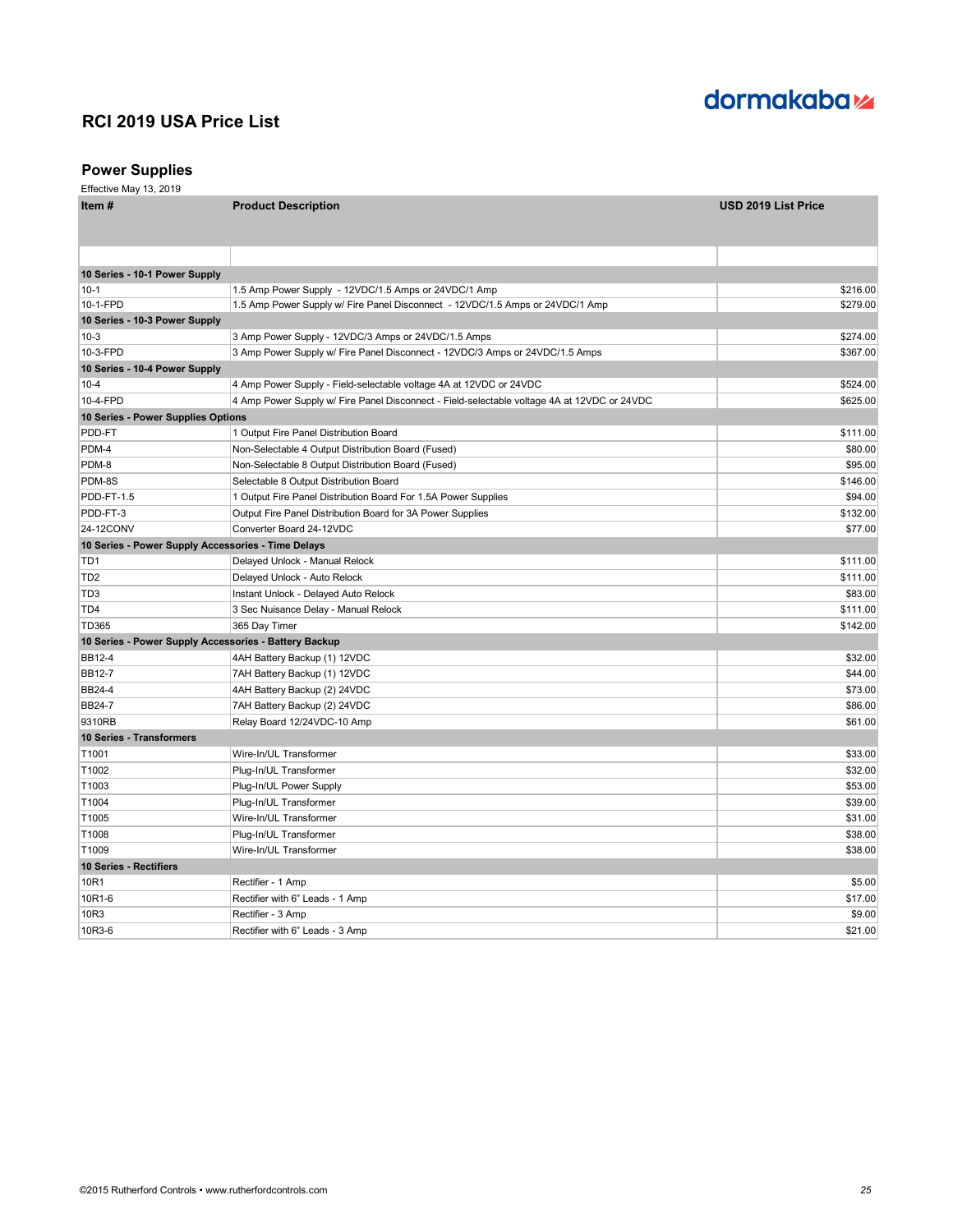

### **Power Supplies**

| Item #                                                | <b>Product Description</b>                                                                  | USD 2019 List Price |
|-------------------------------------------------------|---------------------------------------------------------------------------------------------|---------------------|
|                                                       |                                                                                             |                     |
|                                                       |                                                                                             |                     |
|                                                       |                                                                                             |                     |
| 10 Series - 10-1 Power Supply                         |                                                                                             |                     |
| $10 - 1$                                              | 1.5 Amp Power Supply - 12VDC/1.5 Amps or 24VDC/1 Amp                                        | \$216.00            |
| 10-1-FPD                                              | 1.5 Amp Power Supply w/ Fire Panel Disconnect - 12VDC/1.5 Amps or 24VDC/1 Amp               | \$279.00            |
| 10 Series - 10-3 Power Supply                         |                                                                                             |                     |
| $10-3$                                                | 3 Amp Power Supply - 12VDC/3 Amps or 24VDC/1.5 Amps                                         | \$274.00            |
| 10-3-FPD                                              | 3 Amp Power Supply w/ Fire Panel Disconnect - 12VDC/3 Amps or 24VDC/1.5 Amps                | \$367.00            |
| 10 Series - 10-4 Power Supply                         |                                                                                             |                     |
| $10 - 4$                                              | 4 Amp Power Supply - Field-selectable voltage 4A at 12VDC or 24VDC                          | \$524.00            |
| 10-4-FPD                                              | 4 Amp Power Supply w/ Fire Panel Disconnect - Field-selectable voltage 4A at 12VDC or 24VDC | \$625.00            |
| 10 Series - Power Supplies Options                    |                                                                                             |                     |
| PDD-FT                                                | 1 Output Fire Panel Distribution Board                                                      | \$111.00            |
| PDM-4                                                 | Non-Selectable 4 Output Distribution Board (Fused)                                          | \$80.00             |
| PDM-8                                                 | Non-Selectable 8 Output Distribution Board (Fused)                                          | \$95.00             |
| PDM-8S                                                | Selectable 8 Output Distribution Board                                                      | \$146.00            |
| PDD-FT-1.5                                            | 1 Output Fire Panel Distribution Board For 1.5A Power Supplies                              | \$94.00             |
| PDD-FT-3                                              | Output Fire Panel Distribution Board for 3A Power Supplies                                  | \$132.00            |
| 24-12CONV                                             | Converter Board 24-12VDC                                                                    | \$77.00             |
| 10 Series - Power Supply Accessories - Time Delays    |                                                                                             |                     |
| TD1                                                   | Delayed Unlock - Manual Relock                                                              | \$111.00            |
| TD <sub>2</sub>                                       | Delayed Unlock - Auto Relock                                                                | \$111.00            |
| TD3                                                   | Instant Unlock - Delayed Auto Relock                                                        | \$83.00             |
| TD <sub>4</sub>                                       | 3 Sec Nuisance Delay - Manual Relock                                                        | \$111.00            |
| TD365                                                 | 365 Day Timer                                                                               | \$142.00            |
| 10 Series - Power Supply Accessories - Battery Backup |                                                                                             |                     |
| <b>BB12-4</b>                                         | 4AH Battery Backup (1) 12VDC                                                                | \$32.00             |
| <b>BB12-7</b>                                         | 7AH Battery Backup (1) 12VDC                                                                | \$44.00             |
| <b>BB24-4</b>                                         | 4AH Battery Backup (2) 24VDC                                                                | \$73.00             |
| <b>BB24-7</b>                                         | 7AH Battery Backup (2) 24VDC                                                                | \$86.00             |
| 9310RB                                                | Relay Board 12/24VDC-10 Amp                                                                 | \$61.00             |
| <b>10 Series - Transformers</b>                       |                                                                                             |                     |
| T1001                                                 | Wire-In/UL Transformer                                                                      | \$33.00             |
| T1002                                                 | Plug-In/UL Transformer                                                                      | \$32.00             |
| T1003                                                 | Plug-In/UL Power Supply                                                                     | \$53.00             |
| T1004                                                 | Plug-In/UL Transformer                                                                      | \$39.00             |
| T1005                                                 | Wire-In/UL Transformer                                                                      | \$31.00             |
| T1008                                                 | Plug-In/UL Transformer                                                                      | \$38.00             |
| T1009                                                 | Wire-In/UL Transformer                                                                      | \$38.00             |
| 10 Series - Rectifiers                                |                                                                                             |                     |
| 10R1                                                  | Rectifier - 1 Amp                                                                           | \$5.00              |
| 10R1-6                                                | Rectifier with 6" Leads - 1 Amp                                                             | \$17.00             |
| 10R3                                                  | Rectifier - 3 Amp                                                                           | \$9.00              |
| 10R3-6                                                | Rectifier with 6" Leads - 3 Amp                                                             | \$21.00             |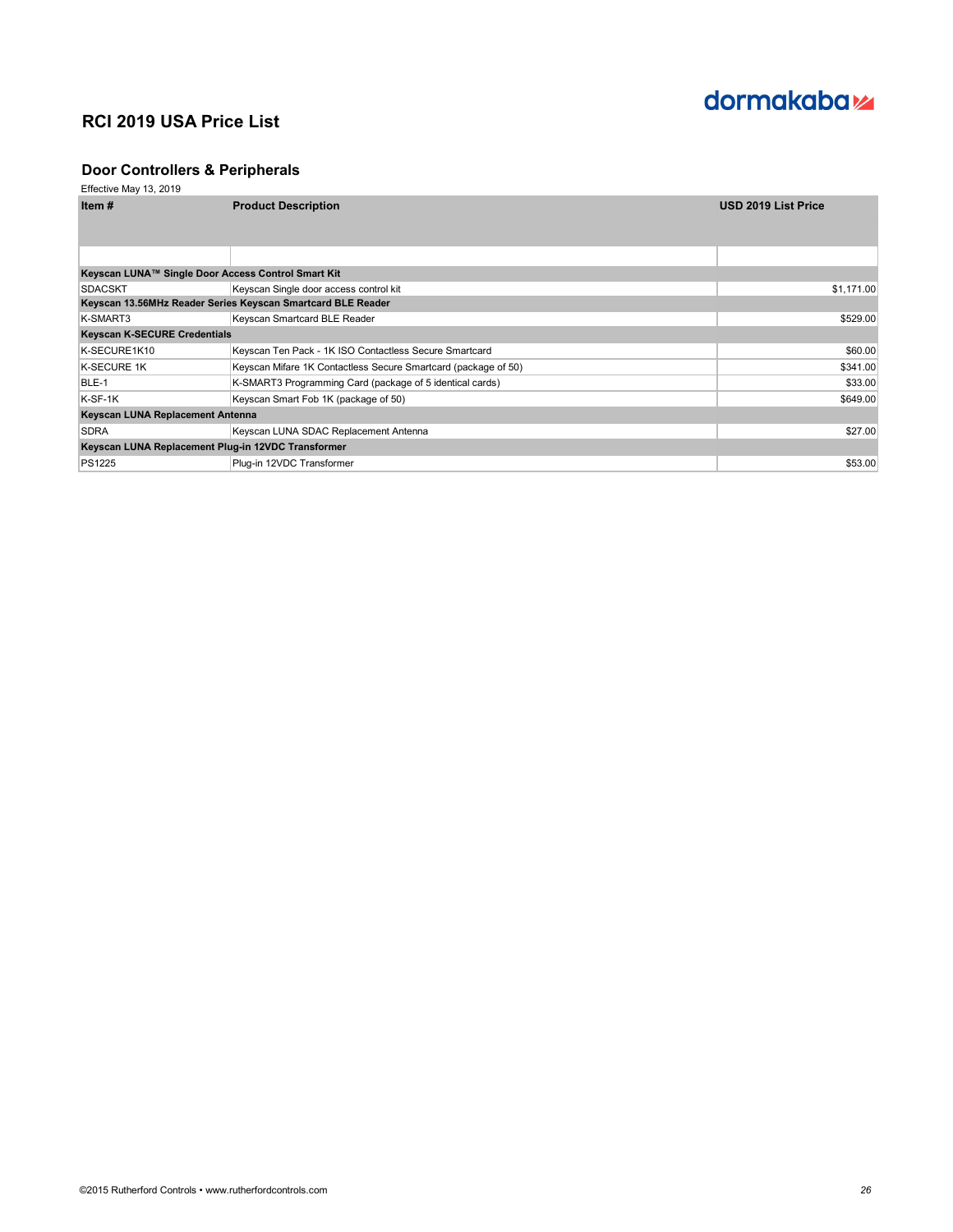

### **Door Controllers & Peripherals**

| ltem #                                                      | <b>Product Description</b>                                     | <b>USD 2019 List Price</b> |
|-------------------------------------------------------------|----------------------------------------------------------------|----------------------------|
|                                                             |                                                                |                            |
|                                                             |                                                                |                            |
|                                                             |                                                                |                            |
| Keyscan LUNA™ Single Door Access Control Smart Kit          |                                                                |                            |
| <b>SDACSKT</b>                                              | Keyscan Single door access control kit                         | \$1,171.00                 |
| Keyscan 13.56MHz Reader Series Keyscan Smartcard BLE Reader |                                                                |                            |
| K-SMART3                                                    | Keyscan Smartcard BLE Reader                                   | \$529.00                   |
| <b>Keyscan K-SECURE Credentials</b>                         |                                                                |                            |
| K-SECURE1K10                                                | Keyscan Ten Pack - 1K ISO Contactless Secure Smartcard         | \$60.00                    |
| <b>K-SECURE 1K</b>                                          | Keyscan Mifare 1K Contactless Secure Smartcard (package of 50) | \$341.00                   |
| BLE-1                                                       | K-SMART3 Programming Card (package of 5 identical cards)       | \$33.00                    |
| K-SF-1K                                                     | Keyscan Smart Fob 1K (package of 50)                           | \$649.00                   |
| Keyscan LUNA Replacement Antenna                            |                                                                |                            |
| <b>SDRA</b>                                                 | Keyscan LUNA SDAC Replacement Antenna                          | \$27.00                    |
| Keyscan LUNA Replacement Plug-in 12VDC Transformer          |                                                                |                            |
| <b>PS1225</b>                                               | Plug-in 12VDC Transformer                                      | \$53.00                    |